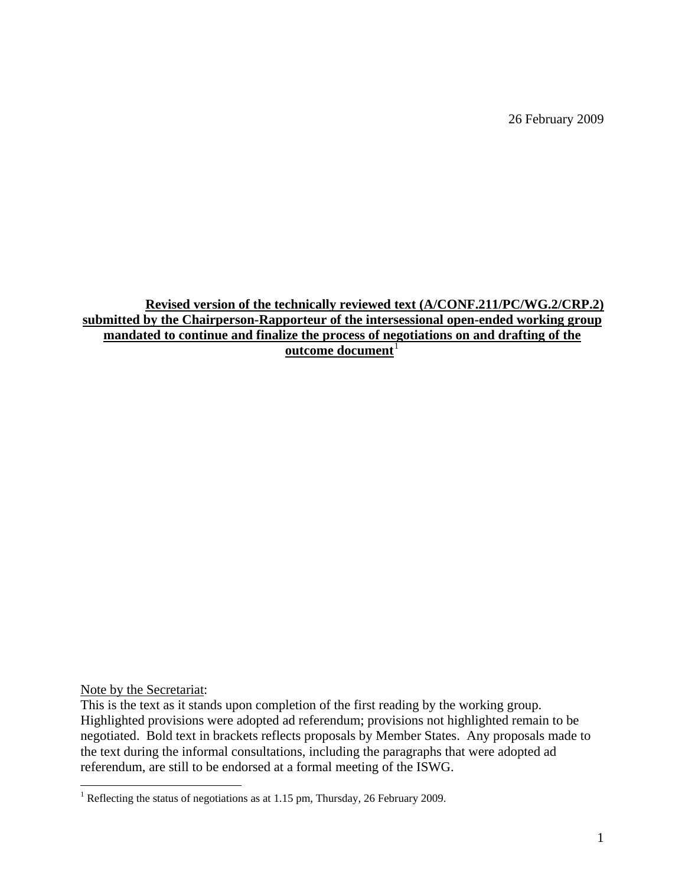26 February 2009

**Revised version of the technically reviewed text (A/CONF.211/PC/WG.2/CRP.2) submitted by the Chairperson-Rapporteur of the intersessional open-ended working group mandated to continue and finalize the process of negotiations on and drafting of the outcome document**<sup>[1](#page-0-0)</sup>

Note by the Secretariat:

This is the text as it stands upon completion of the first reading by the working group. Highlighted provisions were adopted ad referendum; provisions not highlighted remain to be negotiated. Bold text in brackets reflects proposals by Member States. Any proposals made to the text during the informal consultations, including the paragraphs that were adopted ad referendum, are still to be endorsed at a formal meeting of the ISWG.

<span id="page-0-0"></span> 1 Reflecting the status of negotiations as at 1.15 pm, Thursday, 26 February 2009.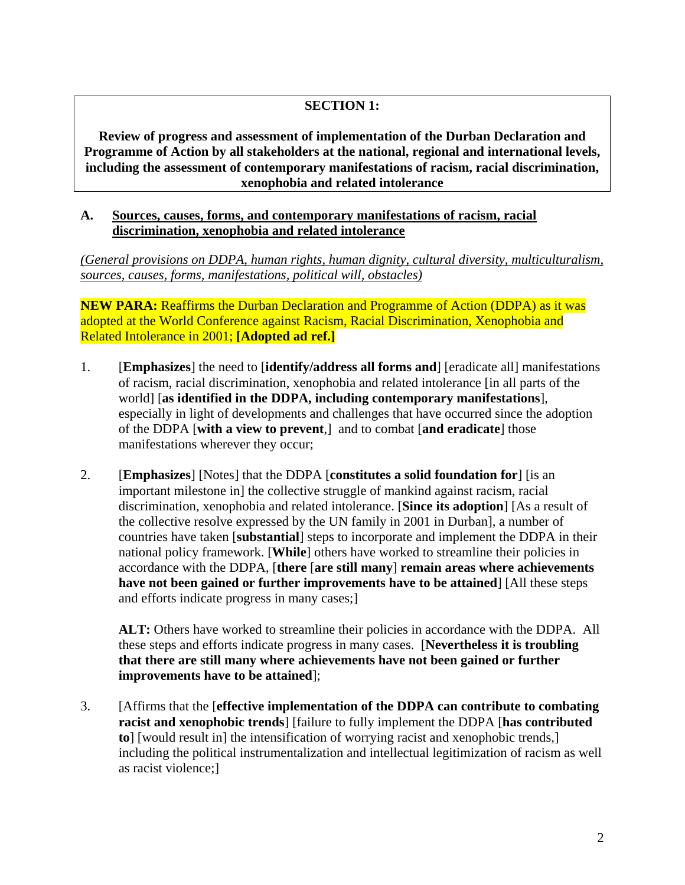## **SECTION 1:**

**Review of progress and assessment of implementation of the Durban Declaration and Programme of Action by all stakeholders at the national, regional and international levels, including the assessment of contemporary manifestations of racism, racial discrimination, xenophobia and related intolerance** 

#### **A. Sources, causes, forms, and contemporary manifestations of racism, racial discrimination, xenophobia and related intolerance**

*(General provisions on DDPA, human rights, human dignity, cultural diversity, multiculturalism, sources, causes, forms, manifestations, political will, obstacles)*

**NEW PARA:** Reaffirms the Durban Declaration and Programme of Action (DDPA) as it was adopted at the World Conference against Racism, Racial Discrimination, Xenophobia and Related Intolerance in 2001; **[Adopted ad ref.]** 

- 1. [**Emphasizes**] the need to [**identify/address all forms and**] [eradicate all] manifestations of racism, racial discrimination, xenophobia and related intolerance [in all parts of the world] [**as identified in the DDPA, including contemporary manifestations**], especially in light of developments and challenges that have occurred since the adoption of the DDPA [**with a view to prevent**,] and to combat [**and eradicate**] those manifestations wherever they occur;
- 2. [**Emphasizes**] [Notes] that the DDPA [**constitutes a solid foundation for**] [is an important milestone in] the collective struggle of mankind against racism, racial discrimination, xenophobia and related intolerance. [**Since its adoption**] [As a result of the collective resolve expressed by the UN family in 2001 in Durban], a number of countries have taken [**substantial**] steps to incorporate and implement the DDPA in their national policy framework. [**While**] others have worked to streamline their policies in accordance with the DDPA, [**there** [**are still many**] **remain areas where achievements have not been gained or further improvements have to be attained**] [All these steps and efforts indicate progress in many cases;]

**ALT:** Others have worked to streamline their policies in accordance with the DDPA. All these steps and efforts indicate progress in many cases. [**Nevertheless it is troubling that there are still many where achievements have not been gained or further improvements have to be attained**];

3. [Affirms that the [**effective implementation of the DDPA can contribute to combating racist and xenophobic trends**] [failure to fully implement the DDPA [**has contributed to**] [would result in] the intensification of worrying racist and xenophobic trends,] including the political instrumentalization and intellectual legitimization of racism as well as racist violence;]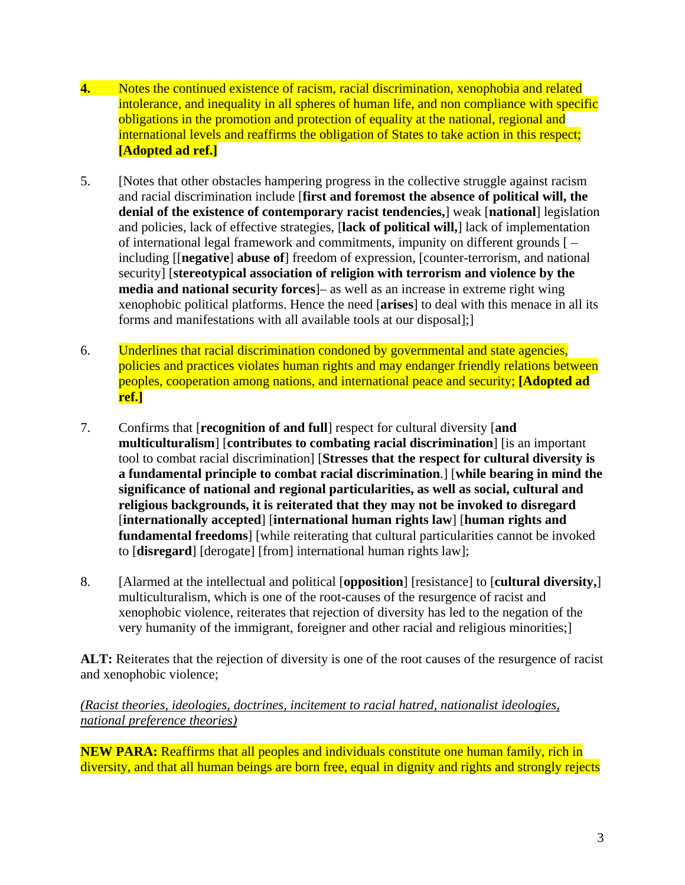- **4.** Notes the continued existence of racism, racial discrimination, xenophobia and related intolerance, and inequality in all spheres of human life, and non compliance with specific obligations in the promotion and protection of equality at the national, regional and international levels and reaffirms the obligation of States to take action in this respect; **[Adopted ad ref.]**
- 5. [Notes that other obstacles hampering progress in the collective struggle against racism and racial discrimination include [**first and foremost the absence of political will, the denial of the existence of contemporary racist tendencies,**] weak [**national**] legislation and policies, lack of effective strategies, [**lack of political will,**] lack of implementation of international legal framework and commitments, impunity on different grounds [ – including [[**negative**] **abuse of**] freedom of expression, [counter-terrorism, and national security] [**stereotypical association of religion with terrorism and violence by the media and national security forces**]– as well as an increase in extreme right wing xenophobic political platforms. Hence the need [**arises**] to deal with this menace in all its forms and manifestations with all available tools at our disposal];]
- 6. Underlines that racial discrimination condoned by governmental and state agencies, policies and practices violates human rights and may endanger friendly relations between peoples, cooperation among nations, and international peace and security; **[Adopted ad ref.]**
- 7. Confirms that [**recognition of and full**] respect for cultural diversity [**and multiculturalism**] [**contributes to combating racial discrimination**] [is an important tool to combat racial discrimination] [**Stresses that the respect for cultural diversity is a fundamental principle to combat racial discrimination**.] [**while bearing in mind the significance of national and regional particularities, as well as social, cultural and religious backgrounds, it is reiterated that they may not be invoked to disregard**  [**internationally accepted**] [**international human rights law**] [**human rights and fundamental freedoms**] [while reiterating that cultural particularities cannot be invoked to [**disregard**] [derogate] [from] international human rights law];
- 8. [Alarmed at the intellectual and political [**opposition**] [resistance] to [**cultural diversity,**] multiculturalism, which is one of the root-causes of the resurgence of racist and xenophobic violence, reiterates that rejection of diversity has led to the negation of the very humanity of the immigrant, foreigner and other racial and religious minorities;]

**ALT:** Reiterates that the rejection of diversity is one of the root causes of the resurgence of racist and xenophobic violence;

# *(Racist theories, ideologies, doctrines, incitement to racial hatred, nationalist ideologies, national preference theories)*

**NEW PARA:** Reaffirms that all peoples and individuals constitute one human family, rich in diversity, and that all human beings are born free, equal in dignity and rights and strongly rejects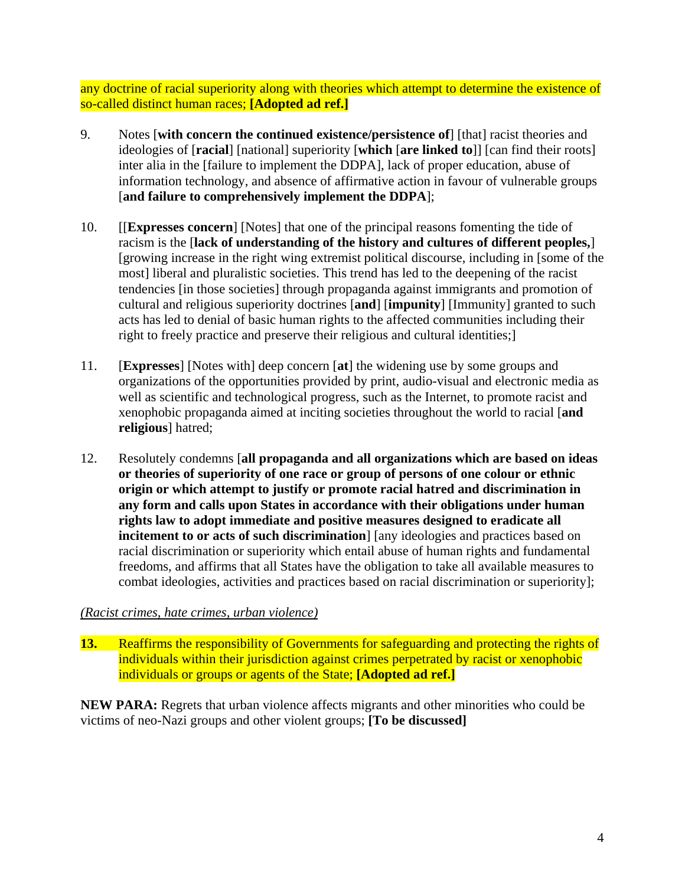any doctrine of racial superiority along with theories which attempt to determine the existence of so-called distinct human races; **[Adopted ad ref.]**

- 9. Notes [**with concern the continued existence/persistence of**] [that] racist theories and ideologies of [**racial**] [national] superiority [**which** [**are linked to**]] [can find their roots] inter alia in the [failure to implement the DDPA], lack of proper education, abuse of information technology, and absence of affirmative action in favour of vulnerable groups [**and failure to comprehensively implement the DDPA**];
- 10. [[**Expresses concern**] [Notes] that one of the principal reasons fomenting the tide of racism is the [**lack of understanding of the history and cultures of different peoples,**] [growing increase in the right wing extremist political discourse, including in [some of the most] liberal and pluralistic societies. This trend has led to the deepening of the racist tendencies [in those societies] through propaganda against immigrants and promotion of cultural and religious superiority doctrines [**and**] [**impunity**] [Immunity] granted to such acts has led to denial of basic human rights to the affected communities including their right to freely practice and preserve their religious and cultural identities;]
- 11. [**Expresses**] [Notes with] deep concern [**at**] the widening use by some groups and organizations of the opportunities provided by print, audio-visual and electronic media as well as scientific and technological progress, such as the Internet, to promote racist and xenophobic propaganda aimed at inciting societies throughout the world to racial [**and religious**] hatred;
- 12. Resolutely condemns [**all propaganda and all organizations which are based on ideas or theories of superiority of one race or group of persons of one colour or ethnic origin or which attempt to justify or promote racial hatred and discrimination in any form and calls upon States in accordance with their obligations under human rights law to adopt immediate and positive measures designed to eradicate all incitement to or acts of such discrimination**] [any ideologies and practices based on racial discrimination or superiority which entail abuse of human rights and fundamental freedoms, and affirms that all States have the obligation to take all available measures to combat ideologies, activities and practices based on racial discrimination or superiority];

## *(Racist crimes, hate crimes, urban violence)*

**13.** Reaffirms the responsibility of Governments for safeguarding and protecting the rights of individuals within their jurisdiction against crimes perpetrated by racist or xenophobic individuals or groups or agents of the State; **[Adopted ad ref.]** 

**NEW PARA:** Regrets that urban violence affects migrants and other minorities who could be victims of neo-Nazi groups and other violent groups; **[To be discussed]**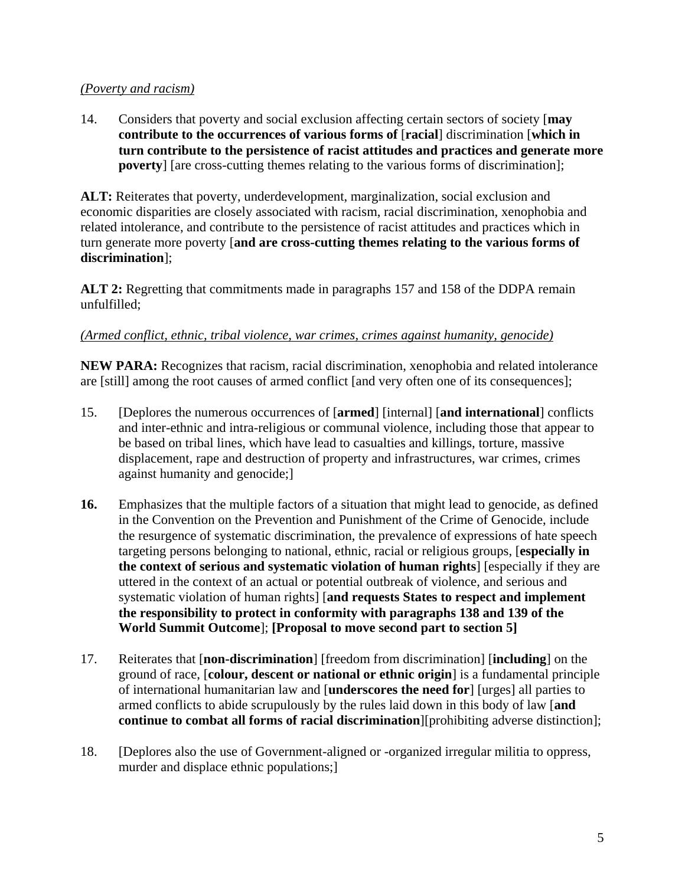## *(Poverty and racism)*

14. Considers that poverty and social exclusion affecting certain sectors of society [**may contribute to the occurrences of various forms of** [**racial**] discrimination [**which in turn contribute to the persistence of racist attitudes and practices and generate more poverty**] [are cross-cutting themes relating to the various forms of discrimination];

**ALT:** Reiterates that poverty, underdevelopment, marginalization, social exclusion and economic disparities are closely associated with racism, racial discrimination, xenophobia and related intolerance, and contribute to the persistence of racist attitudes and practices which in turn generate more poverty [**and are cross-cutting themes relating to the various forms of discrimination**];

**ALT 2:** Regretting that commitments made in paragraphs 157 and 158 of the DDPA remain unfulfilled;

# *(Armed conflict, ethnic, tribal violence, war crimes, crimes against humanity, genocide)*

**NEW PARA:** Recognizes that racism, racial discrimination, xenophobia and related intolerance are [still] among the root causes of armed conflict [and very often one of its consequences];

- 15. [Deplores the numerous occurrences of [**armed**] [internal] [**and international**] conflicts and inter-ethnic and intra-religious or communal violence, including those that appear to be based on tribal lines, which have lead to casualties and killings, torture, massive displacement, rape and destruction of property and infrastructures, war crimes, crimes against humanity and genocide;]
- **16.** Emphasizes that the multiple factors of a situation that might lead to genocide, as defined in the Convention on the Prevention and Punishment of the Crime of Genocide, include the resurgence of systematic discrimination, the prevalence of expressions of hate speech targeting persons belonging to national, ethnic, racial or religious groups, [**especially in the context of serious and systematic violation of human rights**] [especially if they are uttered in the context of an actual or potential outbreak of violence, and serious and systematic violation of human rights] [**and requests States to respect and implement the responsibility to protect in conformity with paragraphs 138 and 139 of the World Summit Outcome**]; **[Proposal to move second part to section 5]**
- 17. Reiterates that [**non-discrimination**] [freedom from discrimination] [**including**] on the ground of race, [**colour, descent or national or ethnic origin**] is a fundamental principle of international humanitarian law and [**underscores the need for**] [urges] all parties to armed conflicts to abide scrupulously by the rules laid down in this body of law [**and continue to combat all forms of racial discrimination**][prohibiting adverse distinction];
- 18. [Deplores also the use of Government-aligned or -organized irregular militia to oppress, murder and displace ethnic populations;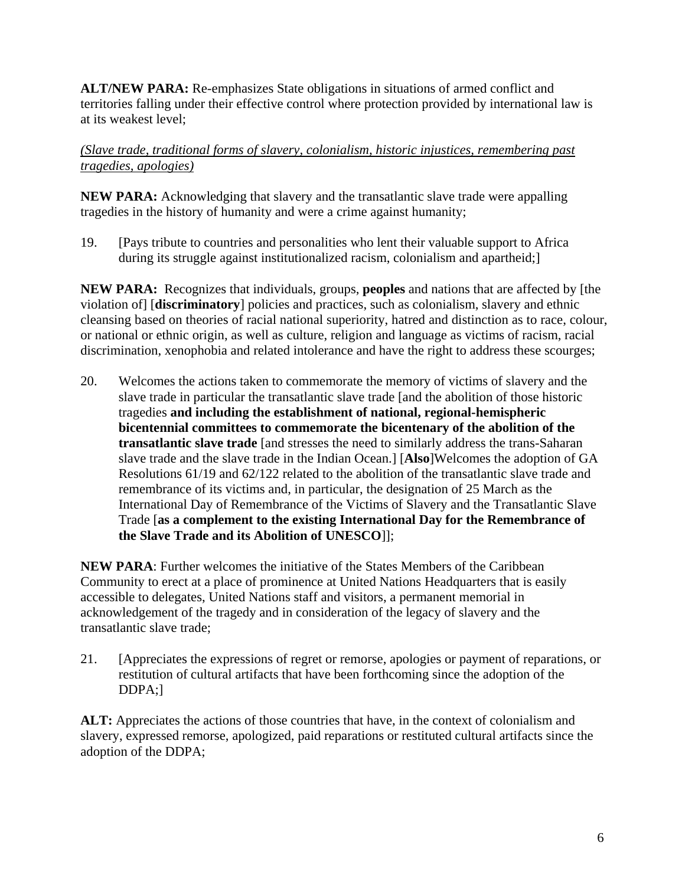**ALT/NEW PARA:** Re-emphasizes State obligations in situations of armed conflict and territories falling under their effective control where protection provided by international law is at its weakest level;

*(Slave trade, traditional forms of slavery, colonialism, historic injustices, remembering past tragedies, apologies)*

**NEW PARA:** Acknowledging that slavery and the transatlantic slave trade were appalling tragedies in the history of humanity and were a crime against humanity;

19. [Pays tribute to countries and personalities who lent their valuable support to Africa during its struggle against institutionalized racism, colonialism and apartheid;

**NEW PARA:** Recognizes that individuals, groups, **peoples** and nations that are affected by [the violation of] [**discriminatory**] policies and practices, such as colonialism, slavery and ethnic cleansing based on theories of racial national superiority, hatred and distinction as to race, colour, or national or ethnic origin, as well as culture, religion and language as victims of racism, racial discrimination, xenophobia and related intolerance and have the right to address these scourges;

20. Welcomes the actions taken to commemorate the memory of victims of slavery and the slave trade in particular the transatlantic slave trade [and the abolition of those historic tragedies **and including the establishment of national, regional-hemispheric bicentennial committees to commemorate the bicentenary of the abolition of the transatlantic slave trade** [and stresses the need to similarly address the trans-Saharan slave trade and the slave trade in the Indian Ocean.] [**Also**]Welcomes the adoption of GA Resolutions 61/19 and 62/122 related to the abolition of the transatlantic slave trade and remembrance of its victims and, in particular, the designation of 25 March as the International Day of Remembrance of the Victims of Slavery and the Transatlantic Slave Trade [**as a complement to the existing International Day for the Remembrance of the Slave Trade and its Abolition of UNESCO**]];

**NEW PARA**: Further welcomes the initiative of the States Members of the Caribbean Community to erect at a place of prominence at United Nations Headquarters that is easily accessible to delegates, United Nations staff and visitors, a permanent memorial in acknowledgement of the tragedy and in consideration of the legacy of slavery and the transatlantic slave trade;

21. [Appreciates the expressions of regret or remorse, apologies or payment of reparations, or restitution of cultural artifacts that have been forthcoming since the adoption of the DDPA;]

**ALT:** Appreciates the actions of those countries that have, in the context of colonialism and slavery, expressed remorse, apologized, paid reparations or restituted cultural artifacts since the adoption of the DDPA;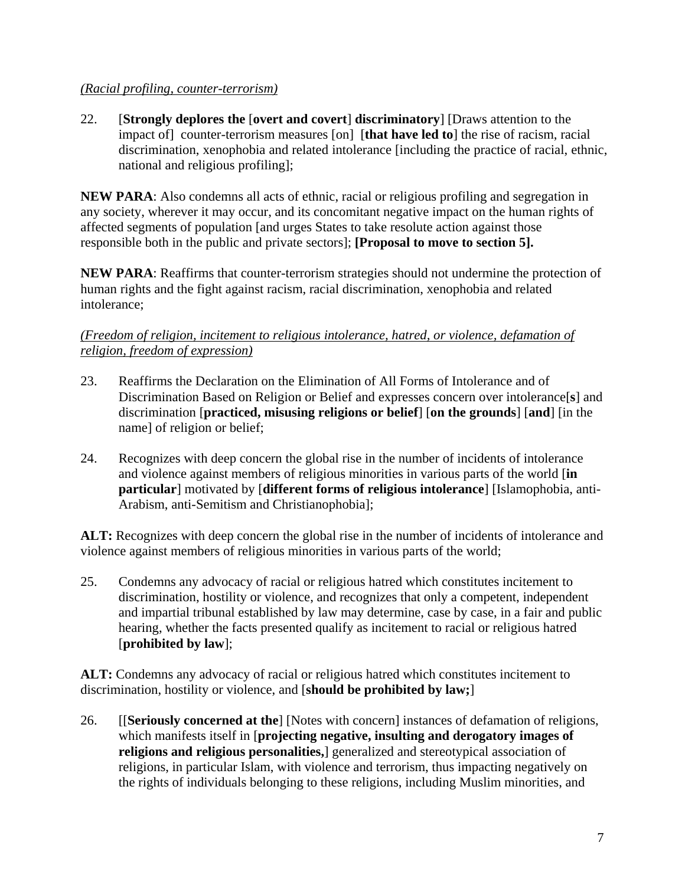### *(Racial profiling, counter-terrorism)*

22. [**Strongly deplores the** [**overt and covert**] **discriminatory**] [Draws attention to the impact of] counter-terrorism measures [on] [**that have led to**] the rise of racism, racial discrimination, xenophobia and related intolerance [including the practice of racial, ethnic, national and religious profiling];

**NEW PARA**: Also condemns all acts of ethnic, racial or religious profiling and segregation in any society, wherever it may occur, and its concomitant negative impact on the human rights of affected segments of population [and urges States to take resolute action against those responsible both in the public and private sectors]; **[Proposal to move to section 5].**

**NEW PARA**: Reaffirms that counter-terrorism strategies should not undermine the protection of human rights and the fight against racism, racial discrimination, xenophobia and related intolerance;

## *(Freedom of religion, incitement to religious intolerance, hatred, or violence, defamation of religion, freedom of expression)*

- 23. Reaffirms the Declaration on the Elimination of All Forms of Intolerance and of Discrimination Based on Religion or Belief and expresses concern over intolerance[**s**] and discrimination [**practiced, misusing religions or belief**] [**on the grounds**] [**and**] [in the name] of religion or belief;
- 24. Recognizes with deep concern the global rise in the number of incidents of intolerance and violence against members of religious minorities in various parts of the world [**in particular**] motivated by [**different forms of religious intolerance**] [Islamophobia, anti-Arabism, anti-Semitism and Christianophobia];

**ALT:** Recognizes with deep concern the global rise in the number of incidents of intolerance and violence against members of religious minorities in various parts of the world;

25. Condemns any advocacy of racial or religious hatred which constitutes incitement to discrimination, hostility or violence, and recognizes that only a competent, independent and impartial tribunal established by law may determine, case by case, in a fair and public hearing, whether the facts presented qualify as incitement to racial or religious hatred [**prohibited by law**];

**ALT:** Condemns any advocacy of racial or religious hatred which constitutes incitement to discrimination, hostility or violence, and [**should be prohibited by law;**]

26. [[**Seriously concerned at the**] [Notes with concern] instances of defamation of religions, which manifests itself in [**projecting negative, insulting and derogatory images of religions and religious personalities,**] generalized and stereotypical association of religions, in particular Islam, with violence and terrorism, thus impacting negatively on the rights of individuals belonging to these religions, including Muslim minorities, and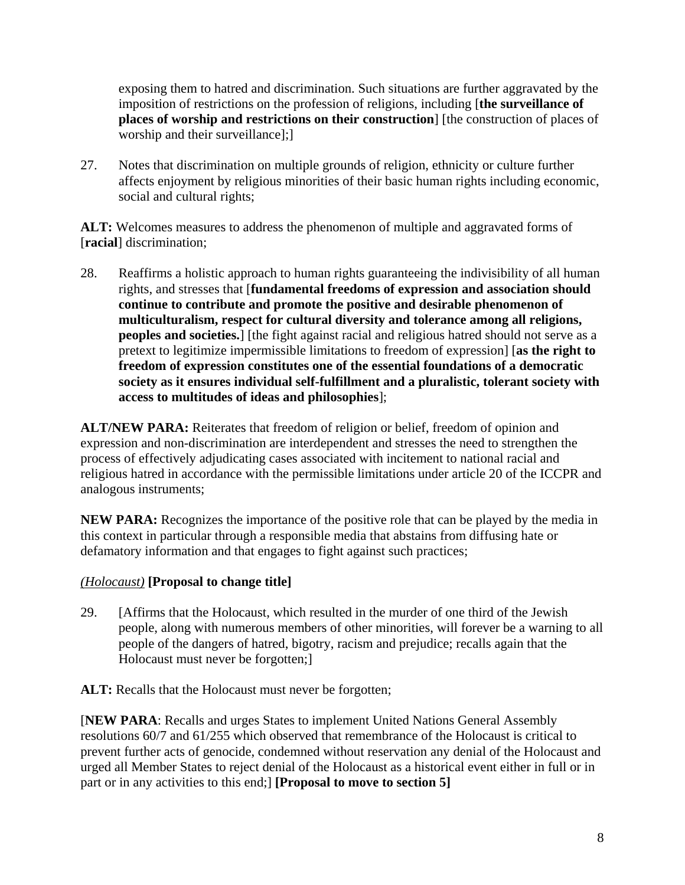exposing them to hatred and discrimination. Such situations are further aggravated by the imposition of restrictions on the profession of religions, including [**the surveillance of places of worship and restrictions on their construction**] [the construction of places of worship and their surveillance];]

27. Notes that discrimination on multiple grounds of religion, ethnicity or culture further affects enjoyment by religious minorities of their basic human rights including economic, social and cultural rights;

ALT: Welcomes measures to address the phenomenon of multiple and aggravated forms of [**racial**] discrimination;

28. Reaffirms a holistic approach to human rights guaranteeing the indivisibility of all human rights, and stresses that [**fundamental freedoms of expression and association should continue to contribute and promote the positive and desirable phenomenon of multiculturalism, respect for cultural diversity and tolerance among all religions, peoples and societies.**] [the fight against racial and religious hatred should not serve as a pretext to legitimize impermissible limitations to freedom of expression] [**as the right to freedom of expression constitutes one of the essential foundations of a democratic society as it ensures individual self-fulfillment and a pluralistic, tolerant society with access to multitudes of ideas and philosophies**];

**ALT/NEW PARA:** Reiterates that freedom of religion or belief, freedom of opinion and expression and non-discrimination are interdependent and stresses the need to strengthen the process of effectively adjudicating cases associated with incitement to national racial and religious hatred in accordance with the permissible limitations under article 20 of the ICCPR and analogous instruments;

**NEW PARA:** Recognizes the importance of the positive role that can be played by the media in this context in particular through a responsible media that abstains from diffusing hate or defamatory information and that engages to fight against such practices;

## *(Holocaust)* **[Proposal to change title]**

29. [Affirms that the Holocaust, which resulted in the murder of one third of the Jewish people, along with numerous members of other minorities, will forever be a warning to all people of the dangers of hatred, bigotry, racism and prejudice; recalls again that the Holocaust must never be forgotten;]

**ALT:** Recalls that the Holocaust must never be forgotten;

[**NEW PARA**: Recalls and urges States to implement United Nations General Assembly resolutions 60/7 and 61/255 which observed that remembrance of the Holocaust is critical to prevent further acts of genocide, condemned without reservation any denial of the Holocaust and urged all Member States to reject denial of the Holocaust as a historical event either in full or in part or in any activities to this end;] **[Proposal to move to section 5]**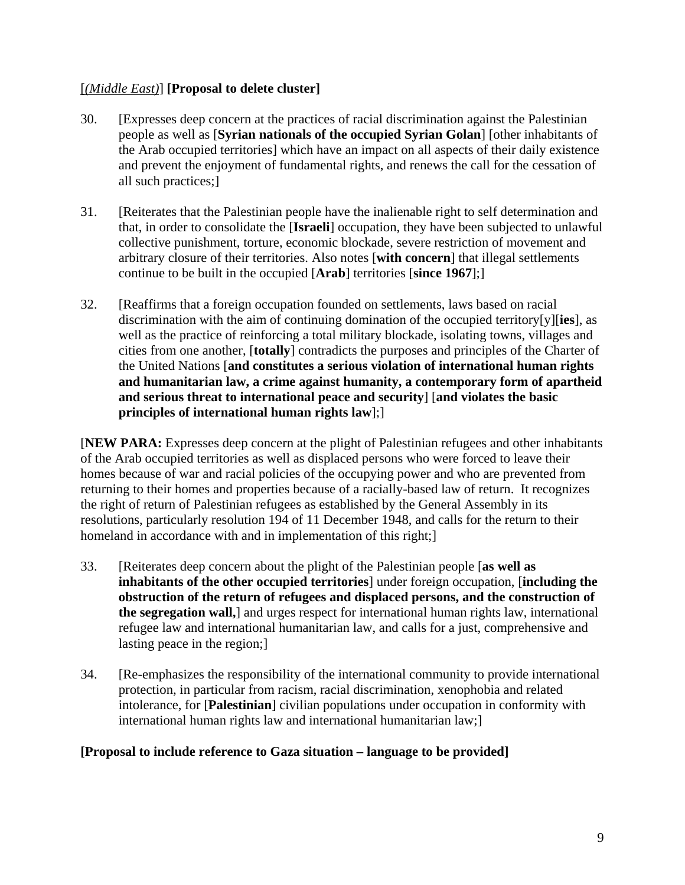## [*(Middle East)*] **[Proposal to delete cluster]**

- 30. [Expresses deep concern at the practices of racial discrimination against the Palestinian people as well as [**Syrian nationals of the occupied Syrian Golan**] [other inhabitants of the Arab occupied territories] which have an impact on all aspects of their daily existence and prevent the enjoyment of fundamental rights, and renews the call for the cessation of all such practices;]
- 31. [Reiterates that the Palestinian people have the inalienable right to self determination and that, in order to consolidate the [**Israeli**] occupation, they have been subjected to unlawful collective punishment, torture, economic blockade, severe restriction of movement and arbitrary closure of their territories. Also notes [**with concern**] that illegal settlements continue to be built in the occupied [**Arab**] territories [**since 1967**];]
- 32. [Reaffirms that a foreign occupation founded on settlements, laws based on racial discrimination with the aim of continuing domination of the occupied territory[y][**ies**], as well as the practice of reinforcing a total military blockade, isolating towns, villages and cities from one another, [**totally**] contradicts the purposes and principles of the Charter of the United Nations [**and constitutes a serious violation of international human rights and humanitarian law, a crime against humanity, a contemporary form of apartheid and serious threat to international peace and security**] [**and violates the basic principles of international human rights law**];]

[**NEW PARA:** Expresses deep concern at the plight of Palestinian refugees and other inhabitants of the Arab occupied territories as well as displaced persons who were forced to leave their homes because of war and racial policies of the occupying power and who are prevented from returning to their homes and properties because of a racially-based law of return. It recognizes the right of return of Palestinian refugees as established by the General Assembly in its resolutions, particularly resolution 194 of 11 December 1948, and calls for the return to their homeland in accordance with and in implementation of this right;

- 33. [Reiterates deep concern about the plight of the Palestinian people [**as well as inhabitants of the other occupied territories**] under foreign occupation, [**including the obstruction of the return of refugees and displaced persons, and the construction of the segregation wall,**] and urges respect for international human rights law, international refugee law and international humanitarian law, and calls for a just, comprehensive and lasting peace in the region;]
- 34. [Re-emphasizes the responsibility of the international community to provide international protection, in particular from racism, racial discrimination, xenophobia and related intolerance, for [**Palestinian**] civilian populations under occupation in conformity with international human rights law and international humanitarian law;]

## **[Proposal to include reference to Gaza situation – language to be provided]**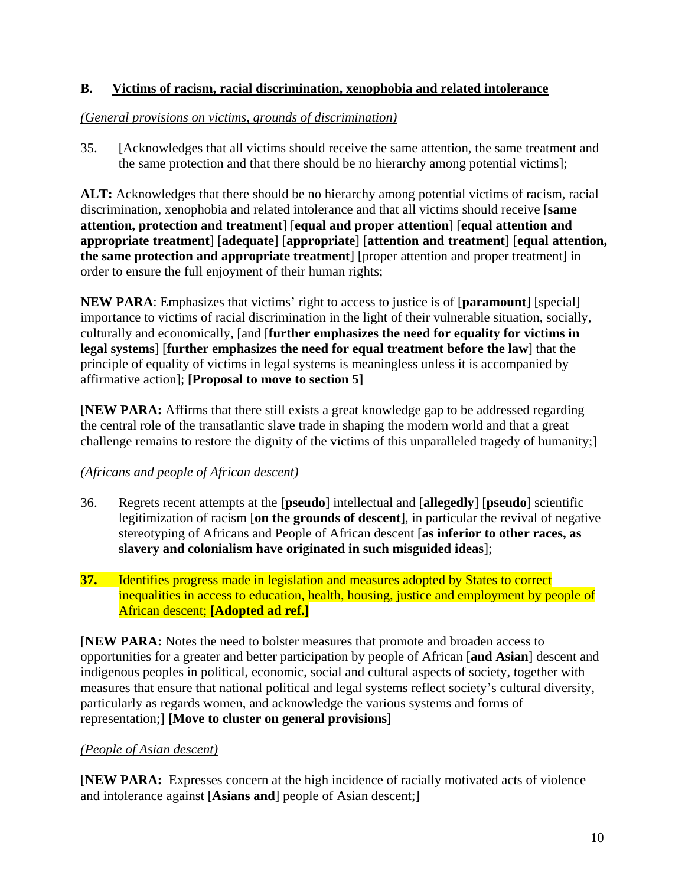## **B. Victims of racism, racial discrimination, xenophobia and related intolerance**

## *(General provisions on victims, grounds of discrimination)*

35. [Acknowledges that all victims should receive the same attention, the same treatment and the same protection and that there should be no hierarchy among potential victims];

**ALT:** Acknowledges that there should be no hierarchy among potential victims of racism, racial discrimination, xenophobia and related intolerance and that all victims should receive [**same attention, protection and treatment**] [**equal and proper attention**] [**equal attention and appropriate treatment**] [**adequate**] [**appropriate**] [**attention and treatment**] [**equal attention, the same protection and appropriate treatment**] [proper attention and proper treatment] in order to ensure the full enjoyment of their human rights;

**NEW PARA**: Emphasizes that victims' right to access to justice is of [**paramount**] [special] importance to victims of racial discrimination in the light of their vulnerable situation, socially, culturally and economically, [and [**further emphasizes the need for equality for victims in legal systems**] [**further emphasizes the need for equal treatment before the law**] that the principle of equality of victims in legal systems is meaningless unless it is accompanied by affirmative action]; **[Proposal to move to section 5]**

[**NEW PARA:** Affirms that there still exists a great knowledge gap to be addressed regarding the central role of the transatlantic slave trade in shaping the modern world and that a great challenge remains to restore the dignity of the victims of this unparalleled tragedy of humanity;]

# *(Africans and people of African descent)*

- 36. Regrets recent attempts at the [**pseudo**] intellectual and [**allegedly**] [**pseudo**] scientific legitimization of racism [**on the grounds of descent**], in particular the revival of negative stereotyping of Africans and People of African descent [**as inferior to other races, as slavery and colonialism have originated in such misguided ideas**];
- **37.** Identifies progress made in legislation and measures adopted by States to correct inequalities in access to education, health, housing, justice and employment by people of African descent; **[Adopted ad ref.]**

[**NEW PARA:** Notes the need to bolster measures that promote and broaden access to opportunities for a greater and better participation by people of African [**and Asian**] descent and indigenous peoples in political, economic, social and cultural aspects of society, together with measures that ensure that national political and legal systems reflect society's cultural diversity, particularly as regards women, and acknowledge the various systems and forms of representation;] **[Move to cluster on general provisions]** 

# *(People of Asian descent)*

[**NEW PARA:** Expresses concern at the high incidence of racially motivated acts of violence and intolerance against [**Asians and**] people of Asian descent;]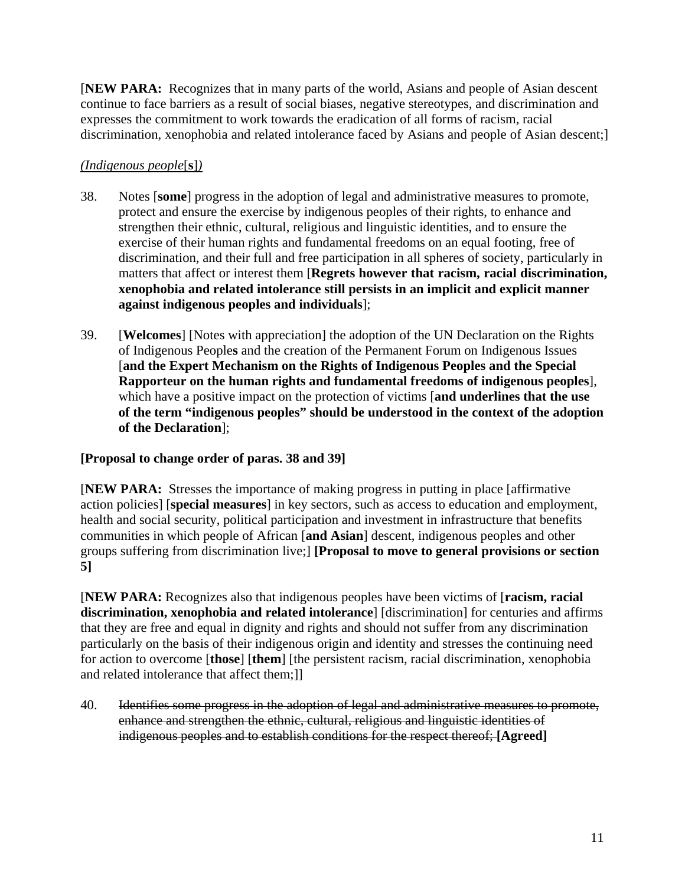[**NEW PARA:** Recognizes that in many parts of the world, Asians and people of Asian descent continue to face barriers as a result of social biases, negative stereotypes, and discrimination and expresses the commitment to work towards the eradication of all forms of racism, racial discrimination, xenophobia and related intolerance faced by Asians and people of Asian descent;]

# *(Indigenous people*[**s**]*)*

- 38. Notes [**some**] progress in the adoption of legal and administrative measures to promote, protect and ensure the exercise by indigenous peoples of their rights, to enhance and strengthen their ethnic, cultural, religious and linguistic identities, and to ensure the exercise of their human rights and fundamental freedoms on an equal footing, free of discrimination, and their full and free participation in all spheres of society, particularly in matters that affect or interest them [**Regrets however that racism, racial discrimination, xenophobia and related intolerance still persists in an implicit and explicit manner against indigenous peoples and individuals**];
- 39. [**Welcomes**] [Notes with appreciation] the adoption of the UN Declaration on the Rights of Indigenous People**s** and the creation of the Permanent Forum on Indigenous Issues [**and the Expert Mechanism on the Rights of Indigenous Peoples and the Special Rapporteur on the human rights and fundamental freedoms of indigenous peoples**], which have a positive impact on the protection of victims [**and underlines that the use of the term "indigenous peoples" should be understood in the context of the adoption of the Declaration**];

## **[Proposal to change order of paras. 38 and 39]**

[**NEW PARA:** Stresses the importance of making progress in putting in place [affirmative action policies] [**special measures**] in key sectors, such as access to education and employment, health and social security, political participation and investment in infrastructure that benefits communities in which people of African [**and Asian**] descent, indigenous peoples and other groups suffering from discrimination live;] **[Proposal to move to general provisions or section 5]** 

[**NEW PARA:** Recognizes also that indigenous peoples have been victims of [**racism, racial discrimination, xenophobia and related intolerance**] [discrimination] for centuries and affirms that they are free and equal in dignity and rights and should not suffer from any discrimination particularly on the basis of their indigenous origin and identity and stresses the continuing need for action to overcome [**those**] [**them**] [the persistent racism, racial discrimination, xenophobia and related intolerance that affect them;]]

40. Identifies some progress in the adoption of legal and administrative measures to promote, enhance and strengthen the ethnic, cultural, religious and linguistic identities of indigenous peoples and to establish conditions for the respect thereof; **[Agreed]**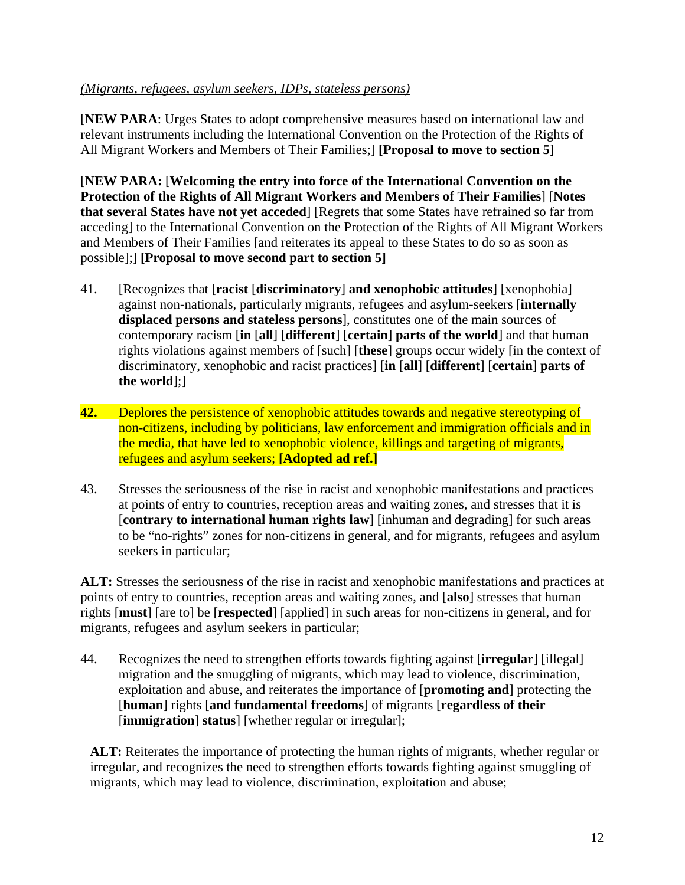## *(Migrants, refugees, asylum seekers, IDPs, stateless persons)*

[**NEW PARA**: Urges States to adopt comprehensive measures based on international law and relevant instruments including the International Convention on the Protection of the Rights of All Migrant Workers and Members of Their Families;] **[Proposal to move to section 5]** 

[**NEW PARA:** [**Welcoming the entry into force of the International Convention on the Protection of the Rights of All Migrant Workers and Members of Their Families**] [**Notes that several States have not yet acceded**] [Regrets that some States have refrained so far from acceding] to the International Convention on the Protection of the Rights of All Migrant Workers and Members of Their Families [and reiterates its appeal to these States to do so as soon as possible];] **[Proposal to move second part to section 5]**

- 41. [Recognizes that [**racist** [**discriminatory**] **and xenophobic attitudes**] [xenophobia] against non-nationals, particularly migrants, refugees and asylum-seekers [**internally displaced persons and stateless persons**], constitutes one of the main sources of contemporary racism [**in** [**all**] [**different**] [**certain**] **parts of the world**] and that human rights violations against members of [such] [**these**] groups occur widely [in the context of discriminatory, xenophobic and racist practices] [**in** [**all**] [**different**] [**certain**] **parts of the world**];]
- **42.** Deplores the persistence of xenophobic attitudes towards and negative stereotyping of non-citizens, including by politicians, law enforcement and immigration officials and in the media, that have led to xenophobic violence, killings and targeting of migrants, refugees and asylum seekers; **[Adopted ad ref.]**
- 43. Stresses the seriousness of the rise in racist and xenophobic manifestations and practices at points of entry to countries, reception areas and waiting zones, and stresses that it is [**contrary to international human rights law**] [inhuman and degrading] for such areas to be "no-rights" zones for non-citizens in general, and for migrants, refugees and asylum seekers in particular;

**ALT:** Stresses the seriousness of the rise in racist and xenophobic manifestations and practices at points of entry to countries, reception areas and waiting zones, and [**also**] stresses that human rights [**must**] [are to] be [**respected**] [applied] in such areas for non-citizens in general, and for migrants, refugees and asylum seekers in particular;

44. Recognizes the need to strengthen efforts towards fighting against [**irregular**] [illegal] migration and the smuggling of migrants, which may lead to violence, discrimination, exploitation and abuse, and reiterates the importance of [**promoting and**] protecting the [**human**] rights [**and fundamental freedoms**] of migrants [**regardless of their**  [**immigration**] **status**] [whether regular or irregular];

**ALT:** Reiterates the importance of protecting the human rights of migrants, whether regular or irregular, and recognizes the need to strengthen efforts towards fighting against smuggling of migrants, which may lead to violence, discrimination, exploitation and abuse;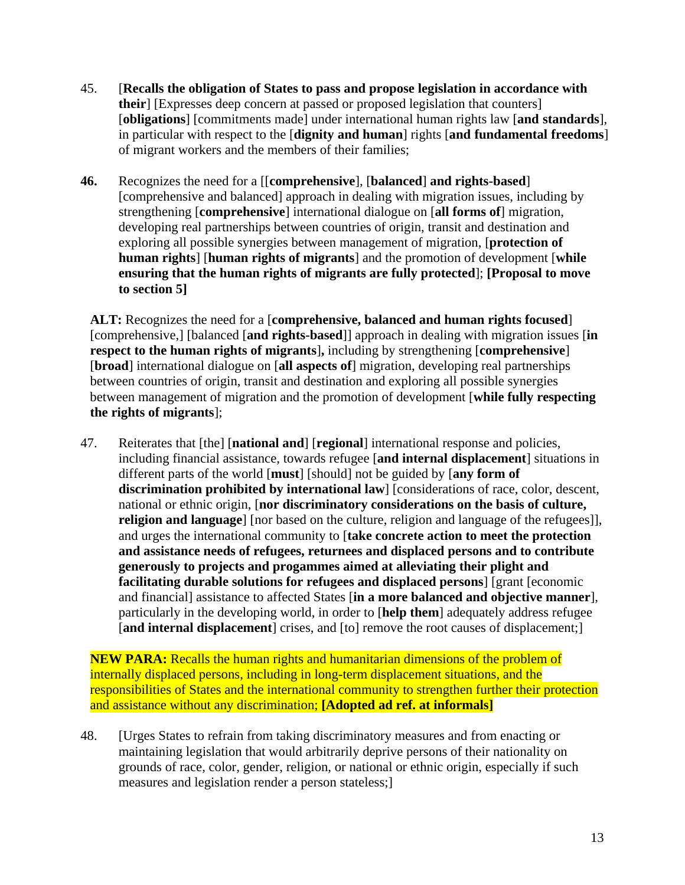- 45. [**Recalls the obligation of States to pass and propose legislation in accordance with their**] [Expresses deep concern at passed or proposed legislation that counters] [**obligations**] [commitments made] under international human rights law [**and standards**], in particular with respect to the [**dignity and human**] rights [**and fundamental freedoms**] of migrant workers and the members of their families;
- **46.** Recognizes the need for a [[**comprehensive**], [**balanced**] **and rights-based**] [comprehensive and balanced] approach in dealing with migration issues, including by strengthening [**comprehensive**] international dialogue on [**all forms of**] migration, developing real partnerships between countries of origin, transit and destination and exploring all possible synergies between management of migration, [**protection of human rights**] [**human rights of migrants**] and the promotion of development [**while ensuring that the human rights of migrants are fully protected**]; **[Proposal to move to section 5]**

**ALT:** Recognizes the need for a [**comprehensive, balanced and human rights focused**] [comprehensive,] [balanced [**and rights-based**]] approach in dealing with migration issues [**in respect to the human rights of migrants**]**,** including by strengthening [**comprehensive**] [**broad**] international dialogue on [**all aspects of**] migration, developing real partnerships between countries of origin, transit and destination and exploring all possible synergies between management of migration and the promotion of development [**while fully respecting the rights of migrants**];

47. Reiterates that [the] [**national and**] [**regional**] international response and policies, including financial assistance, towards refugee [**and internal displacement**] situations in different parts of the world [**must**] [should] not be guided by [**any form of discrimination prohibited by international law**] [considerations of race, color, descent, national or ethnic origin, [**nor discriminatory considerations on the basis of culture, religion and language**] [nor based on the culture, religion and language of the refugees]], and urges the international community to [**take concrete action to meet the protection and assistance needs of refugees, returnees and displaced persons and to contribute generously to projects and progammes aimed at alleviating their plight and facilitating durable solutions for refugees and displaced persons**] [grant [economic and financial] assistance to affected States [**in a more balanced and objective manner**], particularly in the developing world, in order to [**help them**] adequately address refugee [**and internal displacement**] crises, and [to] remove the root causes of displacement;]

**NEW PARA:** Recalls the human rights and humanitarian dimensions of the problem of internally displaced persons, including in long-term displacement situations, and the responsibilities of States and the international community to strengthen further their protection and assistance without any discrimination; **[Adopted ad ref. at informals]** 

48. [Urges States to refrain from taking discriminatory measures and from enacting or maintaining legislation that would arbitrarily deprive persons of their nationality on grounds of race, color, gender, religion, or national or ethnic origin, especially if such measures and legislation render a person stateless;]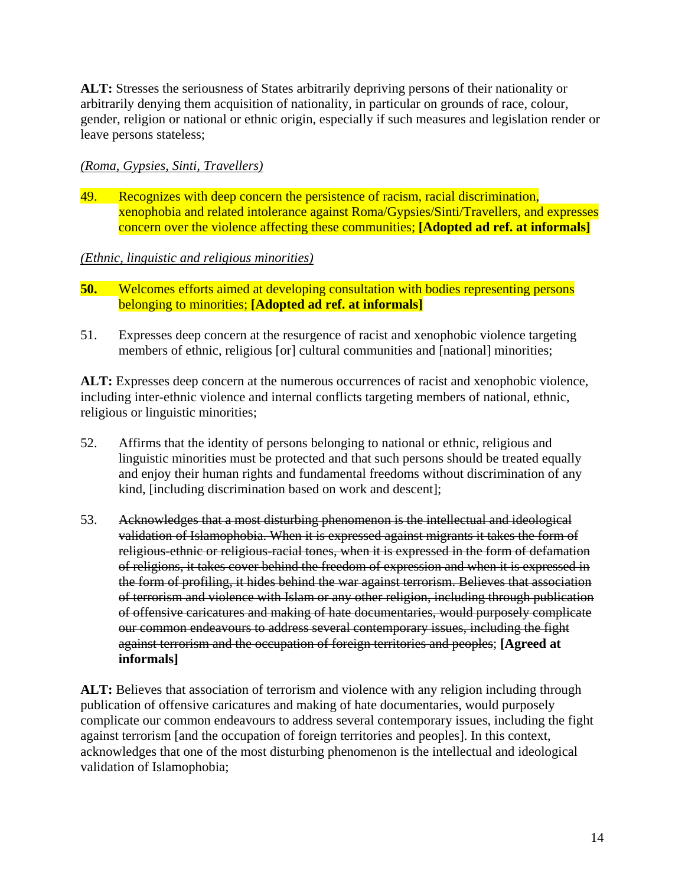**ALT:** Stresses the seriousness of States arbitrarily depriving persons of their nationality or arbitrarily denying them acquisition of nationality, in particular on grounds of race, colour, gender, religion or national or ethnic origin, especially if such measures and legislation render or leave persons stateless;

## *(Roma, Gypsies, Sinti, Travellers)*

49. Recognizes with deep concern the persistence of racism, racial discrimination, xenophobia and related intolerance against Roma/Gypsies/Sinti/Travellers, and expresses concern over the violence affecting these communities; **[Adopted ad ref. at informals]**

## *(Ethnic, linguistic and religious minorities)*

- **50.** Welcomes efforts aimed at developing consultation with bodies representing persons belonging to minorities; **[Adopted ad ref. at informals]**
- 51. Expresses deep concern at the resurgence of racist and xenophobic violence targeting members of ethnic, religious [or] cultural communities and [national] minorities;

ALT: Expresses deep concern at the numerous occurrences of racist and xenophobic violence, including inter-ethnic violence and internal conflicts targeting members of national, ethnic, religious or linguistic minorities;

- 52. Affirms that the identity of persons belonging to national or ethnic, religious and linguistic minorities must be protected and that such persons should be treated equally and enjoy their human rights and fundamental freedoms without discrimination of any kind, [including discrimination based on work and descent];
- 53. Acknowledges that a most disturbing phenomenon is the intellectual and ideological validation of Islamophobia. When it is expressed against migrants it takes the form of religious-ethnic or religious-racial tones, when it is expressed in the form of defamation of religions, it takes cover behind the freedom of expression and when it is expressed in the form of profiling, it hides behind the war against terrorism. Believes that association of terrorism and violence with Islam or any other religion, including through publication of offensive caricatures and making of hate documentaries, would purposely complicate our common endeavours to address several contemporary issues, including the fight against terrorism and the occupation of foreign territories and peoples; **[Agreed at informals]**

**ALT:** Believes that association of terrorism and violence with any religion including through publication of offensive caricatures and making of hate documentaries, would purposely complicate our common endeavours to address several contemporary issues, including the fight against terrorism [and the occupation of foreign territories and peoples]. In this context, acknowledges that one of the most disturbing phenomenon is the intellectual and ideological validation of Islamophobia;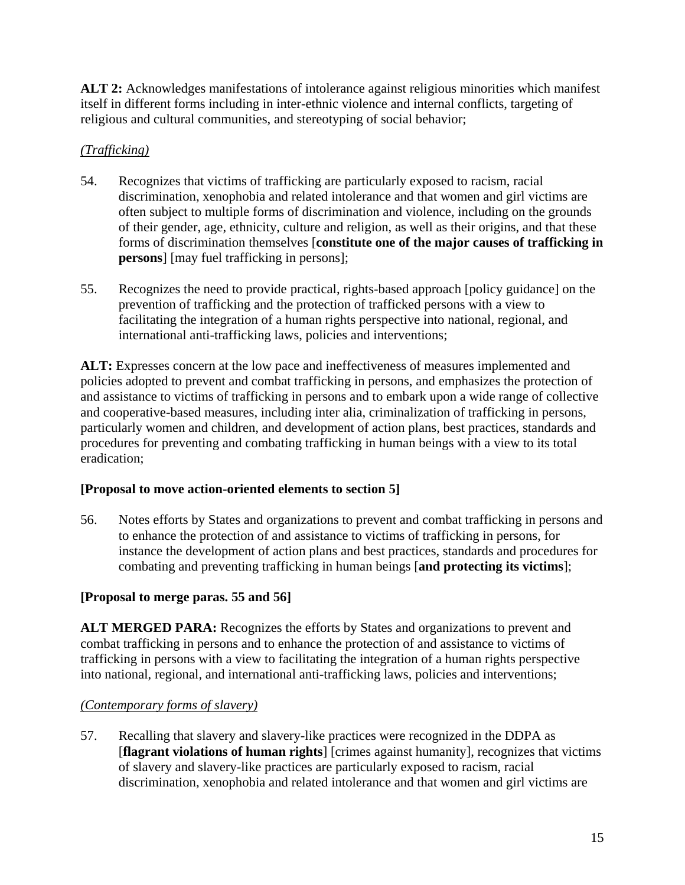**ALT 2:** Acknowledges manifestations of intolerance against religious minorities which manifest itself in different forms including in inter-ethnic violence and internal conflicts, targeting of religious and cultural communities, and stereotyping of social behavior;

# *(Trafficking)*

- 54. Recognizes that victims of trafficking are particularly exposed to racism, racial discrimination, xenophobia and related intolerance and that women and girl victims are often subject to multiple forms of discrimination and violence, including on the grounds of their gender, age, ethnicity, culture and religion, as well as their origins, and that these forms of discrimination themselves [**constitute one of the major causes of trafficking in persons**] [may fuel trafficking in persons];
- 55. Recognizes the need to provide practical, rights-based approach [policy guidance] on the prevention of trafficking and the protection of trafficked persons with a view to facilitating the integration of a human rights perspective into national, regional, and international anti-trafficking laws, policies and interventions;

ALT: Expresses concern at the low pace and ineffectiveness of measures implemented and policies adopted to prevent and combat trafficking in persons, and emphasizes the protection of and assistance to victims of trafficking in persons and to embark upon a wide range of collective and cooperative-based measures, including inter alia, criminalization of trafficking in persons, particularly women and children, and development of action plans, best practices, standards and procedures for preventing and combating trafficking in human beings with a view to its total eradication;

# **[Proposal to move action-oriented elements to section 5]**

56. Notes efforts by States and organizations to prevent and combat trafficking in persons and to enhance the protection of and assistance to victims of trafficking in persons, for instance the development of action plans and best practices, standards and procedures for combating and preventing trafficking in human beings [**and protecting its victims**];

# **[Proposal to merge paras. 55 and 56]**

ALT MERGED PARA: Recognizes the efforts by States and organizations to prevent and combat trafficking in persons and to enhance the protection of and assistance to victims of trafficking in persons with a view to facilitating the integration of a human rights perspective into national, regional, and international anti-trafficking laws, policies and interventions;

# *(Contemporary forms of slavery)*

57. Recalling that slavery and slavery-like practices were recognized in the DDPA as [**flagrant violations of human rights**] [crimes against humanity], recognizes that victims of slavery and slavery-like practices are particularly exposed to racism, racial discrimination, xenophobia and related intolerance and that women and girl victims are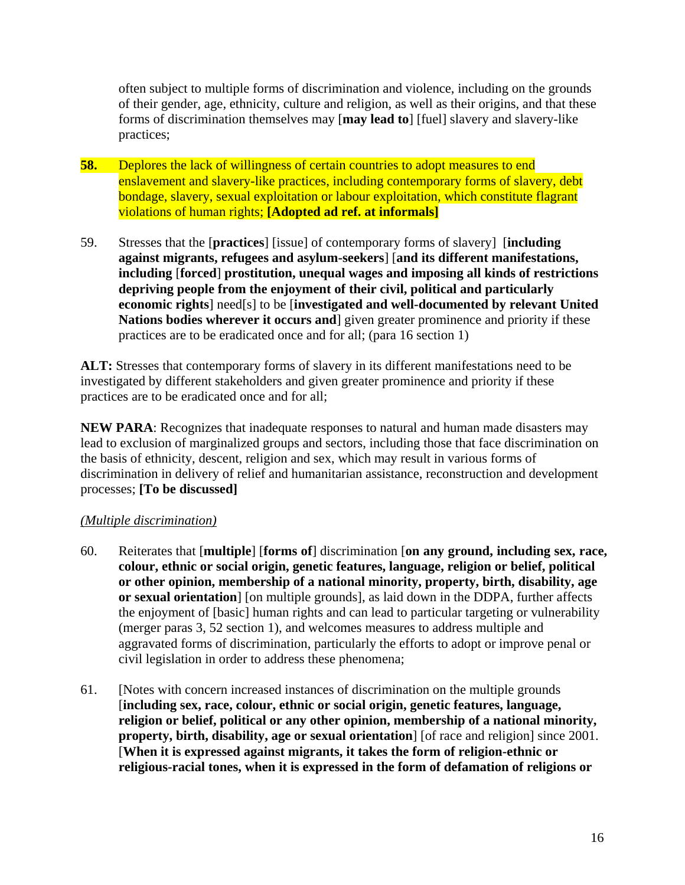often subject to multiple forms of discrimination and violence, including on the grounds of their gender, age, ethnicity, culture and religion, as well as their origins, and that these forms of discrimination themselves may [**may lead to**] [fuel] slavery and slavery-like practices;

- **58.** Deplores the lack of willingness of certain countries to adopt measures to end enslavement and slavery-like practices, including contemporary forms of slavery, debt bondage, slavery, sexual exploitation or labour exploitation, which constitute flagrant violations of human rights; **[Adopted ad ref. at informals]**
- 59. Stresses that the [**practices**] [issue] of contemporary forms of slavery] [**including against migrants, refugees and asylum-seekers**] [**and its different manifestations, including** [**forced**] **prostitution, unequal wages and imposing all kinds of restrictions depriving people from the enjoyment of their civil, political and particularly economic rights**] need[s] to be [**investigated and well-documented by relevant United Nations bodies wherever it occurs and**] given greater prominence and priority if these practices are to be eradicated once and for all; (para 16 section 1)

**ALT:** Stresses that contemporary forms of slavery in its different manifestations need to be investigated by different stakeholders and given greater prominence and priority if these practices are to be eradicated once and for all;

**NEW PARA**: Recognizes that inadequate responses to natural and human made disasters may lead to exclusion of marginalized groups and sectors, including those that face discrimination on the basis of ethnicity, descent, religion and sex, which may result in various forms of discrimination in delivery of relief and humanitarian assistance, reconstruction and development processes; **[To be discussed]** 

## *(Multiple discrimination)*

- 60. Reiterates that [**multiple**] [**forms of**] discrimination [**on any ground, including sex, race, colour, ethnic or social origin, genetic features, language, religion or belief, political or other opinion, membership of a national minority, property, birth, disability, age or sexual orientation**] [on multiple grounds], as laid down in the DDPA, further affects the enjoyment of [basic] human rights and can lead to particular targeting or vulnerability (merger paras 3, 52 section 1), and welcomes measures to address multiple and aggravated forms of discrimination, particularly the efforts to adopt or improve penal or civil legislation in order to address these phenomena;
- 61. [Notes with concern increased instances of discrimination on the multiple grounds [**including sex, race, colour, ethnic or social origin, genetic features, language, religion or belief, political or any other opinion, membership of a national minority, property, birth, disability, age or sexual orientation** [of race and religion] since 2001. [**When it is expressed against migrants, it takes the form of religion-ethnic or religious-racial tones, when it is expressed in the form of defamation of religions or**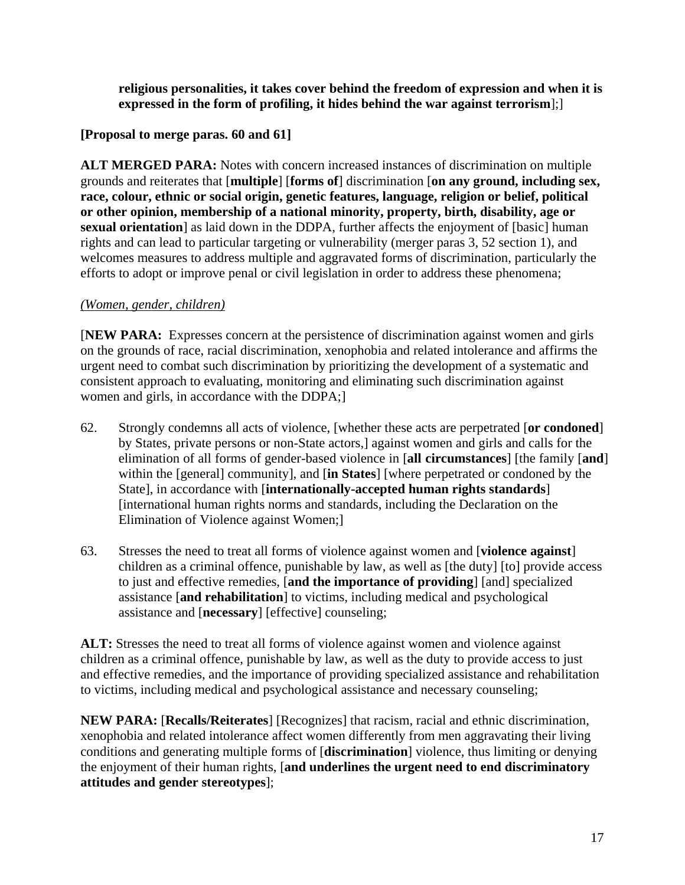**religious personalities, it takes cover behind the freedom of expression and when it is expressed in the form of profiling, it hides behind the war against terrorism**];]

# **[Proposal to merge paras. 60 and 61]**

**ALT MERGED PARA:** Notes with concern increased instances of discrimination on multiple grounds and reiterates that [**multiple**] [**forms of**] discrimination [**on any ground, including sex, race, colour, ethnic or social origin, genetic features, language, religion or belief, political or other opinion, membership of a national minority, property, birth, disability, age or sexual orientation**] as laid down in the DDPA, further affects the enjoyment of [basic] human rights and can lead to particular targeting or vulnerability (merger paras 3, 52 section 1), and welcomes measures to address multiple and aggravated forms of discrimination, particularly the efforts to adopt or improve penal or civil legislation in order to address these phenomena;

## *(Women, gender, children)*

[**NEW PARA:** Expresses concern at the persistence of discrimination against women and girls on the grounds of race, racial discrimination, xenophobia and related intolerance and affirms the urgent need to combat such discrimination by prioritizing the development of a systematic and consistent approach to evaluating, monitoring and eliminating such discrimination against women and girls, in accordance with the DDPA;

- 62. Strongly condemns all acts of violence, [whether these acts are perpetrated [**or condoned**] by States, private persons or non-State actors,] against women and girls and calls for the elimination of all forms of gender-based violence in [**all circumstances**] [the family [**and**] within the [general] community], and [**in States**] [where perpetrated or condoned by the State], in accordance with [**internationally-accepted human rights standards**] [international human rights norms and standards, including the Declaration on the Elimination of Violence against Women;]
- 63. Stresses the need to treat all forms of violence against women and [**violence against**] children as a criminal offence, punishable by law, as well as [the duty] [to] provide access to just and effective remedies, [**and the importance of providing**] [and] specialized assistance [**and rehabilitation**] to victims, including medical and psychological assistance and [**necessary**] [effective] counseling;

**ALT:** Stresses the need to treat all forms of violence against women and violence against children as a criminal offence, punishable by law, as well as the duty to provide access to just and effective remedies, and the importance of providing specialized assistance and rehabilitation to victims, including medical and psychological assistance and necessary counseling;

**NEW PARA:** [**Recalls/Reiterates**] [Recognizes] that racism, racial and ethnic discrimination, xenophobia and related intolerance affect women differently from men aggravating their living conditions and generating multiple forms of [**discrimination**] violence, thus limiting or denying the enjoyment of their human rights, [**and underlines the urgent need to end discriminatory attitudes and gender stereotypes**];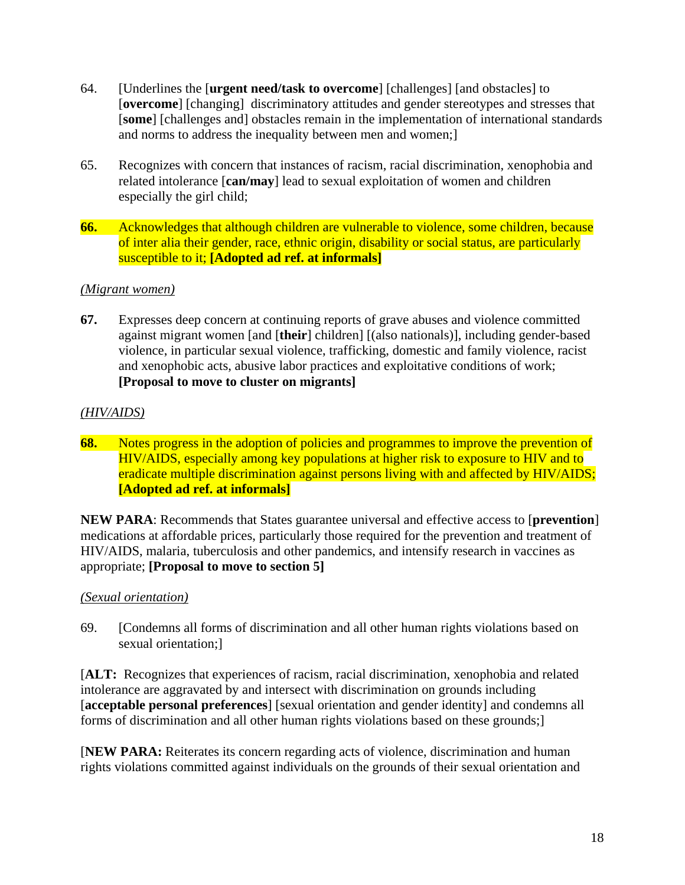- 64. [Underlines the [**urgent need/task to overcome**] [challenges] [and obstacles] to [**overcome**] [changing] discriminatory attitudes and gender stereotypes and stresses that [**some**] [challenges and] obstacles remain in the implementation of international standards and norms to address the inequality between men and women;]
- 65. Recognizes with concern that instances of racism, racial discrimination, xenophobia and related intolerance [**can/may**] lead to sexual exploitation of women and children especially the girl child;
- **66.** Acknowledges that although children are vulnerable to violence, some children, because of inter alia their gender, race, ethnic origin, disability or social status, are particularly susceptible to it; **[Adopted ad ref. at informals]**

## *(Migrant women)*

**67.** Expresses deep concern at continuing reports of grave abuses and violence committed against migrant women [and [**their**] children] [(also nationals)], including gender-based violence, in particular sexual violence, trafficking, domestic and family violence, racist and xenophobic acts, abusive labor practices and exploitative conditions of work; **[Proposal to move to cluster on migrants]** 

# *(HIV/AIDS)*

**68.** Notes progress in the adoption of policies and programmes to improve the prevention of HIV/AIDS, especially among key populations at higher risk to exposure to HIV and to eradicate multiple discrimination against persons living with and affected by HIV/AIDS; **[Adopted ad ref. at informals]** 

**NEW PARA**: Recommends that States guarantee universal and effective access to [**prevention**] medications at affordable prices, particularly those required for the prevention and treatment of HIV/AIDS, malaria, tuberculosis and other pandemics, and intensify research in vaccines as appropriate; **[Proposal to move to section 5]** 

## *(Sexual orientation)*

69. [Condemns all forms of discrimination and all other human rights violations based on sexual orientation;]

[**ALT:** Recognizes that experiences of racism, racial discrimination, xenophobia and related intolerance are aggravated by and intersect with discrimination on grounds including [**acceptable personal preferences**] [sexual orientation and gender identity] and condemns all forms of discrimination and all other human rights violations based on these grounds;]

[**NEW PARA:** Reiterates its concern regarding acts of violence, discrimination and human rights violations committed against individuals on the grounds of their sexual orientation and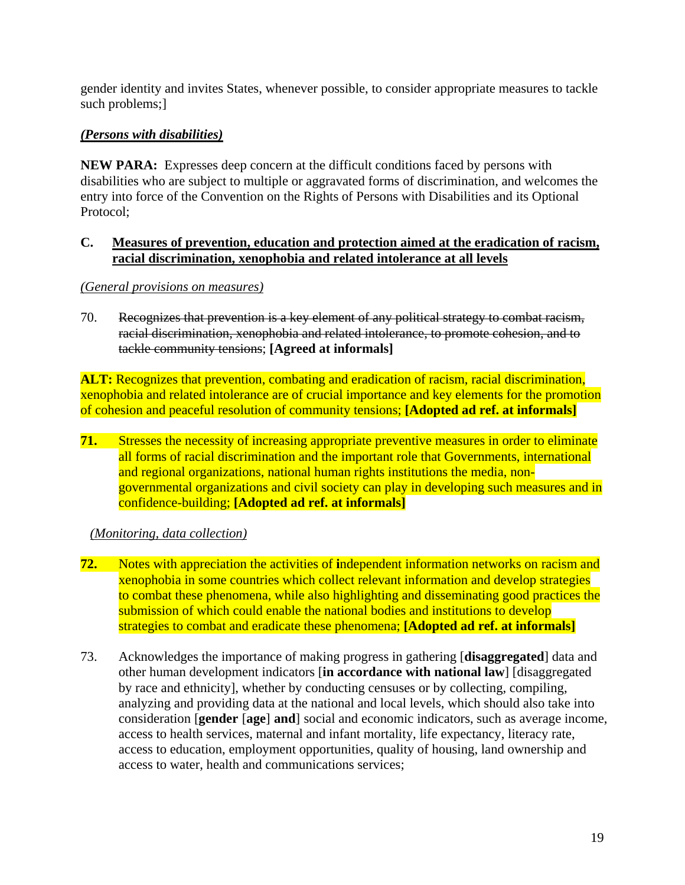gender identity and invites States, whenever possible, to consider appropriate measures to tackle such problems;]

# *(Persons with disabilities)*

**NEW PARA:** Expresses deep concern at the difficult conditions faced by persons with disabilities who are subject to multiple or aggravated forms of discrimination, and welcomes the entry into force of the Convention on the Rights of Persons with Disabilities and its Optional Protocol;

#### **C. Measures of prevention, education and protection aimed at the eradication of racism, racial discrimination, xenophobia and related intolerance at all levels**

*(General provisions on measures)*

70. Recognizes that prevention is a key element of any political strategy to combat racism, racial discrimination, xenophobia and related intolerance, to promote cohesion, and to tackle community tensions; **[Agreed at informals]**

**ALT:** Recognizes that prevention, combating and eradication of racism, racial discrimination, xenophobia and related intolerance are of crucial importance and key elements for the promotion of cohesion and peaceful resolution of community tensions; **[Adopted ad ref. at informals]** 

**71.** Stresses the necessity of increasing appropriate preventive measures in order to eliminate all forms of racial discrimination and the important role that Governments, international and regional organizations, national human rights institutions the media, nongovernmental organizations and civil society can play in developing such measures and in confidence-building; **[Adopted ad ref. at informals]** 

*(Monitoring, data collection)*

- **72.** Notes with appreciation the activities of **i**ndependent information networks on racism and xenophobia in some countries which collect relevant information and develop strategies to combat these phenomena, while also highlighting and disseminating good practices the submission of which could enable the national bodies and institutions to develop strategies to combat and eradicate these phenomena; **[Adopted ad ref. at informals]**
- 73. Acknowledges the importance of making progress in gathering [**disaggregated**] data and other human development indicators [**in accordance with national law**] [disaggregated by race and ethnicity], whether by conducting censuses or by collecting, compiling, analyzing and providing data at the national and local levels, which should also take into consideration [**gender** [**age**] **and**] social and economic indicators, such as average income, access to health services, maternal and infant mortality, life expectancy, literacy rate, access to education, employment opportunities, quality of housing, land ownership and access to water, health and communications services;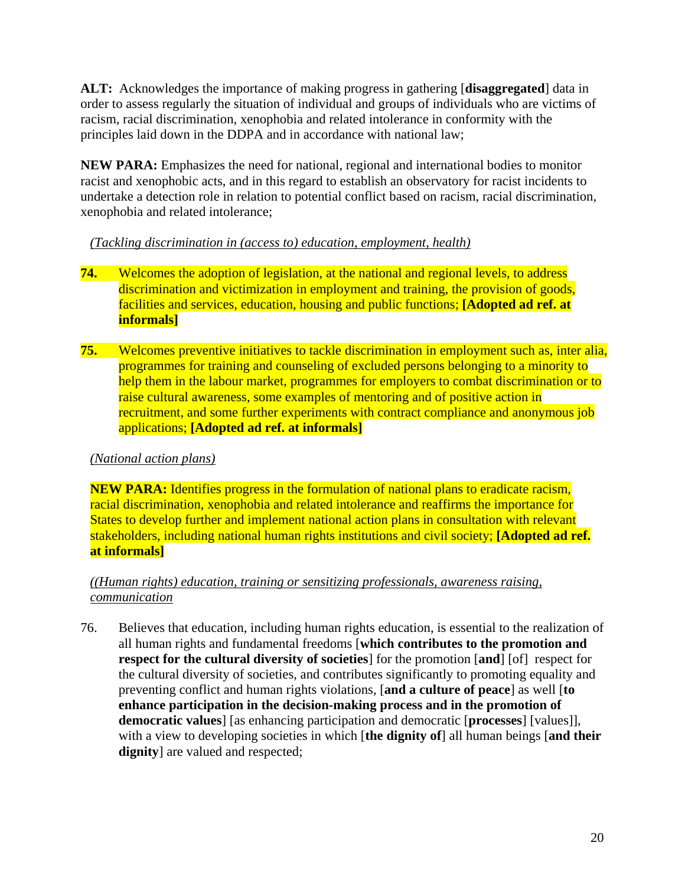**ALT:** Acknowledges the importance of making progress in gathering [**disaggregated**] data in order to assess regularly the situation of individual and groups of individuals who are victims of racism, racial discrimination, xenophobia and related intolerance in conformity with the principles laid down in the DDPA and in accordance with national law;

**NEW PARA:** Emphasizes the need for national, regional and international bodies to monitor racist and xenophobic acts, and in this regard to establish an observatory for racist incidents to undertake a detection role in relation to potential conflict based on racism, racial discrimination, xenophobia and related intolerance;

## *(Tackling discrimination in (access to) education, employment, health)*

- **74.** Welcomes the adoption of legislation, at the national and regional levels, to address discrimination and victimization in employment and training, the provision of goods, facilities and services, education, housing and public functions; **[Adopted ad ref. at informals]**
- **75.** Welcomes preventive initiatives to tackle discrimination in employment such as, inter alia, programmes for training and counseling of excluded persons belonging to a minority to help them in the labour market, programmes for employers to combat discrimination or to raise cultural awareness, some examples of mentoring and of positive action in recruitment, and some further experiments with contract compliance and anonymous job applications; **[Adopted ad ref. at informals]**

# *(National action plans)*

**NEW PARA:** Identifies progress in the formulation of national plans to eradicate racism, racial discrimination, xenophobia and related intolerance and reaffirms the importance for States to develop further and implement national action plans in consultation with relevant stakeholders, including national human rights institutions and civil society; **[Adopted ad ref. at informals]** 

## *((Human rights) education, training or sensitizing professionals, awareness raising, communication*

76. Believes that education, including human rights education, is essential to the realization of all human rights and fundamental freedoms [**which contributes to the promotion and respect for the cultural diversity of societies**] for the promotion [**and**] [of] respect for the cultural diversity of societies, and contributes significantly to promoting equality and preventing conflict and human rights violations, [**and a culture of peace**] as well [**to enhance participation in the decision-making process and in the promotion of democratic values**] [as enhancing participation and democratic [**processes**] [values]], with a view to developing societies in which [**the dignity of**] all human beings [**and their dignity**] are valued and respected: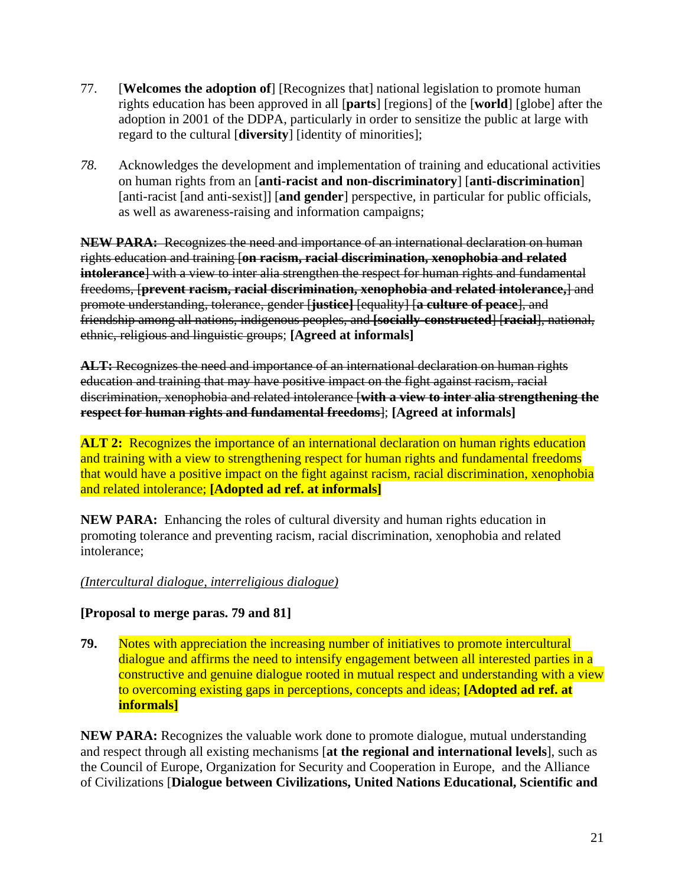- 77. [**Welcomes the adoption of**] [Recognizes that] national legislation to promote human rights education has been approved in all [**parts**] [regions] of the [**world**] [globe] after the adoption in 2001 of the DDPA, particularly in order to sensitize the public at large with regard to the cultural [**diversity**] [identity of minorities];
- *78.* Acknowledges the development and implementation of training and educational activities on human rights from an [**anti-racist and non-discriminatory**] [**anti-discrimination**] [anti-racist [and anti-sexist]] [**and gender**] perspective, in particular for public officials, as well as awareness-raising and information campaigns;

**NEW PARA:** Recognizes the need and importance of an international declaration on human rights education and training [**on racism, racial discrimination, xenophobia and related intolerance**] with a view to inter alia strengthen the respect for human rights and fundamental freedoms, [**prevent racism, racial discrimination, xenophobia and related intolerance,**] and promote understanding, tolerance, gender [**justice]** [equality] [**a culture of peace**], and friendship among all nations, indigenous peoples, and **[socially-constructed**] [**racial**], national, ethnic, religious and linguistic groups; **[Agreed at informals]** 

**ALT:** Recognizes the need and importance of an international declaration on human rights education and training that may have positive impact on the fight against racism, racial discrimination, xenophobia and related intolerance [**with a view to inter alia strengthening the respect for human rights and fundamental freedoms**]; **[Agreed at informals]** 

**ALT 2:** Recognizes the importance of an international declaration on human rights education and training with a view to strengthening respect for human rights and fundamental freedoms that would have a positive impact on the fight against racism, racial discrimination, xenophobia and related intolerance; **[Adopted ad ref. at informals]** 

**NEW PARA:** Enhancing the roles of cultural diversity and human rights education in promoting tolerance and preventing racism, racial discrimination, xenophobia and related intolerance;

## *(Intercultural dialogue, interreligious dialogue)*

## **[Proposal to merge paras. 79 and 81]**

**79.** Notes with appreciation the increasing number of initiatives to promote intercultural dialogue and affirms the need to intensify engagement between all interested parties in a constructive and genuine dialogue rooted in mutual respect and understanding with a view to overcoming existing gaps in perceptions, concepts and ideas; **[Adopted ad ref. at informals]** 

**NEW PARA:** Recognizes the valuable work done to promote dialogue, mutual understanding and respect through all existing mechanisms [**at the regional and international levels**], such as the Council of Europe, Organization for Security and Cooperation in Europe, and the Alliance of Civilizations [**Dialogue between Civilizations, United Nations Educational, Scientific and**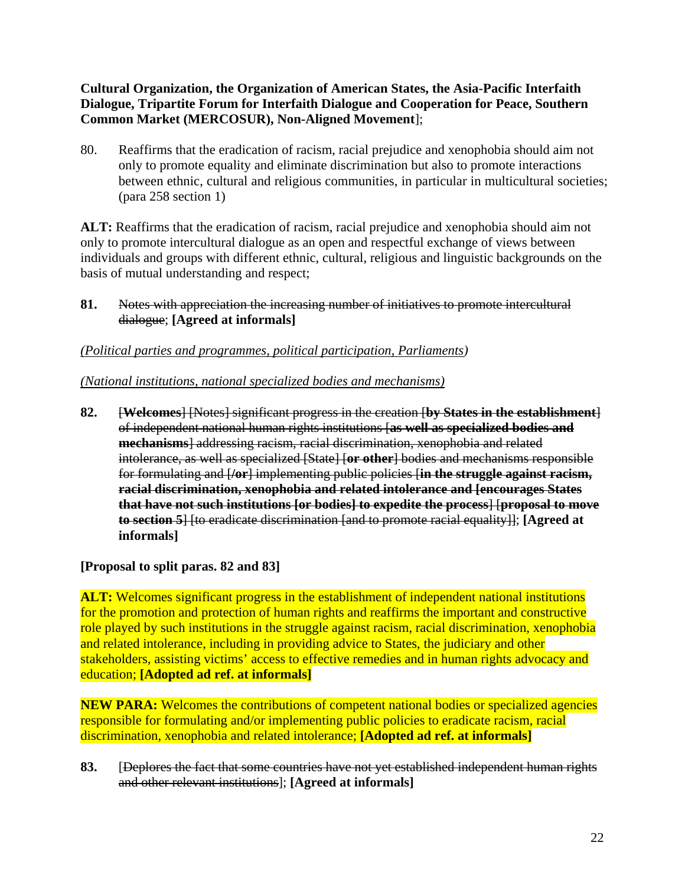## **Cultural Organization, the Organization of American States, the Asia-Pacific Interfaith Dialogue, Tripartite Forum for Interfaith Dialogue and Cooperation for Peace, Southern Common Market (MERCOSUR), Non-Aligned Movement**];

80. Reaffirms that the eradication of racism, racial prejudice and xenophobia should aim not only to promote equality and eliminate discrimination but also to promote interactions between ethnic, cultural and religious communities, in particular in multicultural societies; (para 258 section 1)

**ALT:** Reaffirms that the eradication of racism, racial prejudice and xenophobia should aim not only to promote intercultural dialogue as an open and respectful exchange of views between individuals and groups with different ethnic, cultural, religious and linguistic backgrounds on the basis of mutual understanding and respect;

**81.** Notes with appreciation the increasing number of initiatives to promote intercultural dialogue; **[Agreed at informals]** 

# *(Political parties and programmes, political participation, Parliaments)*

# *(National institutions, national specialized bodies and mechanisms)*

**82.** [**Welcomes**] [Notes] significant progress in the creation [**by States in the establishment**] of independent national human rights institutions [**as well as specialized bodies and mechanisms**] addressing racism, racial discrimination, xenophobia and related intolerance, as well as specialized [State] [**or other**] bodies and mechanisms responsible for formulating and [**/or**] implementing public policies [**in the struggle against racism, racial discrimination, xenophobia and related intolerance and [encourages States that have not such institutions [or bodies] to expedite the process**] [**proposal to move to section 5**] [to eradicate discrimination [and to promote racial equality]]; **[Agreed at informals]** 

## **[Proposal to split paras. 82 and 83]**

**ALT:** Welcomes significant progress in the establishment of independent national institutions for the promotion and protection of human rights and reaffirms the important and constructive role played by such institutions in the struggle against racism, racial discrimination, xenophobia and related intolerance, including in providing advice to States, the judiciary and other stakeholders, assisting victims' access to effective remedies and in human rights advocacy and education; **[Adopted ad ref. at informals]** 

**NEW PARA:** Welcomes the contributions of competent national bodies or specialized agencies responsible for formulating and/or implementing public policies to eradicate racism, racial discrimination, xenophobia and related intolerance; **[Adopted ad ref. at informals]** 

**83.** [Deplores the fact that some countries have not yet established independent human rights and other relevant institutions]; **[Agreed at informals]**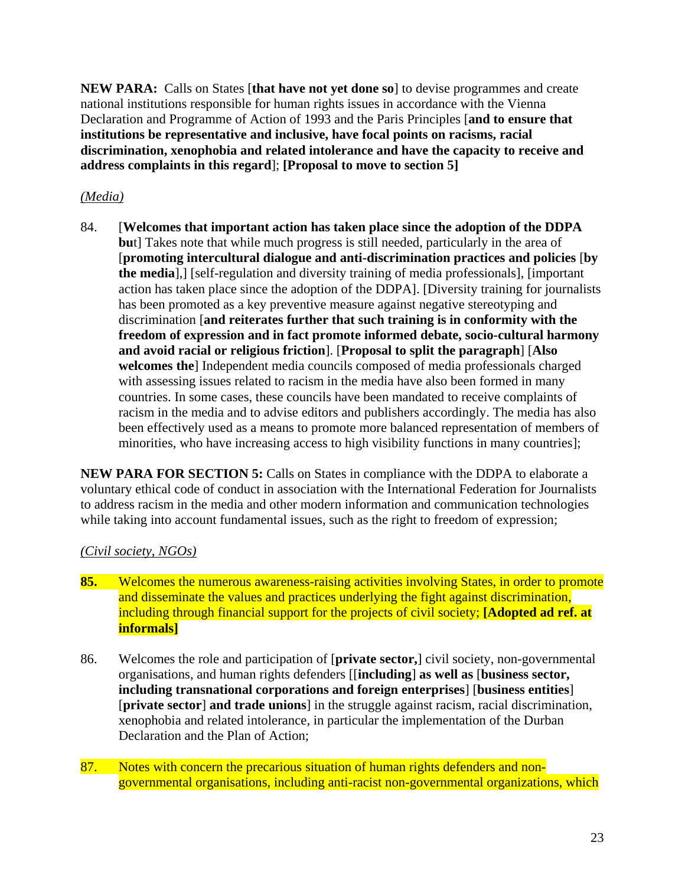**NEW PARA:** Calls on States [**that have not yet done so**] to devise programmes and create national institutions responsible for human rights issues in accordance with the Vienna Declaration and Programme of Action of 1993 and the Paris Principles [**and to ensure that institutions be representative and inclusive, have focal points on racisms, racial discrimination, xenophobia and related intolerance and have the capacity to receive and address complaints in this regard**]; **[Proposal to move to section 5]** 

## *(Media)*

84. [**Welcomes that important action has taken place since the adoption of the DDPA bu**t] Takes note that while much progress is still needed, particularly in the area of [**promoting intercultural dialogue and anti-discrimination practices and policies** [**by the media**],] [self-regulation and diversity training of media professionals], [important action has taken place since the adoption of the DDPA]. [Diversity training for journalists has been promoted as a key preventive measure against negative stereotyping and discrimination [**and reiterates further that such training is in conformity with the freedom of expression and in fact promote informed debate, socio-cultural harmony and avoid racial or religious friction**]. [**Proposal to split the paragraph**] [**Also welcomes the**] Independent media councils composed of media professionals charged with assessing issues related to racism in the media have also been formed in many countries. In some cases, these councils have been mandated to receive complaints of racism in the media and to advise editors and publishers accordingly. The media has also been effectively used as a means to promote more balanced representation of members of minorities, who have increasing access to high visibility functions in many countries];

**NEW PARA FOR SECTION 5:** Calls on States in compliance with the DDPA to elaborate a voluntary ethical code of conduct in association with the International Federation for Journalists to address racism in the media and other modern information and communication technologies while taking into account fundamental issues, such as the right to freedom of expression;

# *(Civil society, NGOs)*

- **85.** Welcomes the numerous awareness-raising activities involving States, in order to promote and disseminate the values and practices underlying the fight against discrimination, including through financial support for the projects of civil society; **[Adopted ad ref. at informals]**
- 86. Welcomes the role and participation of [**private sector,**] civil society, non-governmental organisations, and human rights defenders [[**including**] **as well as** [**business sector, including transnational corporations and foreign enterprises**] [**business entities**] [**private sector**] **and trade unions**] in the struggle against racism, racial discrimination, xenophobia and related intolerance, in particular the implementation of the Durban Declaration and the Plan of Action;
- 87. Notes with concern the precarious situation of human rights defenders and nongovernmental organisations, including anti-racist non-governmental organizations, which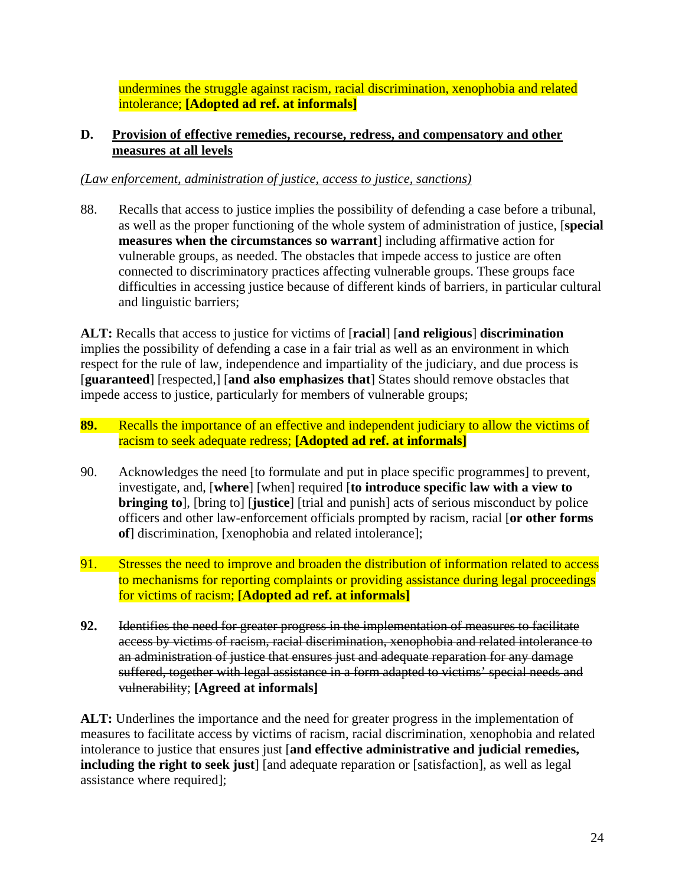undermines the struggle against racism, racial discrimination, xenophobia and related intolerance; **[Adopted ad ref. at informals]**

#### **D. Provision of effective remedies, recourse, redress, and compensatory and other measures at all levels**

#### *(Law enforcement, administration of justice, access to justice, sanctions)*

88. Recalls that access to justice implies the possibility of defending a case before a tribunal, as well as the proper functioning of the whole system of administration of justice, [**special measures when the circumstances so warrant**] including affirmative action for vulnerable groups, as needed. The obstacles that impede access to justice are often connected to discriminatory practices affecting vulnerable groups. These groups face difficulties in accessing justice because of different kinds of barriers, in particular cultural and linguistic barriers;

**ALT:** Recalls that access to justice for victims of [**racial**] [**and religious**] **discrimination**  implies the possibility of defending a case in a fair trial as well as an environment in which respect for the rule of law, independence and impartiality of the judiciary, and due process is [**guaranteed**] [respected,] [**and also emphasizes that**] States should remove obstacles that impede access to justice, particularly for members of vulnerable groups;

- **89.** Recalls the importance of an effective and independent judiciary to allow the victims of racism to seek adequate redress; **[Adopted ad ref. at informals]**
- 90. Acknowledges the need [to formulate and put in place specific programmes] to prevent, investigate, and, [**where**] [when] required [**to introduce specific law with a view to bringing to**], [bring to] [**justice**] [trial and punish] acts of serious misconduct by police officers and other law-enforcement officials prompted by racism, racial [**or other forms of**] discrimination, [xenophobia and related intolerance];
- 91. Stresses the need to improve and broaden the distribution of information related to access to mechanisms for reporting complaints or providing assistance during legal proceedings for victims of racism; **[Adopted ad ref. at informals]**
- **92.** Identifies the need for greater progress in the implementation of measures to facilitate access by victims of racism, racial discrimination, xenophobia and related intolerance to an administration of justice that ensures just and adequate reparation for any damage suffered, together with legal assistance in a form adapted to victims' special needs and vulnerability; **[Agreed at informals]**

**ALT:** Underlines the importance and the need for greater progress in the implementation of measures to facilitate access by victims of racism, racial discrimination, xenophobia and related intolerance to justice that ensures just [**and effective administrative and judicial remedies, including the right to seek just**] [and adequate reparation or [satisfaction], as well as legal assistance where required];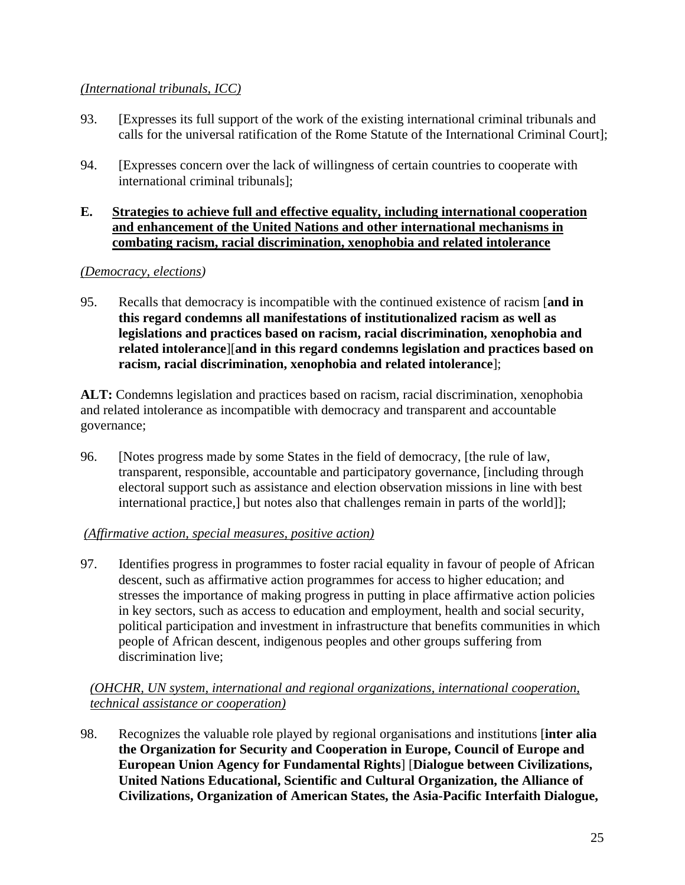# *(International tribunals, ICC)*

- 93. [Expresses its full support of the work of the existing international criminal tribunals and calls for the universal ratification of the Rome Statute of the International Criminal Court];
- 94. [Expresses concern over the lack of willingness of certain countries to cooperate with international criminal tribunals];

### **E. Strategies to achieve full and effective equality, including international cooperation and enhancement of the United Nations and other international mechanisms in combating racism, racial discrimination, xenophobia and related intolerance**

## *(Democracy, elections)*

95. Recalls that democracy is incompatible with the continued existence of racism [**and in this regard condemns all manifestations of institutionalized racism as well as legislations and practices based on racism, racial discrimination, xenophobia and related intolerance**][**and in this regard condemns legislation and practices based on racism, racial discrimination, xenophobia and related intolerance**];

**ALT:** Condemns legislation and practices based on racism, racial discrimination, xenophobia and related intolerance as incompatible with democracy and transparent and accountable governance;

96. [Notes progress made by some States in the field of democracy, [the rule of law, transparent, responsible, accountable and participatory governance, [including through electoral support such as assistance and election observation missions in line with best international practice,] but notes also that challenges remain in parts of the world]];

## *(Affirmative action, special measures, positive action)*

97. Identifies progress in programmes to foster racial equality in favour of people of African descent, such as affirmative action programmes for access to higher education; and stresses the importance of making progress in putting in place affirmative action policies in key sectors, such as access to education and employment, health and social security, political participation and investment in infrastructure that benefits communities in which people of African descent, indigenous peoples and other groups suffering from discrimination live;

## *(OHCHR, UN system, international and regional organizations, international cooperation, technical assistance or cooperation)*

98. Recognizes the valuable role played by regional organisations and institutions [**inter alia the Organization for Security and Cooperation in Europe, Council of Europe and European Union Agency for Fundamental Rights**] [**Dialogue between Civilizations, United Nations Educational, Scientific and Cultural Organization, the Alliance of Civilizations, Organization of American States, the Asia-Pacific Interfaith Dialogue,**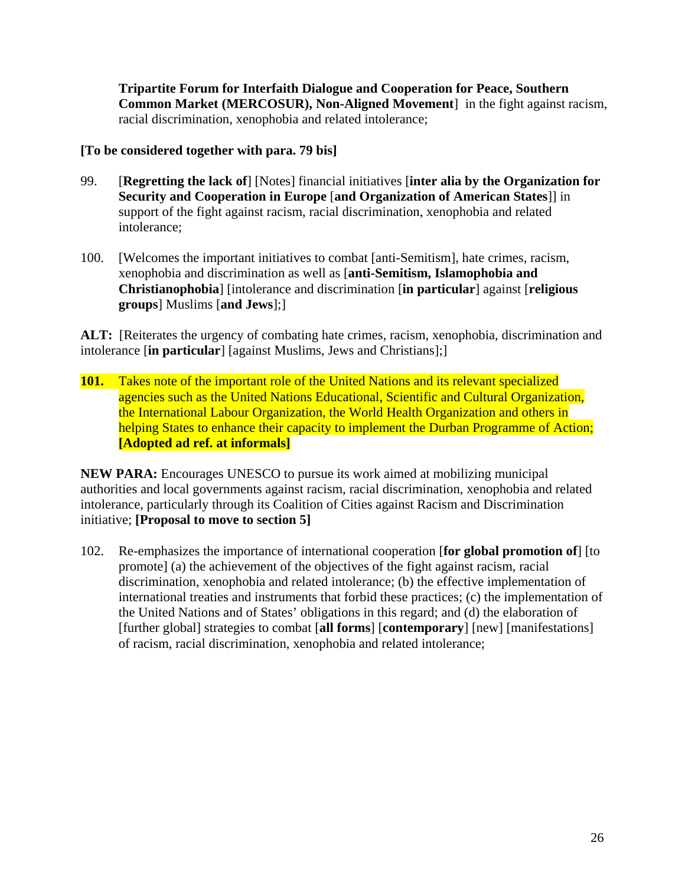**Tripartite Forum for Interfaith Dialogue and Cooperation for Peace, Southern Common Market (MERCOSUR), Non-Aligned Movement**] in the fight against racism, racial discrimination, xenophobia and related intolerance;

#### **[To be considered together with para. 79 bis]**

- 99. [**Regretting the lack of**] [Notes] financial initiatives [**inter alia by the Organization for Security and Cooperation in Europe** [**and Organization of American States**]] in support of the fight against racism, racial discrimination, xenophobia and related intolerance;
- 100. [Welcomes the important initiatives to combat [anti-Semitism], hate crimes, racism, xenophobia and discrimination as well as [**anti-Semitism, Islamophobia and Christianophobia**] [intolerance and discrimination [**in particular**] against [**religious groups**] Muslims [**and Jews**];]

**ALT:** [Reiterates the urgency of combating hate crimes, racism, xenophobia, discrimination and intolerance [**in particular**] [against Muslims, Jews and Christians];]

**101.** Takes note of the important role of the United Nations and its relevant specialized agencies such as the United Nations Educational, Scientific and Cultural Organization, the International Labour Organization, the World Health Organization and others in helping States to enhance their capacity to implement the Durban Programme of Action; **[Adopted ad ref. at informals]** 

**NEW PARA:** Encourages UNESCO to pursue its work aimed at mobilizing municipal authorities and local governments against racism, racial discrimination, xenophobia and related intolerance, particularly through its Coalition of Cities against Racism and Discrimination initiative; **[Proposal to move to section 5]** 

102. Re-emphasizes the importance of international cooperation [**for global promotion of**] [to promote] (a) the achievement of the objectives of the fight against racism, racial discrimination, xenophobia and related intolerance; (b) the effective implementation of international treaties and instruments that forbid these practices; (c) the implementation of the United Nations and of States' obligations in this regard; and (d) the elaboration of [further global] strategies to combat [**all forms**] [**contemporary**] [new] [manifestations] of racism, racial discrimination, xenophobia and related intolerance;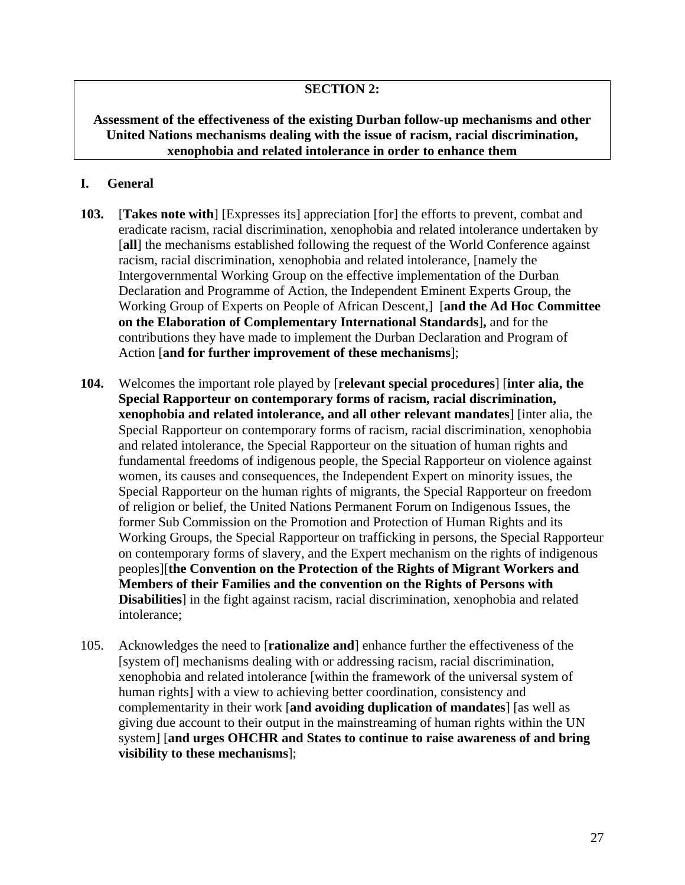## **SECTION 2:**

### **Assessment of the effectiveness of the existing Durban follow-up mechanisms and other United Nations mechanisms dealing with the issue of racism, racial discrimination, xenophobia and related intolerance in order to enhance them**

#### **I. General**

- **103.** [**Takes note with**] [Expresses its] appreciation [for] the efforts to prevent, combat and eradicate racism, racial discrimination, xenophobia and related intolerance undertaken by [all] the mechanisms established following the request of the World Conference against racism, racial discrimination, xenophobia and related intolerance, [namely the Intergovernmental Working Group on the effective implementation of the Durban Declaration and Programme of Action, the Independent Eminent Experts Group, the Working Group of Experts on People of African Descent,][**and the Ad Hoc Committee on the Elaboration of Complementary International Standards**]**,** and for the contributions they have made to implement the Durban Declaration and Program of Action [**and for further improvement of these mechanisms**];
- **104.** Welcomes the important role played by [**relevant special procedures**] [**inter alia, the Special Rapporteur on contemporary forms of racism, racial discrimination, xenophobia and related intolerance, and all other relevant mandates**] [inter alia, the Special Rapporteur on contemporary forms of racism, racial discrimination, xenophobia and related intolerance, the Special Rapporteur on the situation of human rights and fundamental freedoms of indigenous people, the Special Rapporteur on violence against women, its causes and consequences, the Independent Expert on minority issues, the Special Rapporteur on the human rights of migrants, the Special Rapporteur on freedom of religion or belief, the United Nations Permanent Forum on Indigenous Issues, the former Sub Commission on the Promotion and Protection of Human Rights and its Working Groups, the Special Rapporteur on trafficking in persons, the Special Rapporteur on contemporary forms of slavery, and the Expert mechanism on the rights of indigenous peoples][**the Convention on the Protection of the Rights of Migrant Workers and Members of their Families and the convention on the Rights of Persons with Disabilities**] in the fight against racism, racial discrimination, xenophobia and related intolerance;
- 105. Acknowledges the need to [**rationalize and**] enhance further the effectiveness of the [system of] mechanisms dealing with or addressing racism, racial discrimination, xenophobia and related intolerance [within the framework of the universal system of human rights] with a view to achieving better coordination, consistency and complementarity in their work [**and avoiding duplication of mandates**] [as well as giving due account to their output in the mainstreaming of human rights within the UN system] [**and urges OHCHR and States to continue to raise awareness of and bring visibility to these mechanisms**];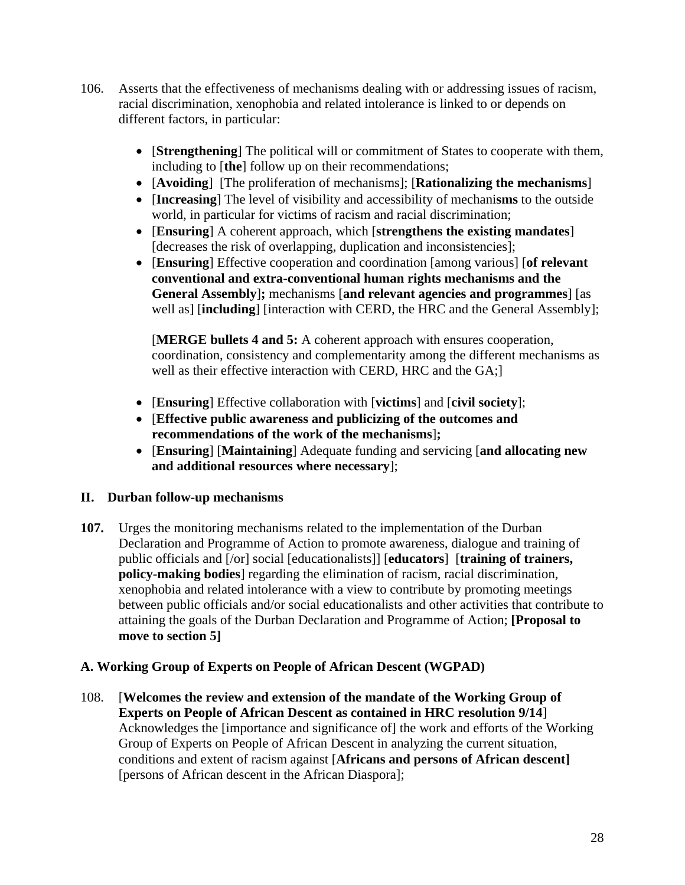- 106. Asserts that the effectiveness of mechanisms dealing with or addressing issues of racism, racial discrimination, xenophobia and related intolerance is linked to or depends on different factors, in particular:
	- [**Strengthening**] The political will or commitment of States to cooperate with them, including to [**the**] follow up on their recommendations;
	- [**Avoiding**][The proliferation of mechanisms]; [**Rationalizing the mechanisms**]
	- [**Increasing**] The level of visibility and accessibility of mechani**sms** to the outside world, in particular for victims of racism and racial discrimination;
	- [**Ensuring**] A coherent approach, which [**strengthens the existing mandates**] [decreases the risk of overlapping, duplication and inconsistencies];
	- [**Ensuring**] Effective cooperation and coordination [among various] [**of relevant conventional and extra-conventional human rights mechanisms and the General Assembly**]**;** mechanisms [**and relevant agencies and programmes**] [as well as] [**including**] [interaction with CERD, the HRC and the General Assembly];

[**MERGE bullets 4 and 5:** A coherent approach with ensures cooperation, coordination, consistency and complementarity among the different mechanisms as well as their effective interaction with CERD, HRC and the GA;]

- [**Ensuring**] Effective collaboration with [**victims**] and [**civil society**];
- [**Effective public awareness and publicizing of the outcomes and recommendations of the work of the mechanisms**]**;**
- [**Ensuring**] [**Maintaining**] Adequate funding and servicing [**and allocating new and additional resources where necessary**];

## **II. Durban follow-up mechanisms**

**107.** Urges the monitoring mechanisms related to the implementation of the Durban Declaration and Programme of Action to promote awareness, dialogue and training of public officials and [/or] social [educationalists]] [**educators**] [**training of trainers, policy-making bodies**] regarding the elimination of racism, racial discrimination, xenophobia and related intolerance with a view to contribute by promoting meetings between public officials and/or social educationalists and other activities that contribute to attaining the goals of the Durban Declaration and Programme of Action; **[Proposal to move to section 5]** 

## **A. Working Group of Experts on People of African Descent (WGPAD)**

108. [**Welcomes the review and extension of the mandate of the Working Group of Experts on People of African Descent as contained in HRC resolution 9/14**] Acknowledges the [importance and significance of] the work and efforts of the Working Group of Experts on People of African Descent in analyzing the current situation, conditions and extent of racism against [**Africans and persons of African descent]** [persons of African descent in the African Diaspora];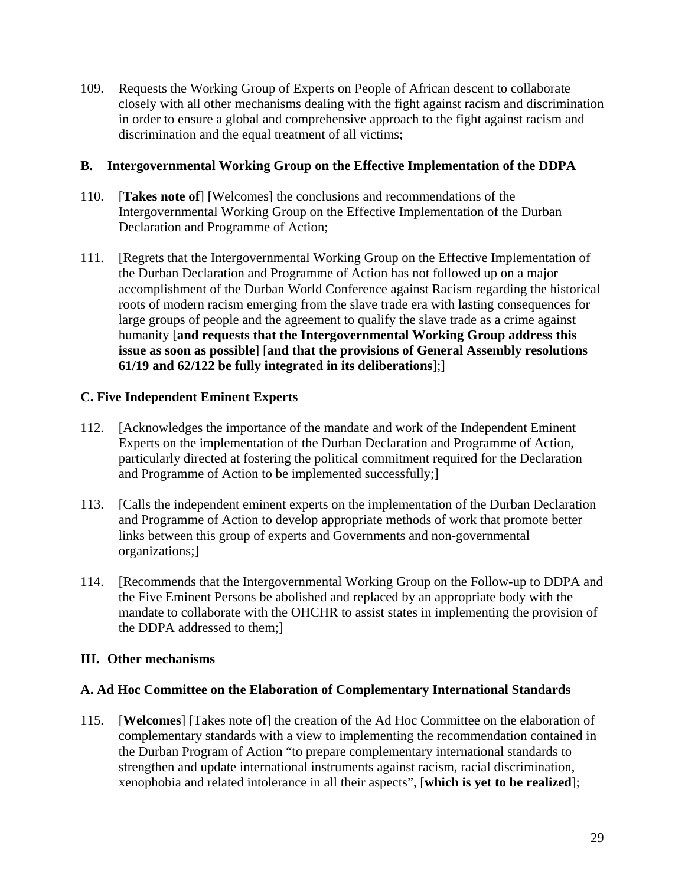109. Requests the Working Group of Experts on People of African descent to collaborate closely with all other mechanisms dealing with the fight against racism and discrimination in order to ensure a global and comprehensive approach to the fight against racism and discrimination and the equal treatment of all victims;

#### **B. Intergovernmental Working Group on the Effective Implementation of the DDPA**

- 110. [**Takes note of**] [Welcomes] the conclusions and recommendations of the Intergovernmental Working Group on the Effective Implementation of the Durban Declaration and Programme of Action;
- 111. [Regrets that the Intergovernmental Working Group on the Effective Implementation of the Durban Declaration and Programme of Action has not followed up on a major accomplishment of the Durban World Conference against Racism regarding the historical roots of modern racism emerging from the slave trade era with lasting consequences for large groups of people and the agreement to qualify the slave trade as a crime against humanity [**and requests that the Intergovernmental Working Group address this issue as soon as possible**] [**and that the provisions of General Assembly resolutions 61/19 and 62/122 be fully integrated in its deliberations**];]

## **C. Five Independent Eminent Experts**

- 112. [Acknowledges the importance of the mandate and work of the Independent Eminent Experts on the implementation of the Durban Declaration and Programme of Action, particularly directed at fostering the political commitment required for the Declaration and Programme of Action to be implemented successfully;]
- 113. [Calls the independent eminent experts on the implementation of the Durban Declaration and Programme of Action to develop appropriate methods of work that promote better links between this group of experts and Governments and non-governmental organizations;]
- 114. [Recommends that the Intergovernmental Working Group on the Follow-up to DDPA and the Five Eminent Persons be abolished and replaced by an appropriate body with the mandate to collaborate with the OHCHR to assist states in implementing the provision of the DDPA addressed to them;]

## **III. Other mechanisms**

## **A. Ad Hoc Committee on the Elaboration of Complementary International Standards**

115. [**Welcomes**] [Takes note of] the creation of the Ad Hoc Committee on the elaboration of complementary standards with a view to implementing the recommendation contained in the Durban Program of Action "to prepare complementary international standards to strengthen and update international instruments against racism, racial discrimination, xenophobia and related intolerance in all their aspects", [**which is yet to be realized**];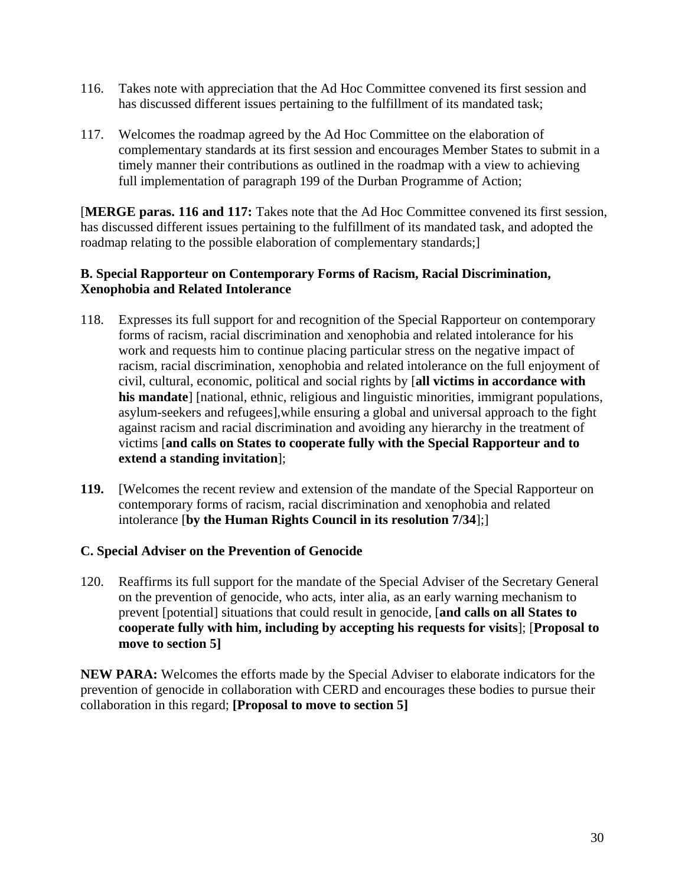- 116. Takes note with appreciation that the Ad Hoc Committee convened its first session and has discussed different issues pertaining to the fulfillment of its mandated task;
- 117. Welcomes the roadmap agreed by the Ad Hoc Committee on the elaboration of complementary standards at its first session and encourages Member States to submit in a timely manner their contributions as outlined in the roadmap with a view to achieving full implementation of paragraph 199 of the Durban Programme of Action;

[**MERGE paras. 116 and 117:** Takes note that the Ad Hoc Committee convened its first session, has discussed different issues pertaining to the fulfillment of its mandated task, and adopted the roadmap relating to the possible elaboration of complementary standards;]

## **B. Special Rapporteur on Contemporary Forms of Racism, Racial Discrimination, Xenophobia and Related Intolerance**

- 118. Expresses its full support for and recognition of the Special Rapporteur on contemporary forms of racism, racial discrimination and xenophobia and related intolerance for his work and requests him to continue placing particular stress on the negative impact of racism, racial discrimination, xenophobia and related intolerance on the full enjoyment of civil, cultural, economic, political and social rights by [**all victims in accordance with his mandate**] [national, ethnic, religious and linguistic minorities, immigrant populations, asylum-seekers and refugees],while ensuring a global and universal approach to the fight against racism and racial discrimination and avoiding any hierarchy in the treatment of victims [**and calls on States to cooperate fully with the Special Rapporteur and to extend a standing invitation**];
- **119.** [Welcomes the recent review and extension of the mandate of the Special Rapporteur on contemporary forms of racism, racial discrimination and xenophobia and related intolerance [**by the Human Rights Council in its resolution 7/34**];]

## **C. Special Adviser on the Prevention of Genocide**

120. Reaffirms its full support for the mandate of the Special Adviser of the Secretary General on the prevention of genocide, who acts, inter alia, as an early warning mechanism to prevent [potential] situations that could result in genocide, [**and calls on all States to cooperate fully with him, including by accepting his requests for visits**]; [**Proposal to move to section 5]**

**NEW PARA:** Welcomes the efforts made by the Special Adviser to elaborate indicators for the prevention of genocide in collaboration with CERD and encourages these bodies to pursue their collaboration in this regard; **[Proposal to move to section 5]**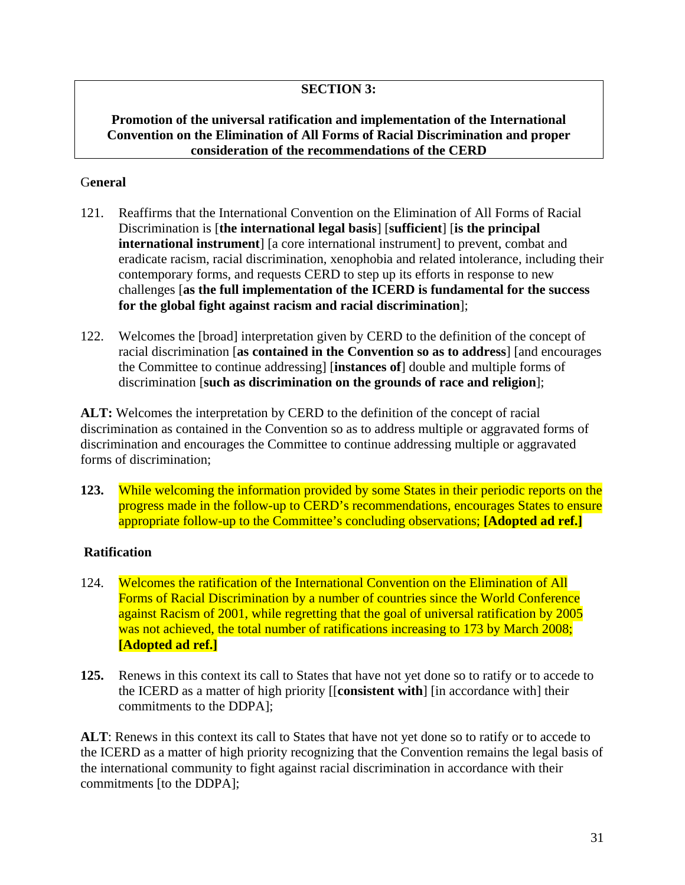# **SECTION 3:**

## **Promotion of the universal ratification and implementation of the International Convention on the Elimination of All Forms of Racial Discrimination and proper consideration of the recommendations of the CERD**

## G**eneral**

- 121. Reaffirms that the International Convention on the Elimination of All Forms of Racial Discrimination is [**the international legal basis**] [**sufficient**] [**is the principal international instrument**] [a core international instrument] to prevent, combat and eradicate racism, racial discrimination, xenophobia and related intolerance, including their contemporary forms, and requests CERD to step up its efforts in response to new challenges [**as the full implementation of the ICERD is fundamental for the success for the global fight against racism and racial discrimination**];
- 122. Welcomes the [broad] interpretation given by CERD to the definition of the concept of racial discrimination [**as contained in the Convention so as to address**] [and encourages the Committee to continue addressing] [**instances of**] double and multiple forms of discrimination [**such as discrimination on the grounds of race and religion**];

**ALT:** Welcomes the interpretation by CERD to the definition of the concept of racial discrimination as contained in the Convention so as to address multiple or aggravated forms of discrimination and encourages the Committee to continue addressing multiple or aggravated forms of discrimination;

**123.** While welcoming the information provided by some States in their periodic reports on the progress made in the follow-up to CERD's recommendations, encourages States to ensure appropriate follow-up to the Committee's concluding observations; **[Adopted ad ref.]** 

## **Ratification**

- 124. Welcomes the ratification of the International Convention on the Elimination of All Forms of Racial Discrimination by a number of countries since the World Conference against Racism of 2001, while regretting that the goal of universal ratification by 2005 was not achieved, the total number of ratifications increasing to 173 by March 2008; **[Adopted ad ref.]**
- **125.** Renews in this context its call to States that have not yet done so to ratify or to accede to the ICERD as a matter of high priority [[**consistent with**] [in accordance with] their commitments to the DDPA];

**ALT**: Renews in this context its call to States that have not yet done so to ratify or to accede to the ICERD as a matter of high priority recognizing that the Convention remains the legal basis of the international community to fight against racial discrimination in accordance with their commitments [to the DDPA];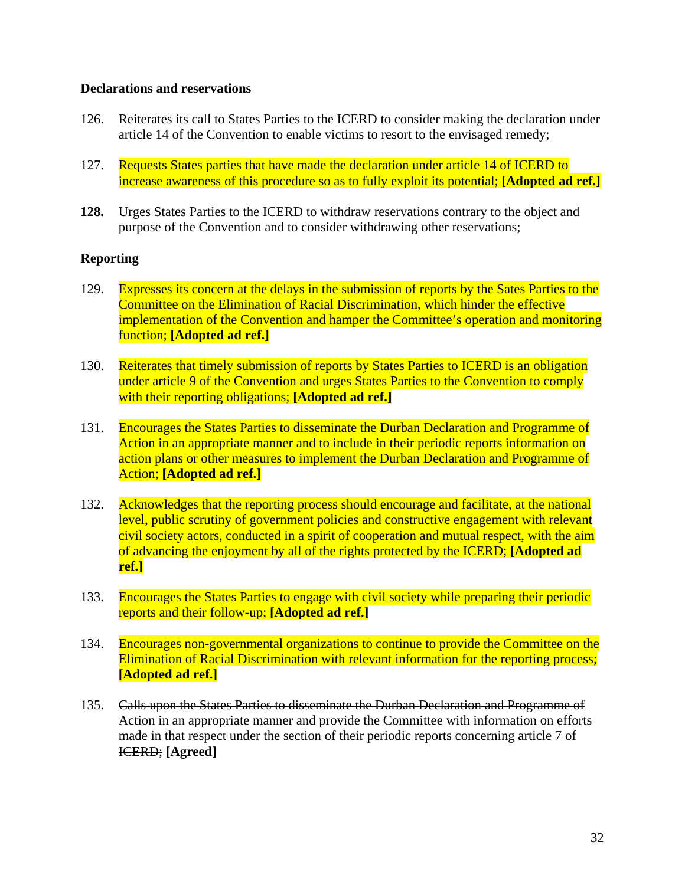#### **Declarations and reservations**

- 126. Reiterates its call to States Parties to the ICERD to consider making the declaration under article 14 of the Convention to enable victims to resort to the envisaged remedy;
- 127. Requests States parties that have made the declaration under article 14 of ICERD to increase awareness of this procedure so as to fully exploit its potential; **[Adopted ad ref.]**
- **128.** Urges States Parties to the ICERD to withdraw reservations contrary to the object and purpose of the Convention and to consider withdrawing other reservations;

#### **Reporting**

- 129. Expresses its concern at the delays in the submission of reports by the Sates Parties to the Committee on the Elimination of Racial Discrimination, which hinder the effective implementation of the Convention and hamper the Committee's operation and monitoring function; **[Adopted ad ref.]**
- 130. Reiterates that timely submission of reports by States Parties to ICERD is an obligation under article 9 of the Convention and urges States Parties to the Convention to comply with their reporting obligations; **[Adopted ad ref.]**
- 131. Encourages the States Parties to disseminate the Durban Declaration and Programme of Action in an appropriate manner and to include in their periodic reports information on action plans or other measures to implement the Durban Declaration and Programme of Action; **[Adopted ad ref.]**
- 132. Acknowledges that the reporting process should encourage and facilitate, at the national level, public scrutiny of government policies and constructive engagement with relevant civil society actors, conducted in a spirit of cooperation and mutual respect, with the aim of advancing the enjoyment by all of the rights protected by the ICERD; **[Adopted ad ref.]**
- 133. Encourages the States Parties to engage with civil society while preparing their periodic reports and their follow-up; **[Adopted ad ref.]**
- 134. Encourages non-governmental organizations to continue to provide the Committee on the Elimination of Racial Discrimination with relevant information for the reporting process; **[Adopted ad ref.]**
- 135. Calls upon the States Parties to disseminate the Durban Declaration and Programme of Action in an appropriate manner and provide the Committee with information on efforts made in that respect under the section of their periodic reports concerning article 7 of ICERD; **[Agreed]**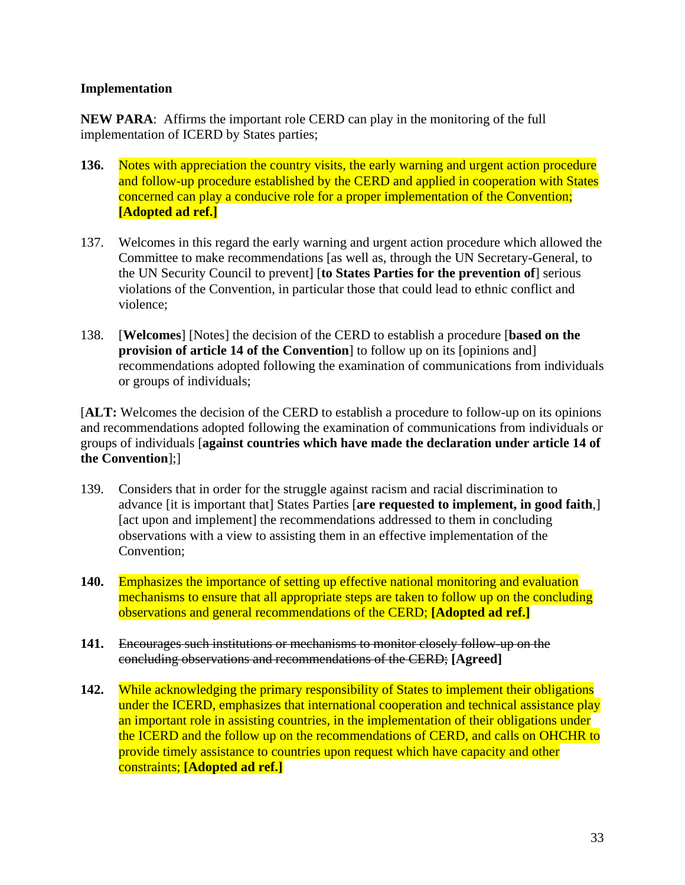#### **Implementation**

**NEW PARA**: Affirms the important role CERD can play in the monitoring of the full implementation of ICERD by States parties;

- **136.** Notes with appreciation the country visits, the early warning and urgent action procedure and follow-up procedure established by the CERD and applied in cooperation with States concerned can play a conducive role for a proper implementation of the Convention; **[Adopted ad ref.]**
- 137. Welcomes in this regard the early warning and urgent action procedure which allowed the Committee to make recommendations [as well as, through the UN Secretary-General, to the UN Security Council to prevent] [**to States Parties for the prevention of**] serious violations of the Convention, in particular those that could lead to ethnic conflict and violence;
- 138. [**Welcomes**] [Notes] the decision of the CERD to establish a procedure [**based on the provision of article 14 of the Convention**] to follow up on its [opinions and] recommendations adopted following the examination of communications from individuals or groups of individuals;

[**ALT:** Welcomes the decision of the CERD to establish a procedure to follow-up on its opinions and recommendations adopted following the examination of communications from individuals or groups of individuals [**against countries which have made the declaration under article 14 of the Convention**];]

- 139. Considers that in order for the struggle against racism and racial discrimination to advance [it is important that] States Parties [**are requested to implement, in good faith**,] [act upon and implement] the recommendations addressed to them in concluding observations with a view to assisting them in an effective implementation of the Convention;
- **140.** Emphasizes the importance of setting up effective national monitoring and evaluation mechanisms to ensure that all appropriate steps are taken to follow up on the concluding observations and general recommendations of the CERD; **[Adopted ad ref.]**
- **141.** Encourages such institutions or mechanisms to monitor closely follow-up on the concluding observations and recommendations of the CERD; **[Agreed]**
- **142.** While acknowledging the primary responsibility of States to implement their obligations under the ICERD, emphasizes that international cooperation and technical assistance play an important role in assisting countries, in the implementation of their obligations under the ICERD and the follow up on the recommendations of CERD, and calls on OHCHR to provide timely assistance to countries upon request which have capacity and other constraints; **[Adopted ad ref.]**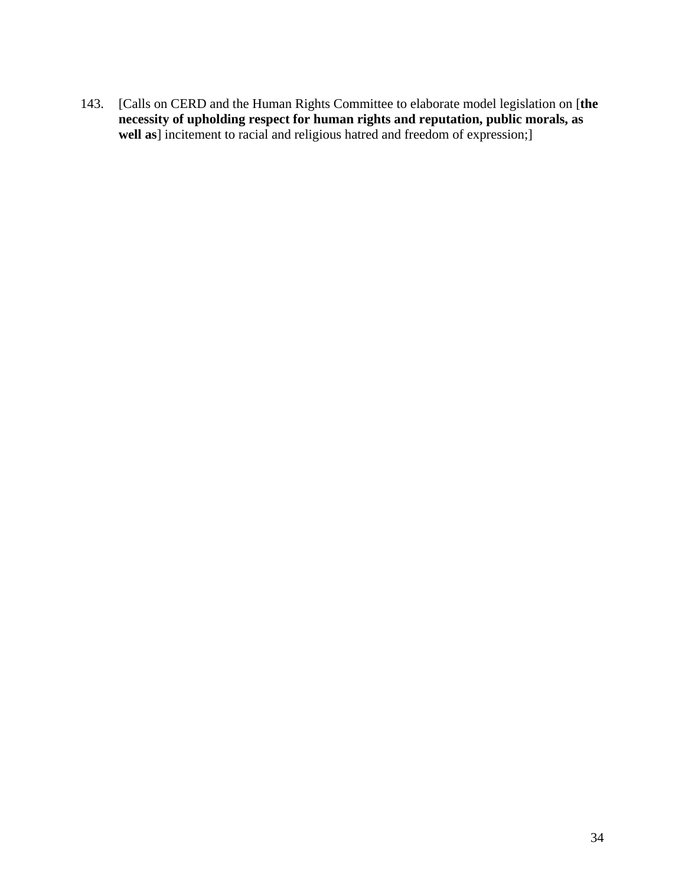143. [Calls on CERD and the Human Rights Committee to elaborate model legislation on [**the necessity of upholding respect for human rights and reputation, public morals, as well as**] incitement to racial and religious hatred and freedom of expression;]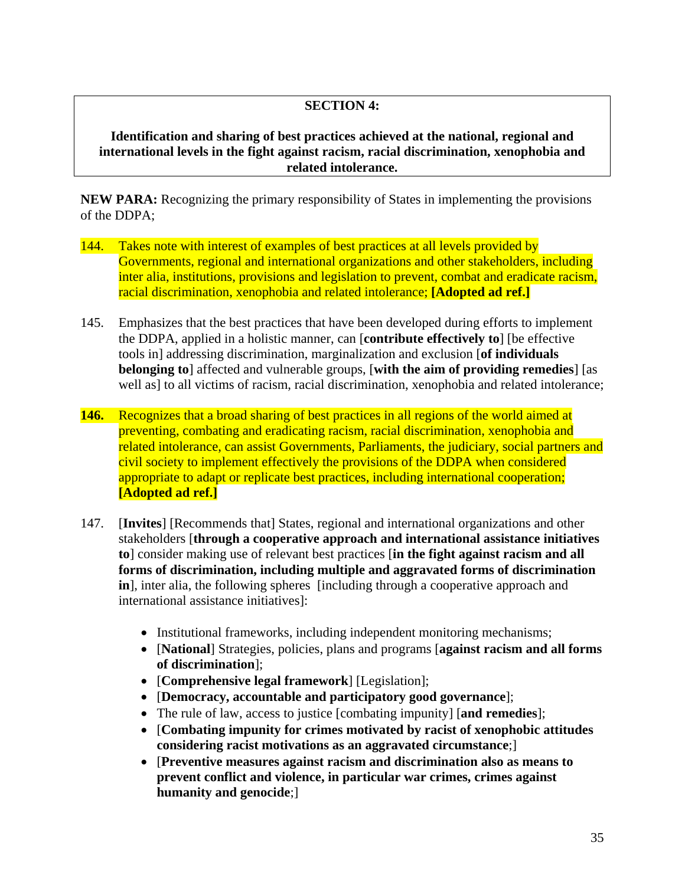### **SECTION 4:**

**Identification and sharing of best practices achieved at the national, regional and international levels in the fight against racism, racial discrimination, xenophobia and related intolerance.** 

**NEW PARA:** Recognizing the primary responsibility of States in implementing the provisions of the DDPA;

- 144. Takes note with interest of examples of best practices at all levels provided by Governments, regional and international organizations and other stakeholders, including inter alia, institutions, provisions and legislation to prevent, combat and eradicate racism, racial discrimination, xenophobia and related intolerance; **[Adopted ad ref.]**
- 145. Emphasizes that the best practices that have been developed during efforts to implement the DDPA, applied in a holistic manner, can [**contribute effectively to**] [be effective tools in] addressing discrimination, marginalization and exclusion [**of individuals belonging to**] affected and vulnerable groups, [**with the aim of providing remedies**] [as well as] to all victims of racism, racial discrimination, xenophobia and related intolerance;
- **146.** Recognizes that a broad sharing of best practices in all regions of the world aimed at preventing, combating and eradicating racism, racial discrimination, xenophobia and related intolerance, can assist Governments, Parliaments, the judiciary, social partners and civil society to implement effectively the provisions of the DDPA when considered appropriate to adapt or replicate best practices, including international cooperation; **[Adopted ad ref.]**
- 147. [**Invites**] [Recommends that] States, regional and international organizations and other stakeholders [**through a cooperative approach and international assistance initiatives to**] consider making use of relevant best practices [**in the fight against racism and all forms of discrimination, including multiple and aggravated forms of discrimination in**], inter alia, the following spheres [including through a cooperative approach and international assistance initiatives]:
	- Institutional frameworks, including independent monitoring mechanisms;
	- [**National**] Strategies, policies, plans and programs [**against racism and all forms of discrimination**];
	- [**Comprehensive legal framework**] [Legislation];
	- [**Democracy, accountable and participatory good governance**];
	- The rule of law, access to justice [combating impunity] [**and remedies**];
	- [**Combating impunity for crimes motivated by racist of xenophobic attitudes considering racist motivations as an aggravated circumstance**;]
	- [**Preventive measures against racism and discrimination also as means to prevent conflict and violence, in particular war crimes, crimes against humanity and genocide**;]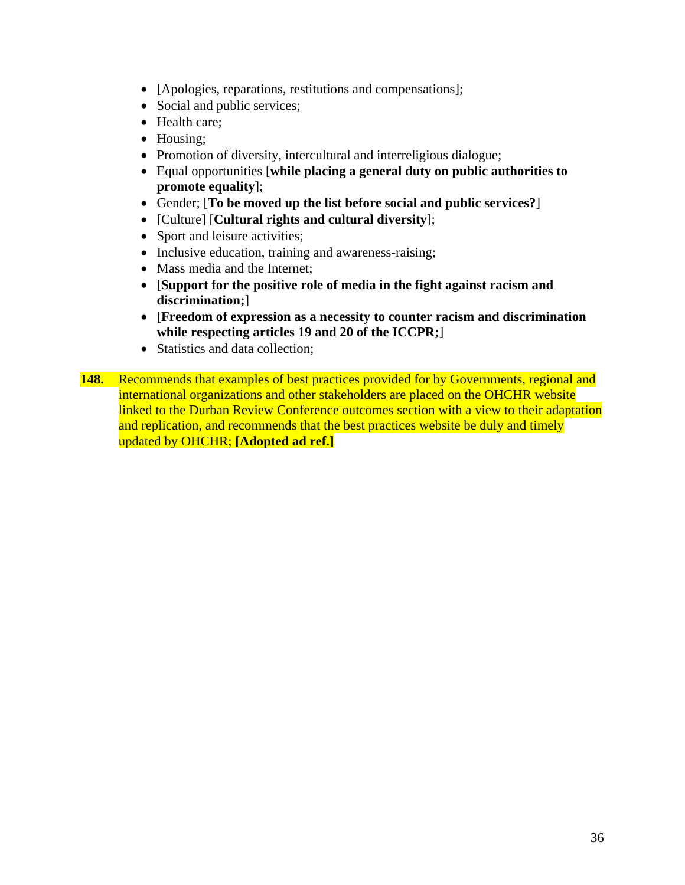- [Apologies, reparations, restitutions and compensations];
- Social and public services;
- Health care;
- Housing;
- Promotion of diversity, intercultural and interreligious dialogue;
- Equal opportunities [**while placing a general duty on public authorities to promote equality**];
- Gender; [**To be moved up the list before social and public services?**]
- [Culture] [**Cultural rights and cultural diversity**];
- Sport and leisure activities;
- Inclusive education, training and awareness-raising;
- Mass media and the Internet;
- [**Support for the positive role of media in the fight against racism and discrimination;**]
- [**Freedom of expression as a necessity to counter racism and discrimination while respecting articles 19 and 20 of the ICCPR;**]
- Statistics and data collection:
- **148.** Recommends that examples of best practices provided for by Governments, regional and international organizations and other stakeholders are placed on the OHCHR website linked to the Durban Review Conference outcomes section with a view to their adaptation and replication, and recommends that the best practices website be duly and timely updated by OHCHR; **[Adopted ad ref.]**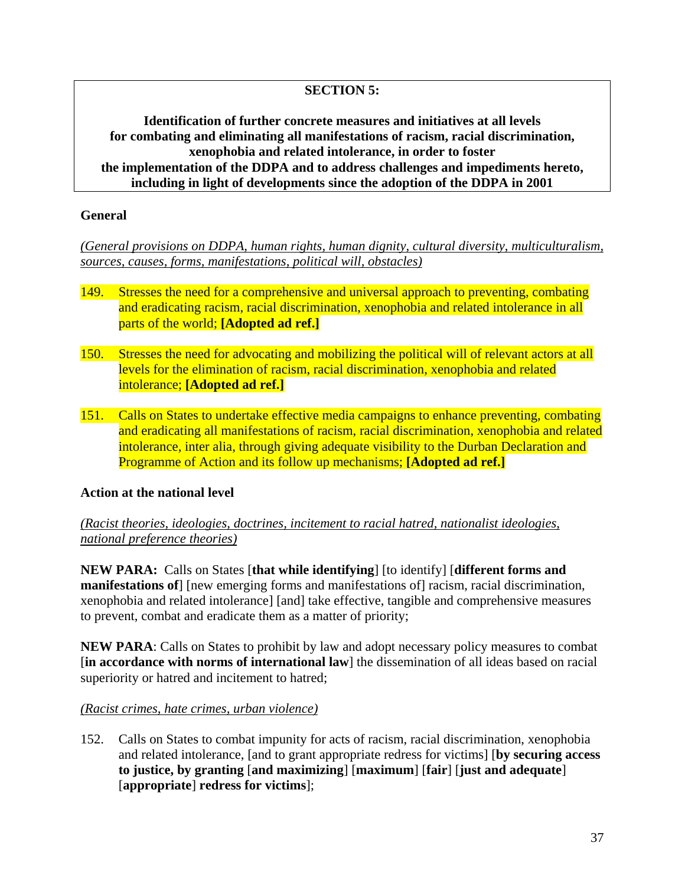# **SECTION 5:**

**Identification of further concrete measures and initiatives at all levels for combating and eliminating all manifestations of racism, racial discrimination, xenophobia and related intolerance, in order to foster the implementation of the DDPA and to address challenges and impediments hereto, including in light of developments since the adoption of the DDPA in 2001** 

#### **General**

*(General provisions on DDPA, human rights, human dignity, cultural diversity, multiculturalism, sources, causes, forms, manifestations, political will, obstacles)*

- 149. Stresses the need for a comprehensive and universal approach to preventing, combating and eradicating racism, racial discrimination, xenophobia and related intolerance in all parts of the world; **[Adopted ad ref.]**
- 150. Stresses the need for advocating and mobilizing the political will of relevant actors at all levels for the elimination of racism, racial discrimination, xenophobia and related intolerance; **[Adopted ad ref.]**
- 151. Calls on States to undertake effective media campaigns to enhance preventing, combating and eradicating all manifestations of racism, racial discrimination, xenophobia and related intolerance, inter alia, through giving adequate visibility to the Durban Declaration and Programme of Action and its follow up mechanisms; **[Adopted ad ref.]**

## **Action at the national level**

## *(Racist theories, ideologies, doctrines, incitement to racial hatred, nationalist ideologies, national preference theories)*

**NEW PARA:** Calls on States [**that while identifying**] [to identify] [**different forms and manifestations of** [ [new emerging forms and manifestations of ] racism, racial discrimination, xenophobia and related intolerance] [and] take effective, tangible and comprehensive measures to prevent, combat and eradicate them as a matter of priority;

**NEW PARA**: Calls on States to prohibit by law and adopt necessary policy measures to combat [**in accordance with norms of international law**] the dissemination of all ideas based on racial superiority or hatred and incitement to hatred;

#### *(Racist crimes, hate crimes, urban violence)*

152. Calls on States to combat impunity for acts of racism, racial discrimination, xenophobia and related intolerance, [and to grant appropriate redress for victims] [**by securing access to justice, by granting** [**and maximizing**] [**maximum**] [**fair**] [**just and adequate**] [**appropriate**] **redress for victims**];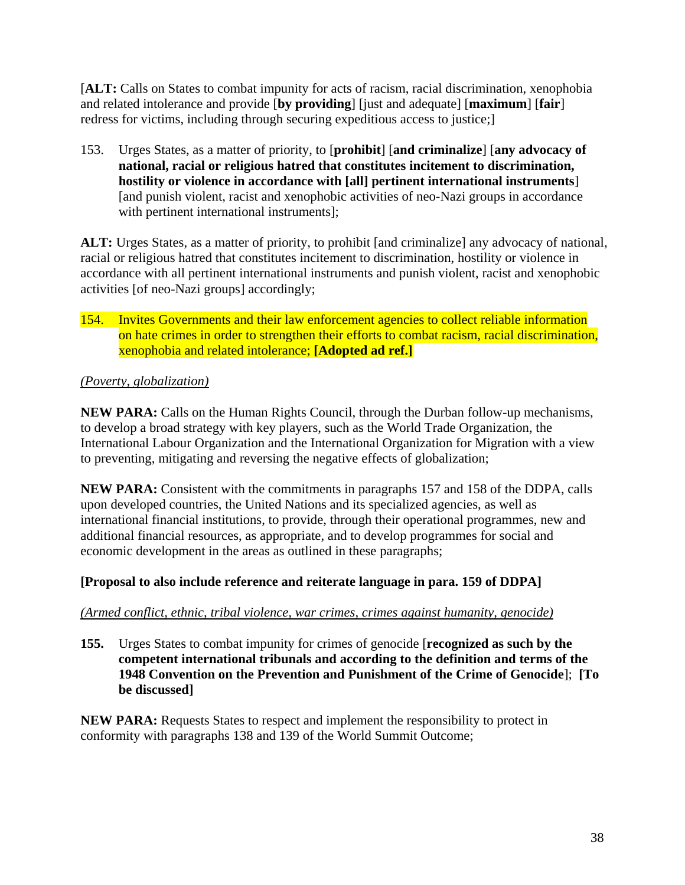[**ALT:** Calls on States to combat impunity for acts of racism, racial discrimination, xenophobia and related intolerance and provide [**by providing**] [just and adequate] [**maximum**] [**fair**] redress for victims, including through securing expeditious access to justice;]

153. Urges States, as a matter of priority, to [**prohibit**] [**and criminalize**] [**any advocacy of national, racial or religious hatred that constitutes incitement to discrimination, hostility or violence in accordance with [all] pertinent international instruments**] [and punish violent, racist and xenophobic activities of neo-Nazi groups in accordance with pertinent international instruments];

**ALT:** Urges States, as a matter of priority, to prohibit [and criminalize] any advocacy of national, racial or religious hatred that constitutes incitement to discrimination, hostility or violence in accordance with all pertinent international instruments and punish violent, racist and xenophobic activities [of neo-Nazi groups] accordingly;

154. Invites Governments and their law enforcement agencies to collect reliable information on hate crimes in order to strengthen their efforts to combat racism, racial discrimination, xenophobia and related intolerance; **[Adopted ad ref.]**

# *(Poverty, globalization)*

**NEW PARA:** Calls on the Human Rights Council, through the Durban follow-up mechanisms, to develop a broad strategy with key players, such as the World Trade Organization, the International Labour Organization and the International Organization for Migration with a view to preventing, mitigating and reversing the negative effects of globalization;

**NEW PARA:** Consistent with the commitments in paragraphs 157 and 158 of the DDPA, calls upon developed countries, the United Nations and its specialized agencies, as well as international financial institutions, to provide, through their operational programmes, new and additional financial resources, as appropriate, and to develop programmes for social and economic development in the areas as outlined in these paragraphs;

# **[Proposal to also include reference and reiterate language in para. 159 of DDPA]**

## *(Armed conflict, ethnic, tribal violence, war crimes, crimes against humanity, genocide)*

**155.** Urges States to combat impunity for crimes of genocide [**recognized as such by the competent international tribunals and according to the definition and terms of the 1948 Convention on the Prevention and Punishment of the Crime of Genocide**]; **[To be discussed]** 

**NEW PARA:** Requests States to respect and implement the responsibility to protect in conformity with paragraphs 138 and 139 of the World Summit Outcome;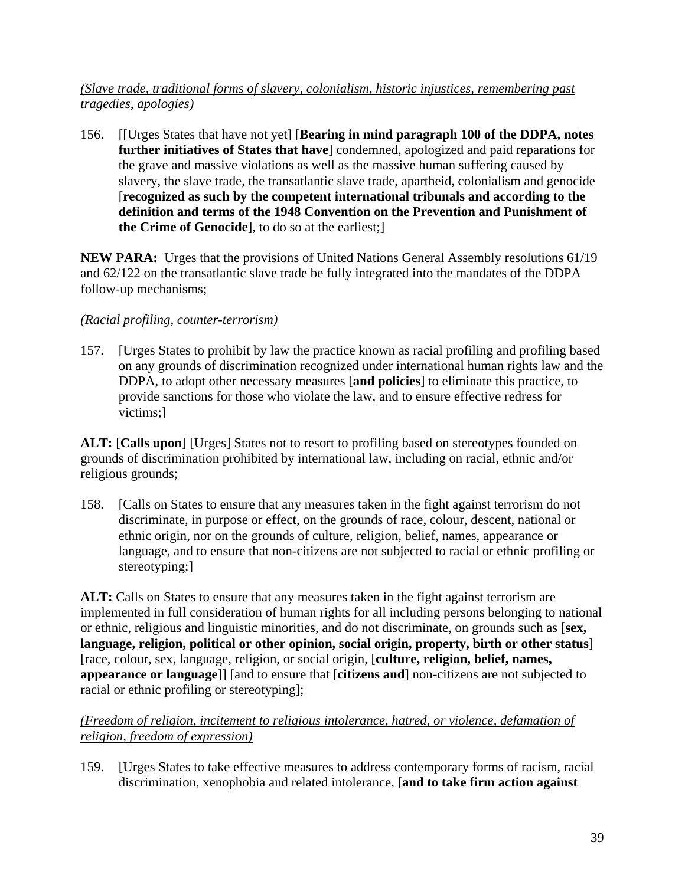## *(Slave trade, traditional forms of slavery, colonialism, historic injustices, remembering past tragedies, apologies)*

156. [[Urges States that have not yet] [**Bearing in mind paragraph 100 of the DDPA, notes further initiatives of States that have**] condemned, apologized and paid reparations for the grave and massive violations as well as the massive human suffering caused by slavery, the slave trade, the transatlantic slave trade, apartheid, colonialism and genocide [**recognized as such by the competent international tribunals and according to the definition and terms of the 1948 Convention on the Prevention and Punishment of the Crime of Genocide**], to do so at the earliest;]

**NEW PARA:** Urges that the provisions of United Nations General Assembly resolutions 61/19 and 62/122 on the transatlantic slave trade be fully integrated into the mandates of the DDPA follow-up mechanisms;

# *(Racial profiling, counter-terrorism)*

157. [Urges States to prohibit by law the practice known as racial profiling and profiling based on any grounds of discrimination recognized under international human rights law and the DDPA, to adopt other necessary measures [**and policies**] to eliminate this practice, to provide sanctions for those who violate the law, and to ensure effective redress for victims;]

**ALT:** [**Calls upon**] [Urges] States not to resort to profiling based on stereotypes founded on grounds of discrimination prohibited by international law, including on racial, ethnic and/or religious grounds;

158. [Calls on States to ensure that any measures taken in the fight against terrorism do not discriminate, in purpose or effect, on the grounds of race, colour, descent, national or ethnic origin, nor on the grounds of culture, religion, belief, names, appearance or language, and to ensure that non-citizens are not subjected to racial or ethnic profiling or stereotyping;]

ALT: Calls on States to ensure that any measures taken in the fight against terrorism are implemented in full consideration of human rights for all including persons belonging to national or ethnic, religious and linguistic minorities, and do not discriminate, on grounds such as [**sex, language, religion, political or other opinion, social origin, property, birth or other status**] [race, colour, sex, language, religion, or social origin, [**culture, religion, belief, names, appearance or language**]] [and to ensure that [**citizens and**] non-citizens are not subjected to racial or ethnic profiling or stereotyping];

*(Freedom of religion, incitement to religious intolerance, hatred, or violence, defamation of religion, freedom of expression)*

159. [Urges States to take effective measures to address contemporary forms of racism, racial discrimination, xenophobia and related intolerance, [**and to take firm action against**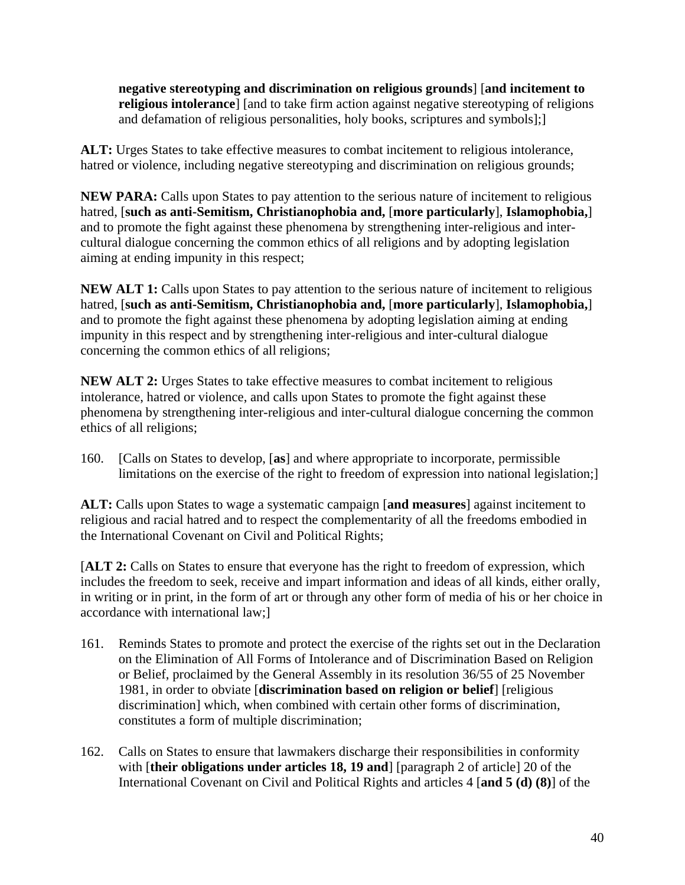**negative stereotyping and discrimination on religious grounds**] [**and incitement to religious intolerance**] [and to take firm action against negative stereotyping of religions and defamation of religious personalities, holy books, scriptures and symbols];]

**ALT:** Urges States to take effective measures to combat incitement to religious intolerance, hatred or violence, including negative stereotyping and discrimination on religious grounds;

**NEW PARA:** Calls upon States to pay attention to the serious nature of incitement to religious hatred, [**such as anti-Semitism, Christianophobia and,** [**more particularly**], **Islamophobia,**] and to promote the fight against these phenomena by strengthening inter-religious and intercultural dialogue concerning the common ethics of all religions and by adopting legislation aiming at ending impunity in this respect;

**NEW ALT 1:** Calls upon States to pay attention to the serious nature of incitement to religious hatred, [**such as anti-Semitism, Christianophobia and,** [**more particularly**], **Islamophobia,**] and to promote the fight against these phenomena by adopting legislation aiming at ending impunity in this respect and by strengthening inter-religious and inter-cultural dialogue concerning the common ethics of all religions;

**NEW ALT 2:** Urges States to take effective measures to combat incitement to religious intolerance, hatred or violence, and calls upon States to promote the fight against these phenomena by strengthening inter-religious and inter-cultural dialogue concerning the common ethics of all religions;

160. [Calls on States to develop, [**as**] and where appropriate to incorporate, permissible limitations on the exercise of the right to freedom of expression into national legislation;

**ALT:** Calls upon States to wage a systematic campaign [**and measures**] against incitement to religious and racial hatred and to respect the complementarity of all the freedoms embodied in the International Covenant on Civil and Political Rights;

[**ALT 2:** Calls on States to ensure that everyone has the right to freedom of expression, which includes the freedom to seek, receive and impart information and ideas of all kinds, either orally, in writing or in print, in the form of art or through any other form of media of his or her choice in accordance with international law;]

- 161. Reminds States to promote and protect the exercise of the rights set out in the Declaration on the Elimination of All Forms of Intolerance and of Discrimination Based on Religion or Belief, proclaimed by the General Assembly in its resolution 36/55 of 25 November 1981, in order to obviate [**discrimination based on religion or belief**] [religious discrimination] which, when combined with certain other forms of discrimination, constitutes a form of multiple discrimination;
- 162. Calls on States to ensure that lawmakers discharge their responsibilities in conformity with [**their obligations under articles 18, 19 and**] [paragraph 2 of article] 20 of the International Covenant on Civil and Political Rights and articles 4 [**and 5 (d) (8)**] of the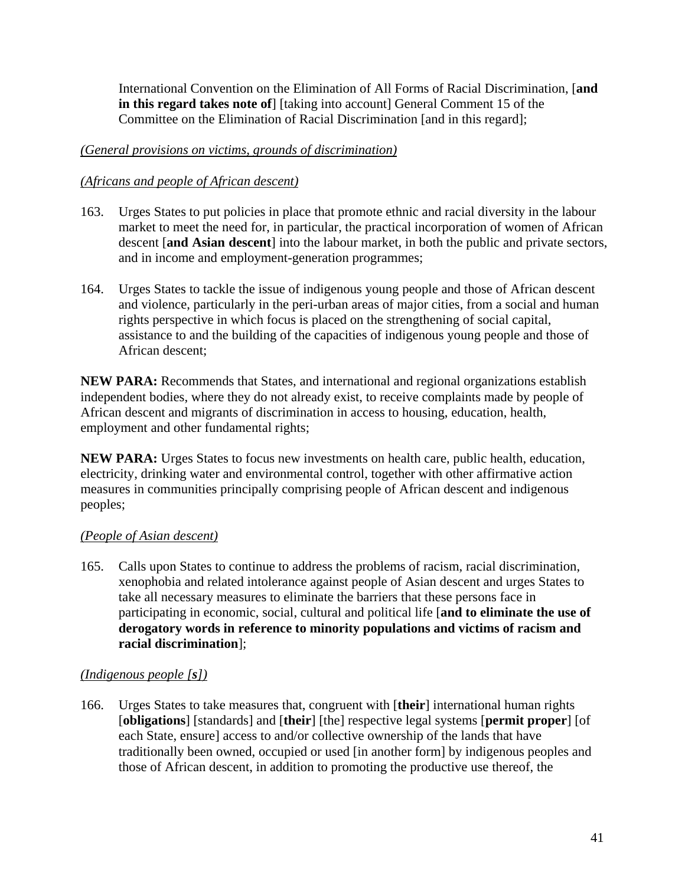International Convention on the Elimination of All Forms of Racial Discrimination, [**and in this regard takes note of**] [taking into account] General Comment 15 of the Committee on the Elimination of Racial Discrimination [and in this regard];

## *(General provisions on victims, grounds of discrimination)*

# *(Africans and people of African descent)*

- 163. Urges States to put policies in place that promote ethnic and racial diversity in the labour market to meet the need for, in particular, the practical incorporation of women of African descent [**and Asian descent**] into the labour market, in both the public and private sectors, and in income and employment-generation programmes;
- 164. Urges States to tackle the issue of indigenous young people and those of African descent and violence, particularly in the peri-urban areas of major cities, from a social and human rights perspective in which focus is placed on the strengthening of social capital, assistance to and the building of the capacities of indigenous young people and those of African descent;

**NEW PARA:** Recommends that States, and international and regional organizations establish independent bodies, where they do not already exist, to receive complaints made by people of African descent and migrants of discrimination in access to housing, education, health, employment and other fundamental rights;

**NEW PARA:** Urges States to focus new investments on health care, public health, education, electricity, drinking water and environmental control, together with other affirmative action measures in communities principally comprising people of African descent and indigenous peoples;

## *(People of Asian descent)*

165. Calls upon States to continue to address the problems of racism, racial discrimination, xenophobia and related intolerance against people of Asian descent and urges States to take all necessary measures to eliminate the barriers that these persons face in participating in economic, social, cultural and political life [**and to eliminate the use of derogatory words in reference to minority populations and victims of racism and racial discrimination**];

## *(Indigenous people [s])*

166. Urges States to take measures that, congruent with [**their**] international human rights [**obligations**] [standards] and [**their**] [the] respective legal systems [**permit proper**] [of each State, ensure] access to and/or collective ownership of the lands that have traditionally been owned, occupied or used [in another form] by indigenous peoples and those of African descent, in addition to promoting the productive use thereof, the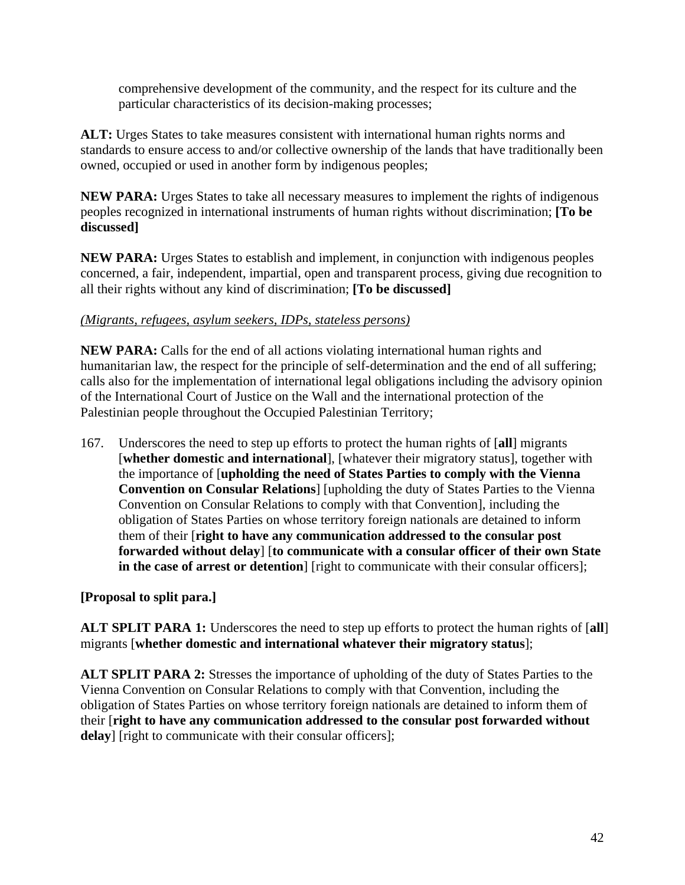comprehensive development of the community, and the respect for its culture and the particular characteristics of its decision-making processes;

**ALT:** Urges States to take measures consistent with international human rights norms and standards to ensure access to and/or collective ownership of the lands that have traditionally been owned, occupied or used in another form by indigenous peoples;

**NEW PARA:** Urges States to take all necessary measures to implement the rights of indigenous peoples recognized in international instruments of human rights without discrimination; **[To be discussed]** 

**NEW PARA:** Urges States to establish and implement, in conjunction with indigenous peoples concerned, a fair, independent, impartial, open and transparent process, giving due recognition to all their rights without any kind of discrimination; **[To be discussed]** 

#### *(Migrants, refugees, asylum seekers, IDPs, stateless persons)*

**NEW PARA:** Calls for the end of all actions violating international human rights and humanitarian law, the respect for the principle of self-determination and the end of all suffering; calls also for the implementation of international legal obligations including the advisory opinion of the International Court of Justice on the Wall and the international protection of the Palestinian people throughout the Occupied Palestinian Territory;

167. Underscores the need to step up efforts to protect the human rights of [**all**] migrants [**whether domestic and international**], [whatever their migratory status], together with the importance of [**upholding the need of States Parties to comply with the Vienna Convention on Consular Relations**] [upholding the duty of States Parties to the Vienna Convention on Consular Relations to comply with that Convention], including the obligation of States Parties on whose territory foreign nationals are detained to inform them of their [**right to have any communication addressed to the consular post forwarded without delay**] [**to communicate with a consular officer of their own State in the case of arrest or detention**] [right to communicate with their consular officers];

**[Proposal to split para.]** 

**ALT SPLIT PARA 1:** Underscores the need to step up efforts to protect the human rights of [**all**] migrants [**whether domestic and international whatever their migratory status**];

**ALT SPLIT PARA 2:** Stresses the importance of upholding of the duty of States Parties to the Vienna Convention on Consular Relations to comply with that Convention, including the obligation of States Parties on whose territory foreign nationals are detained to inform them of their [**right to have any communication addressed to the consular post forwarded without delay**] [right to communicate with their consular officers];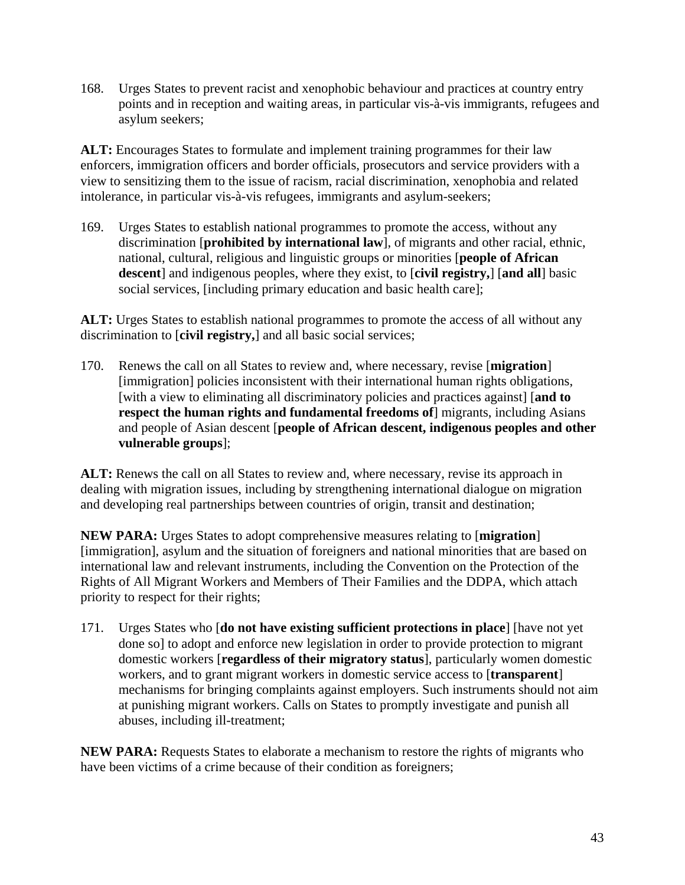168. Urges States to prevent racist and xenophobic behaviour and practices at country entry points and in reception and waiting areas, in particular vis-à-vis immigrants, refugees and asylum seekers;

**ALT:** Encourages States to formulate and implement training programmes for their law enforcers, immigration officers and border officials, prosecutors and service providers with a view to sensitizing them to the issue of racism, racial discrimination, xenophobia and related intolerance, in particular vis-à-vis refugees, immigrants and asylum-seekers;

169. Urges States to establish national programmes to promote the access, without any discrimination [**prohibited by international law**], of migrants and other racial, ethnic, national, cultural, religious and linguistic groups or minorities [**people of African descent**] and indigenous peoples, where they exist, to [**civil registry,**] [**and all**] basic social services, [including primary education and basic health care];

ALT: Urges States to establish national programmes to promote the access of all without any discrimination to [**civil registry,**] and all basic social services;

170. Renews the call on all States to review and, where necessary, revise [**migration**] [immigration] policies inconsistent with their international human rights obligations, [with a view to eliminating all discriminatory policies and practices against] [**and to respect the human rights and fundamental freedoms of** migrants, including Asians and people of Asian descent [**people of African descent, indigenous peoples and other vulnerable groups**];

ALT: Renews the call on all States to review and, where necessary, revise its approach in dealing with migration issues, including by strengthening international dialogue on migration and developing real partnerships between countries of origin, transit and destination;

**NEW PARA:** Urges States to adopt comprehensive measures relating to [**migration**] [immigration], asylum and the situation of foreigners and national minorities that are based on international law and relevant instruments, including the Convention on the Protection of the Rights of All Migrant Workers and Members of Their Families and the DDPA, which attach priority to respect for their rights;

171. Urges States who [**do not have existing sufficient protections in place**] [have not yet done so] to adopt and enforce new legislation in order to provide protection to migrant domestic workers [**regardless of their migratory status**], particularly women domestic workers, and to grant migrant workers in domestic service access to [**transparent**] mechanisms for bringing complaints against employers. Such instruments should not aim at punishing migrant workers. Calls on States to promptly investigate and punish all abuses, including ill-treatment;

**NEW PARA:** Requests States to elaborate a mechanism to restore the rights of migrants who have been victims of a crime because of their condition as foreigners;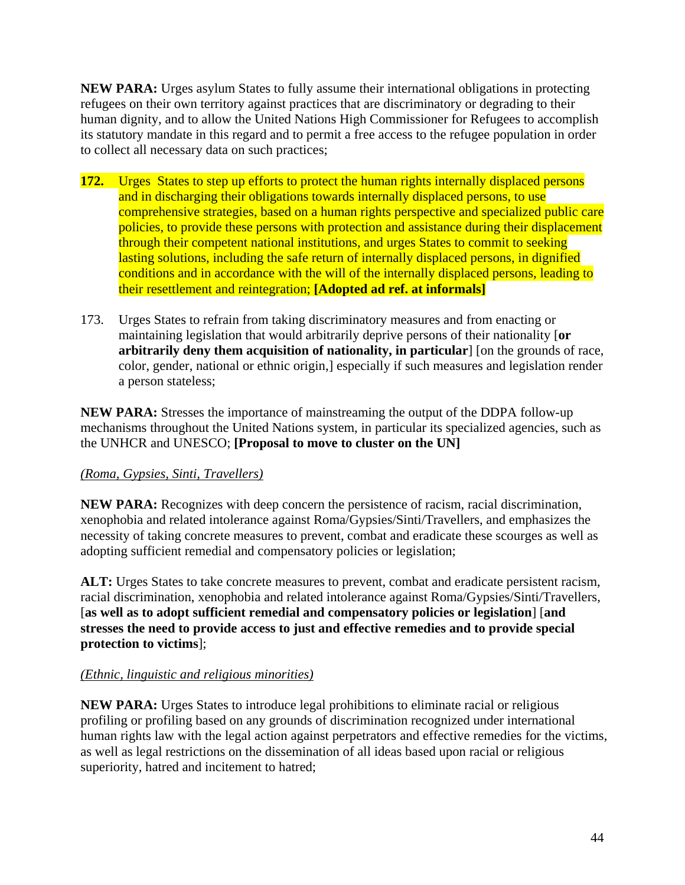**NEW PARA:** Urges asylum States to fully assume their international obligations in protecting refugees on their own territory against practices that are discriminatory or degrading to their human dignity, and to allow the United Nations High Commissioner for Refugees to accomplish its statutory mandate in this regard and to permit a free access to the refugee population in order to collect all necessary data on such practices;

- **172.** Urges States to step up efforts to protect the human rights internally displaced persons and in discharging their obligations towards internally displaced persons, to use comprehensive strategies, based on a human rights perspective and specialized public care policies, to provide these persons with protection and assistance during their displacement through their competent national institutions, and urges States to commit to seeking lasting solutions, including the safe return of internally displaced persons, in dignified conditions and in accordance with the will of the internally displaced persons, leading to their resettlement and reintegration; **[Adopted ad ref. at informals]**
- 173. Urges States to refrain from taking discriminatory measures and from enacting or maintaining legislation that would arbitrarily deprive persons of their nationality [**or arbitrarily deny them acquisition of nationality, in particular**] [on the grounds of race, color, gender, national or ethnic origin,] especially if such measures and legislation render a person stateless;

**NEW PARA:** Stresses the importance of mainstreaming the output of the DDPA follow-up mechanisms throughout the United Nations system, in particular its specialized agencies, such as the UNHCR and UNESCO; **[Proposal to move to cluster on the UN]** 

# *(Roma, Gypsies, Sinti, Travellers)*

**NEW PARA:** Recognizes with deep concern the persistence of racism, racial discrimination, xenophobia and related intolerance against Roma/Gypsies/Sinti/Travellers, and emphasizes the necessity of taking concrete measures to prevent, combat and eradicate these scourges as well as adopting sufficient remedial and compensatory policies or legislation;

**ALT:** Urges States to take concrete measures to prevent, combat and eradicate persistent racism, racial discrimination, xenophobia and related intolerance against Roma/Gypsies/Sinti/Travellers, [**as well as to adopt sufficient remedial and compensatory policies or legislation**] [**and stresses the need to provide access to just and effective remedies and to provide special protection to victims**];

# *(Ethnic, linguistic and religious minorities)*

**NEW PARA:** Urges States to introduce legal prohibitions to eliminate racial or religious profiling or profiling based on any grounds of discrimination recognized under international human rights law with the legal action against perpetrators and effective remedies for the victims, as well as legal restrictions on the dissemination of all ideas based upon racial or religious superiority, hatred and incitement to hatred;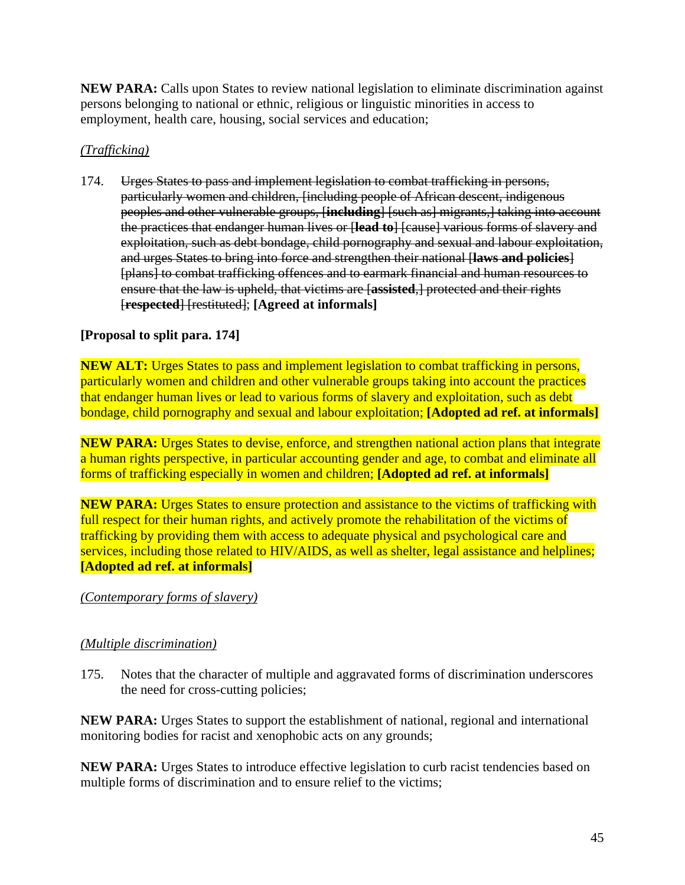**NEW PARA:** Calls upon States to review national legislation to eliminate discrimination against persons belonging to national or ethnic, religious or linguistic minorities in access to employment, health care, housing, social services and education;

## *(Trafficking)*

174. Urges States to pass and implement legislation to combat trafficking in persons, particularly women and children, [including people of African descent, indigenous peoples and other vulnerable groups, [**including**] [such as] migrants,] taking into account the practices that endanger human lives or [**lead to**] [cause] various forms of slavery and exploitation, such as debt bondage, child pornography and sexual and labour exploitation, and urges States to bring into force and strengthen their national [**laws and policies**] [plans] to combat trafficking offences and to earmark financial and human resources to ensure that the law is upheld, that victims are [**assisted**,] protected and their rights [**respected**] [restituted]; **[Agreed at informals]** 

# **[Proposal to split para. 174]**

**NEW ALT:** Urges States to pass and implement legislation to combat trafficking in persons, particularly women and children and other vulnerable groups taking into account the practices that endanger human lives or lead to various forms of slavery and exploitation, such as debt bondage, child pornography and sexual and labour exploitation; **[Adopted ad ref. at informals]** 

**NEW PARA:** Urges States to devise, enforce, and strengthen national action plans that integrate a human rights perspective, in particular accounting gender and age, to combat and eliminate all forms of trafficking especially in women and children; **[Adopted ad ref. at informals]** 

**NEW PARA:** Urges States to ensure protection and assistance to the victims of trafficking with full respect for their human rights, and actively promote the rehabilitation of the victims of trafficking by providing them with access to adequate physical and psychological care and services, including those related to HIV/AIDS, as well as shelter, legal assistance and helplines; **[Adopted ad ref. at informals]** 

*(Contemporary forms of slavery)*

## *(Multiple discrimination)*

175. Notes that the character of multiple and aggravated forms of discrimination underscores the need for cross-cutting policies;

**NEW PARA:** Urges States to support the establishment of national, regional and international monitoring bodies for racist and xenophobic acts on any grounds;

**NEW PARA:** Urges States to introduce effective legislation to curb racist tendencies based on multiple forms of discrimination and to ensure relief to the victims;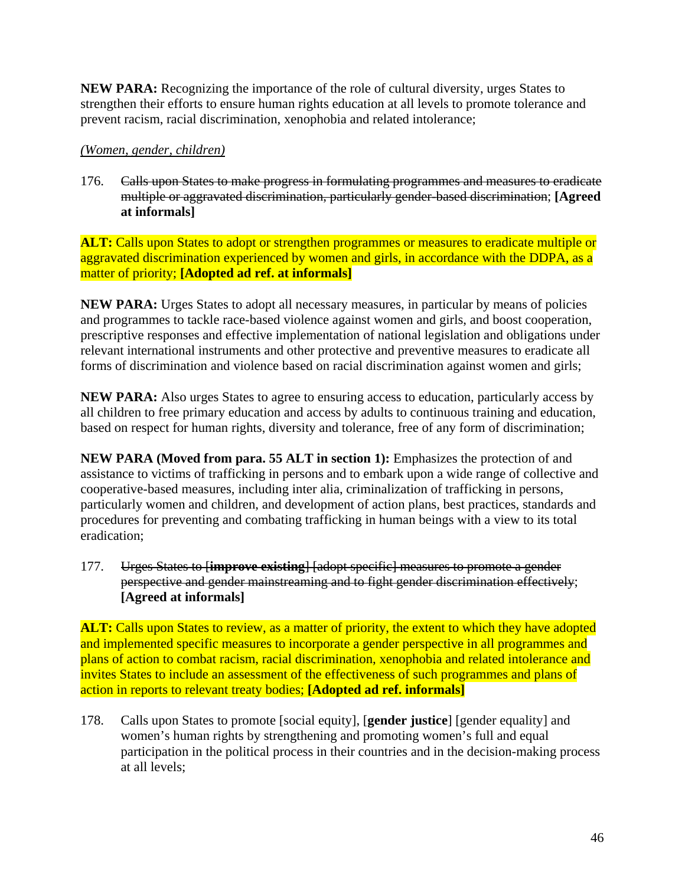**NEW PARA:** Recognizing the importance of the role of cultural diversity, urges States to strengthen their efforts to ensure human rights education at all levels to promote tolerance and prevent racism, racial discrimination, xenophobia and related intolerance;

#### *(Women, gender, children)*

176. Calls upon States to make progress in formulating programmes and measures to eradicate multiple or aggravated discrimination, particularly gender-based discrimination; **[Agreed at informals]**

**ALT:** Calls upon States to adopt or strengthen programmes or measures to eradicate multiple or aggravated discrimination experienced by women and girls, in accordance with the DDPA, as a matter of priority; **[Adopted ad ref. at informals]** 

**NEW PARA:** Urges States to adopt all necessary measures, in particular by means of policies and programmes to tackle race-based violence against women and girls, and boost cooperation, prescriptive responses and effective implementation of national legislation and obligations under relevant international instruments and other protective and preventive measures to eradicate all forms of discrimination and violence based on racial discrimination against women and girls;

**NEW PARA:** Also urges States to agree to ensuring access to education, particularly access by all children to free primary education and access by adults to continuous training and education, based on respect for human rights, diversity and tolerance, free of any form of discrimination;

**NEW PARA (Moved from para. 55 ALT in section 1):** Emphasizes the protection of and assistance to victims of trafficking in persons and to embark upon a wide range of collective and cooperative-based measures, including inter alia, criminalization of trafficking in persons, particularly women and children, and development of action plans, best practices, standards and procedures for preventing and combating trafficking in human beings with a view to its total eradication;

177. Urges States to [**improve existing**] [adopt specific] measures to promote a gender perspective and gender mainstreaming and to fight gender discrimination effectively; **[Agreed at informals]** 

**ALT:** Calls upon States to review, as a matter of priority, the extent to which they have adopted and implemented specific measures to incorporate a gender perspective in all programmes and plans of action to combat racism, racial discrimination, xenophobia and related intolerance and invites States to include an assessment of the effectiveness of such programmes and plans of action in reports to relevant treaty bodies; **[Adopted ad ref. informals]** 

178. Calls upon States to promote [social equity], [**gender justice**] [gender equality] and women's human rights by strengthening and promoting women's full and equal participation in the political process in their countries and in the decision-making process at all levels;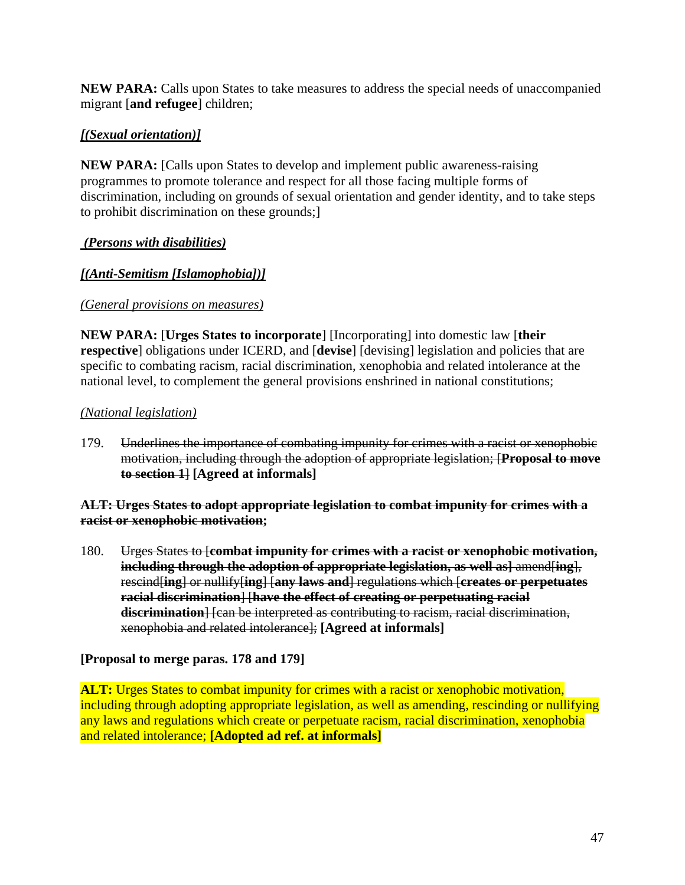**NEW PARA:** Calls upon States to take measures to address the special needs of unaccompanied migrant [**and refugee**] children;

# *[(Sexual orientation)]*

**NEW PARA:** [Calls upon States to develop and implement public awareness-raising programmes to promote tolerance and respect for all those facing multiple forms of discrimination, including on grounds of sexual orientation and gender identity, and to take steps to prohibit discrimination on these grounds;]

# *(Persons with disabilities)*

## *[(Anti-Semitism [Islamophobia])]*

## *(General provisions on measures)*

**NEW PARA:** [**Urges States to incorporate**] [Incorporating] into domestic law [**their respective**] obligations under ICERD, and [**devise**] [devising] legislation and policies that are specific to combating racism, racial discrimination, xenophobia and related intolerance at the national level, to complement the general provisions enshrined in national constitutions;

## *(National legislation)*

179. Underlines the importance of combating impunity for crimes with a racist or xenophobic motivation, including through the adoption of appropriate legislation; [**Proposal to move to section 1**] **[Agreed at informals]** 

#### **ALT: Urges States to adopt appropriate legislation to combat impunity for crimes with a racist or xenophobic motivation;**

180. Urges States to [**combat impunity for crimes with a racist or xenophobic motivation, including through the adoption of appropriate legislation, as well as]** amend[**ing**], rescind[**ing**] or nullify[**ing**] [**any laws and**] regulations which [**creates or perpetuates racial discrimination**] [**have the effect of creating or perpetuating racial discrimination**] [can be interpreted as contributing to racism, racial discrimination, xenophobia and related intolerance]; **[Agreed at informals]** 

## **[Proposal to merge paras. 178 and 179]**

**ALT:** Urges States to combat impunity for crimes with a racist or xenophobic motivation, including through adopting appropriate legislation, as well as amending, rescinding or nullifying any laws and regulations which create or perpetuate racism, racial discrimination, xenophobia and related intolerance; **[Adopted ad ref. at informals]**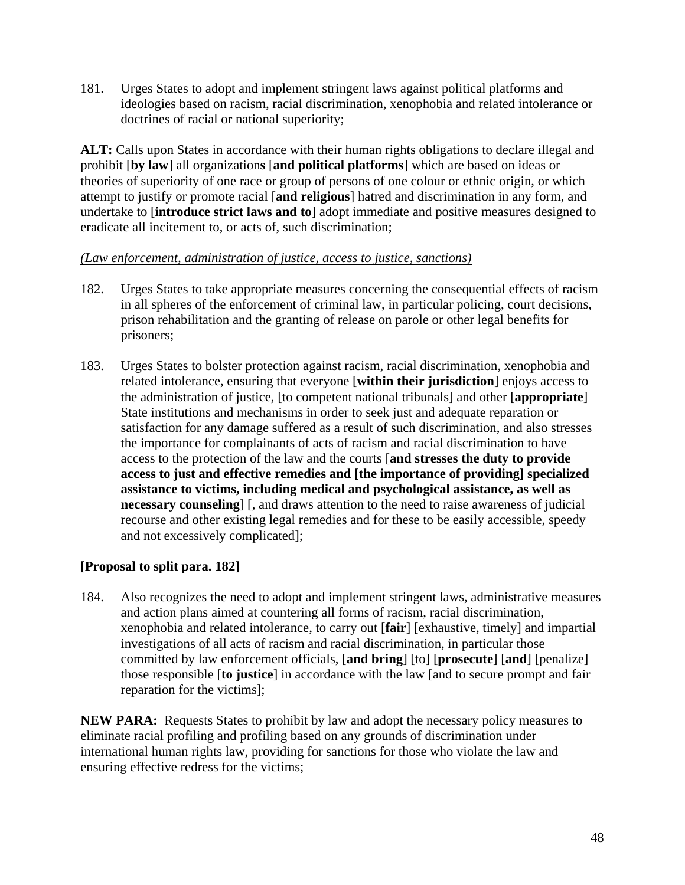181. Urges States to adopt and implement stringent laws against political platforms and ideologies based on racism, racial discrimination, xenophobia and related intolerance or doctrines of racial or national superiority;

**ALT:** Calls upon States in accordance with their human rights obligations to declare illegal and prohibit [**by law**] all organization**s** [**and political platforms**] which are based on ideas or theories of superiority of one race or group of persons of one colour or ethnic origin, or which attempt to justify or promote racial [**and religious**] hatred and discrimination in any form, and undertake to [**introduce strict laws and to**] adopt immediate and positive measures designed to eradicate all incitement to, or acts of, such discrimination;

#### *(Law enforcement, administration of justice, access to justice, sanctions)*

- 182. Urges States to take appropriate measures concerning the consequential effects of racism in all spheres of the enforcement of criminal law, in particular policing, court decisions, prison rehabilitation and the granting of release on parole or other legal benefits for prisoners;
- 183. Urges States to bolster protection against racism, racial discrimination, xenophobia and related intolerance, ensuring that everyone [**within their jurisdiction**] enjoys access to the administration of justice, [to competent national tribunals] and other [**appropriate**] State institutions and mechanisms in order to seek just and adequate reparation or satisfaction for any damage suffered as a result of such discrimination, and also stresses the importance for complainants of acts of racism and racial discrimination to have access to the protection of the law and the courts [**and stresses the duty to provide access to just and effective remedies and [the importance of providing] specialized assistance to victims, including medical and psychological assistance, as well as necessary counseling**] [, and draws attention to the need to raise awareness of judicial recourse and other existing legal remedies and for these to be easily accessible, speedy and not excessively complicated];

# **[Proposal to split para. 182]**

184. Also recognizes the need to adopt and implement stringent laws, administrative measures and action plans aimed at countering all forms of racism, racial discrimination, xenophobia and related intolerance, to carry out [**fair**] [exhaustive, timely] and impartial investigations of all acts of racism and racial discrimination, in particular those committed by law enforcement officials, [**and bring**] [to] [**prosecute**] [**and**] [penalize] those responsible [**to justice**] in accordance with the law [and to secure prompt and fair reparation for the victims];

**NEW PARA:** Requests States to prohibit by law and adopt the necessary policy measures to eliminate racial profiling and profiling based on any grounds of discrimination under international human rights law, providing for sanctions for those who violate the law and ensuring effective redress for the victims;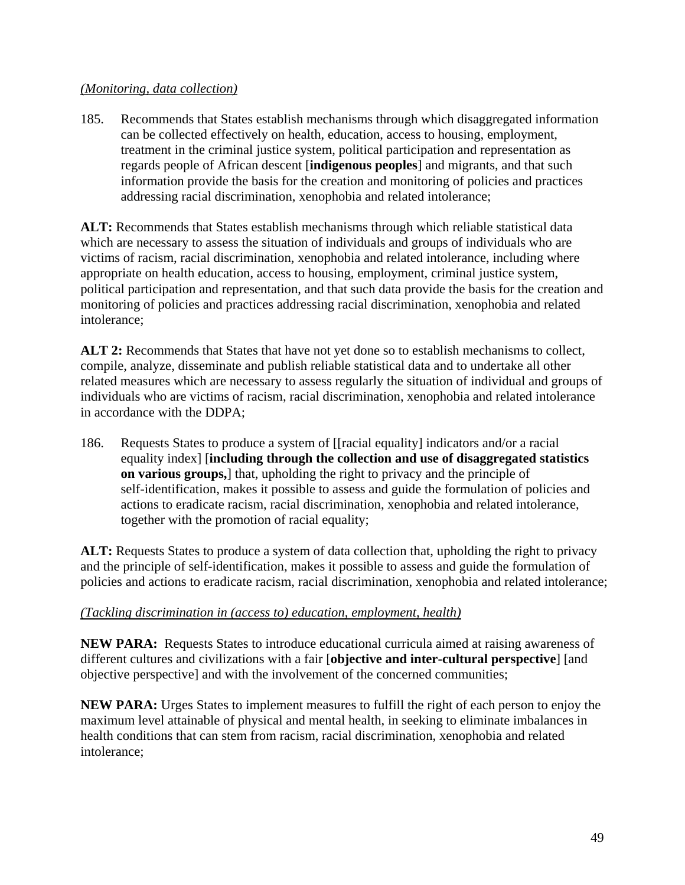#### *(Monitoring, data collection)*

185. Recommends that States establish mechanisms through which disaggregated information can be collected effectively on health, education, access to housing, employment, treatment in the criminal justice system, political participation and representation as regards people of African descent [**indigenous peoples**] and migrants, and that such information provide the basis for the creation and monitoring of policies and practices addressing racial discrimination, xenophobia and related intolerance;

**ALT:** Recommends that States establish mechanisms through which reliable statistical data which are necessary to assess the situation of individuals and groups of individuals who are victims of racism, racial discrimination, xenophobia and related intolerance, including where appropriate on health education, access to housing, employment, criminal justice system, political participation and representation, and that such data provide the basis for the creation and monitoring of policies and practices addressing racial discrimination, xenophobia and related intolerance;

**ALT 2:** Recommends that States that have not yet done so to establish mechanisms to collect, compile, analyze, disseminate and publish reliable statistical data and to undertake all other related measures which are necessary to assess regularly the situation of individual and groups of individuals who are victims of racism, racial discrimination, xenophobia and related intolerance in accordance with the DDPA;

186. Requests States to produce a system of [[racial equality] indicators and/or a racial equality index] [**including through the collection and use of disaggregated statistics on various groups,**] that, upholding the right to privacy and the principle of self-identification, makes it possible to assess and guide the formulation of policies and actions to eradicate racism, racial discrimination, xenophobia and related intolerance, together with the promotion of racial equality;

**ALT:** Requests States to produce a system of data collection that, upholding the right to privacy and the principle of self-identification, makes it possible to assess and guide the formulation of policies and actions to eradicate racism, racial discrimination, xenophobia and related intolerance;

## *(Tackling discrimination in (access to) education, employment, health)*

**NEW PARA:** Requests States to introduce educational curricula aimed at raising awareness of different cultures and civilizations with a fair [**objective and inter-cultural perspective**] [and objective perspective] and with the involvement of the concerned communities;

**NEW PARA:** Urges States to implement measures to fulfill the right of each person to enjoy the maximum level attainable of physical and mental health, in seeking to eliminate imbalances in health conditions that can stem from racism, racial discrimination, xenophobia and related intolerance;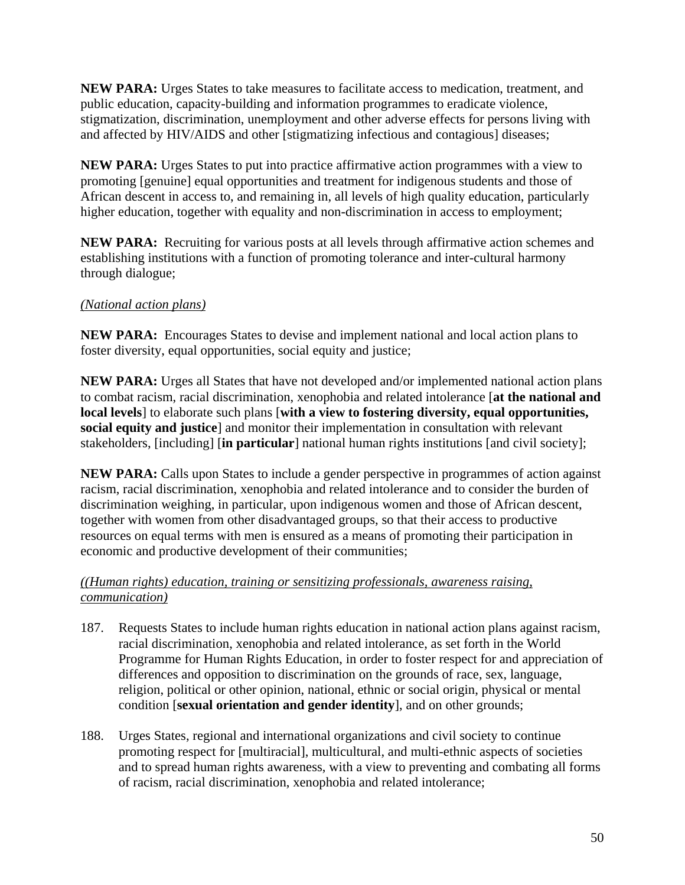**NEW PARA:** Urges States to take measures to facilitate access to medication, treatment, and public education, capacity-building and information programmes to eradicate violence, stigmatization, discrimination, unemployment and other adverse effects for persons living with and affected by HIV/AIDS and other [stigmatizing infectious and contagious] diseases;

**NEW PARA:** Urges States to put into practice affirmative action programmes with a view to promoting [genuine] equal opportunities and treatment for indigenous students and those of African descent in access to, and remaining in, all levels of high quality education, particularly higher education, together with equality and non-discrimination in access to employment;

**NEW PARA:** Recruiting for various posts at all levels through affirmative action schemes and establishing institutions with a function of promoting tolerance and inter-cultural harmony through dialogue;

# *(National action plans)*

**NEW PARA:** Encourages States to devise and implement national and local action plans to foster diversity, equal opportunities, social equity and justice;

**NEW PARA:** Urges all States that have not developed and/or implemented national action plans to combat racism, racial discrimination, xenophobia and related intolerance [**at the national and local levels**] to elaborate such plans [**with a view to fostering diversity, equal opportunities, social equity and justice**] and monitor their implementation in consultation with relevant stakeholders, [including] [**in particular**] national human rights institutions [and civil society];

**NEW PARA:** Calls upon States to include a gender perspective in programmes of action against racism, racial discrimination, xenophobia and related intolerance and to consider the burden of discrimination weighing, in particular, upon indigenous women and those of African descent, together with women from other disadvantaged groups, so that their access to productive resources on equal terms with men is ensured as a means of promoting their participation in economic and productive development of their communities;

#### *((Human rights) education, training or sensitizing professionals, awareness raising, communication)*

- 187. Requests States to include human rights education in national action plans against racism, racial discrimination, xenophobia and related intolerance, as set forth in the World Programme for Human Rights Education, in order to foster respect for and appreciation of differences and opposition to discrimination on the grounds of race, sex, language, religion, political or other opinion, national, ethnic or social origin, physical or mental condition [**sexual orientation and gender identity**], and on other grounds;
- 188. Urges States, regional and international organizations and civil society to continue promoting respect for [multiracial], multicultural, and multi-ethnic aspects of societies and to spread human rights awareness, with a view to preventing and combating all forms of racism, racial discrimination, xenophobia and related intolerance;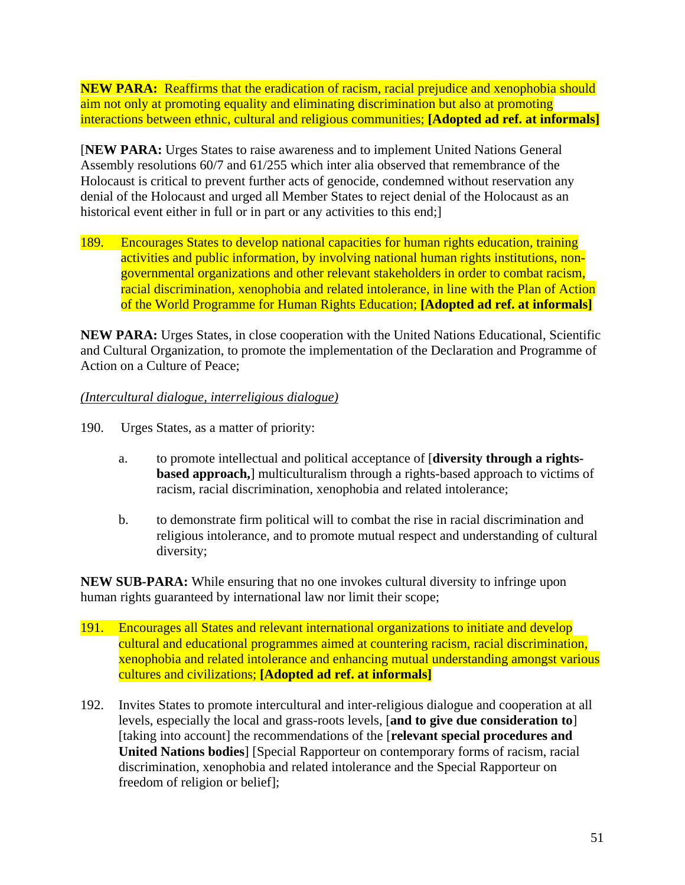**NEW PARA:** Reaffirms that the eradication of racism, racial prejudice and xenophobia should aim not only at promoting equality and eliminating discrimination but also at promoting interactions between ethnic, cultural and religious communities; **[Adopted ad ref. at informals]** 

[**NEW PARA:** Urges States to raise awareness and to implement United Nations General Assembly resolutions 60/7 and 61/255 which inter alia observed that remembrance of the Holocaust is critical to prevent further acts of genocide, condemned without reservation any denial of the Holocaust and urged all Member States to reject denial of the Holocaust as an historical event either in full or in part or any activities to this end;

189. Encourages States to develop national capacities for human rights education, training activities and public information, by involving national human rights institutions, nongovernmental organizations and other relevant stakeholders in order to combat racism, racial discrimination, xenophobia and related intolerance, in line with the Plan of Action of the World Programme for Human Rights Education; **[Adopted ad ref. at informals]** 

**NEW PARA:** Urges States, in close cooperation with the United Nations Educational, Scientific and Cultural Organization, to promote the implementation of the Declaration and Programme of Action on a Culture of Peace;

## *(Intercultural dialogue, interreligious dialogue)*

- 190. Urges States, as a matter of priority:
	- a. to promote intellectual and political acceptance of [**diversity through a rightsbased approach,** multiculturalism through a rights-based approach to victims of racism, racial discrimination, xenophobia and related intolerance;
	- b. to demonstrate firm political will to combat the rise in racial discrimination and religious intolerance, and to promote mutual respect and understanding of cultural diversity;

**NEW SUB-PARA:** While ensuring that no one invokes cultural diversity to infringe upon human rights guaranteed by international law nor limit their scope;

- 191. Encourages all States and relevant international organizations to initiate and develop cultural and educational programmes aimed at countering racism, racial discrimination, xenophobia and related intolerance and enhancing mutual understanding amongst various cultures and civilizations; **[Adopted ad ref. at informals]**
- 192. Invites States to promote intercultural and inter-religious dialogue and cooperation at all levels, especially the local and grass-roots levels, [**and to give due consideration to**] [taking into account] the recommendations of the [**relevant special procedures and United Nations bodies**] [Special Rapporteur on contemporary forms of racism, racial discrimination, xenophobia and related intolerance and the Special Rapporteur on freedom of religion or belief];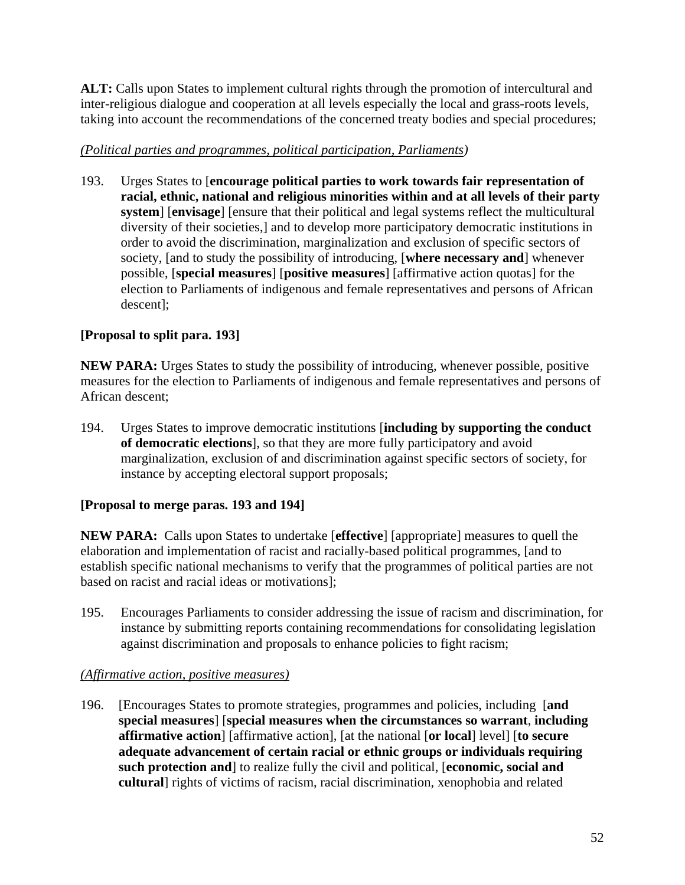**ALT:** Calls upon States to implement cultural rights through the promotion of intercultural and inter-religious dialogue and cooperation at all levels especially the local and grass-roots levels, taking into account the recommendations of the concerned treaty bodies and special procedures;

## *(Political parties and programmes, political participation, Parliaments)*

193. Urges States to [**encourage political parties to work towards fair representation of racial, ethnic, national and religious minorities within and at all levels of their party system**] [**envisage**] [ensure that their political and legal systems reflect the multicultural diversity of their societies,] and to develop more participatory democratic institutions in order to avoid the discrimination, marginalization and exclusion of specific sectors of society, [and to study the possibility of introducing, [**where necessary and**] whenever possible, [**special measures**] [**positive measures**] [affirmative action quotas] for the election to Parliaments of indigenous and female representatives and persons of African descent];

# **[Proposal to split para. 193]**

**NEW PARA:** Urges States to study the possibility of introducing, whenever possible, positive measures for the election to Parliaments of indigenous and female representatives and persons of African descent;

194. Urges States to improve democratic institutions [**including by supporting the conduct of democratic elections**], so that they are more fully participatory and avoid marginalization, exclusion of and discrimination against specific sectors of society, for instance by accepting electoral support proposals;

# **[Proposal to merge paras. 193 and 194]**

**NEW PARA:** Calls upon States to undertake [**effective**] [appropriate] measures to quell the elaboration and implementation of racist and racially-based political programmes, [and to establish specific national mechanisms to verify that the programmes of political parties are not based on racist and racial ideas or motivations];

195. Encourages Parliaments to consider addressing the issue of racism and discrimination, for instance by submitting reports containing recommendations for consolidating legislation against discrimination and proposals to enhance policies to fight racism;

# *(Affirmative action, positive measures)*

196. [Encourages States to promote strategies, programmes and policies, including [**and special measures**] [**special measures when the circumstances so warrant**, **including affirmative action**] [affirmative action], [at the national [**or local**] level] [**to secure adequate advancement of certain racial or ethnic groups or individuals requiring such protection and**] to realize fully the civil and political, [**economic, social and cultural**] rights of victims of racism, racial discrimination, xenophobia and related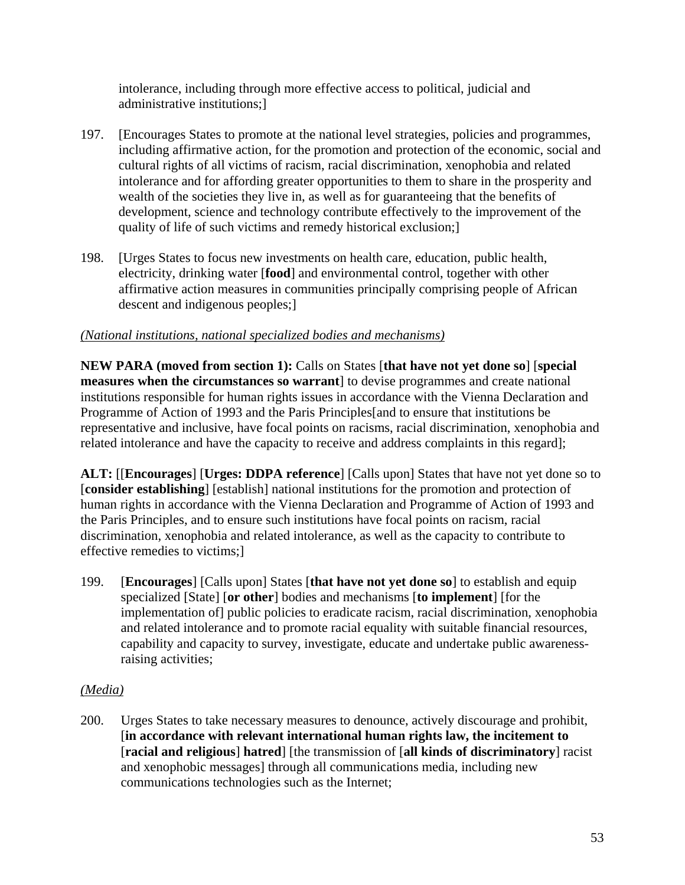intolerance, including through more effective access to political, judicial and administrative institutions;]

- 197. [Encourages States to promote at the national level strategies, policies and programmes, including affirmative action, for the promotion and protection of the economic, social and cultural rights of all victims of racism, racial discrimination, xenophobia and related intolerance and for affording greater opportunities to them to share in the prosperity and wealth of the societies they live in, as well as for guaranteeing that the benefits of development, science and technology contribute effectively to the improvement of the quality of life of such victims and remedy historical exclusion;]
- 198. [Urges States to focus new investments on health care, education, public health, electricity, drinking water [**food**] and environmental control, together with other affirmative action measures in communities principally comprising people of African descent and indigenous peoples;]

# *(National institutions, national specialized bodies and mechanisms)*

**NEW PARA (moved from section 1):** Calls on States [**that have not yet done so**] [**special measures when the circumstances so warrant** to devise programmes and create national institutions responsible for human rights issues in accordance with the Vienna Declaration and Programme of Action of 1993 and the Paris Principles[and to ensure that institutions be representative and inclusive, have focal points on racisms, racial discrimination, xenophobia and related intolerance and have the capacity to receive and address complaints in this regard];

**ALT:** [[**Encourages**] [**Urges: DDPA reference**] [Calls upon] States that have not yet done so to [**consider establishing**] [establish] national institutions for the promotion and protection of human rights in accordance with the Vienna Declaration and Programme of Action of 1993 and the Paris Principles, and to ensure such institutions have focal points on racism, racial discrimination, xenophobia and related intolerance, as well as the capacity to contribute to effective remedies to victims;]

199. [**Encourages**] [Calls upon] States [**that have not yet done so**] to establish and equip specialized [State] [**or other**] bodies and mechanisms [**to implement**] [for the implementation of] public policies to eradicate racism, racial discrimination, xenophobia and related intolerance and to promote racial equality with suitable financial resources, capability and capacity to survey, investigate, educate and undertake public awarenessraising activities;

## *(Media)*

200. Urges States to take necessary measures to denounce, actively discourage and prohibit, [**in accordance with relevant international human rights law, the incitement to**  [**racial and religious**] **hatred**] [the transmission of [**all kinds of discriminatory**] racist and xenophobic messages] through all communications media, including new communications technologies such as the Internet;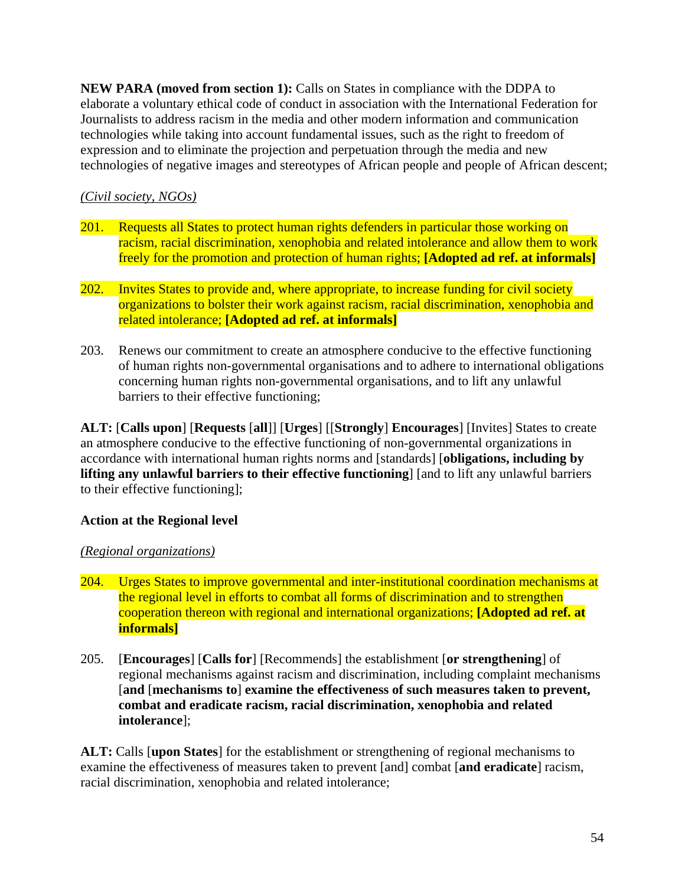**NEW PARA (moved from section 1):** Calls on States in compliance with the DDPA to elaborate a voluntary ethical code of conduct in association with the International Federation for Journalists to address racism in the media and other modern information and communication technologies while taking into account fundamental issues, such as the right to freedom of expression and to eliminate the projection and perpetuation through the media and new technologies of negative images and stereotypes of African people and people of African descent;

# *(Civil society, NGOs)*

- 201. Requests all States to protect human rights defenders in particular those working on racism, racial discrimination, xenophobia and related intolerance and allow them to work freely for the promotion and protection of human rights; **[Adopted ad ref. at informals]**
- 202. Invites States to provide and, where appropriate, to increase funding for civil society organizations to bolster their work against racism, racial discrimination, xenophobia and related intolerance; **[Adopted ad ref. at informals]**
- 203. Renews our commitment to create an atmosphere conducive to the effective functioning of human rights non-governmental organisations and to adhere to international obligations concerning human rights non-governmental organisations, and to lift any unlawful barriers to their effective functioning;

**ALT:** [**Calls upon**] [**Requests** [**all**]] [**Urges**] [[**Strongly**] **Encourages**] [Invites] States to create an atmosphere conducive to the effective functioning of non-governmental organizations in accordance with international human rights norms and [standards] [**obligations, including by lifting any unlawful barriers to their effective functioning**] [and to lift any unlawful barriers to their effective functioning];

## **Action at the Regional level**

## *(Regional organizations)*

- 204. Urges States to improve governmental and inter-institutional coordination mechanisms at the regional level in efforts to combat all forms of discrimination and to strengthen cooperation thereon with regional and international organizations; **[Adopted ad ref. at informals]**
- 205. [**Encourages**] [**Calls for**] [Recommends] the establishment [**or strengthening**] of regional mechanisms against racism and discrimination, including complaint mechanisms [**and** [**mechanisms to**] **examine the effectiveness of such measures taken to prevent, combat and eradicate racism, racial discrimination, xenophobia and related intolerance**];

**ALT:** Calls [**upon States**] for the establishment or strengthening of regional mechanisms to examine the effectiveness of measures taken to prevent [and] combat [**and eradicate**] racism, racial discrimination, xenophobia and related intolerance;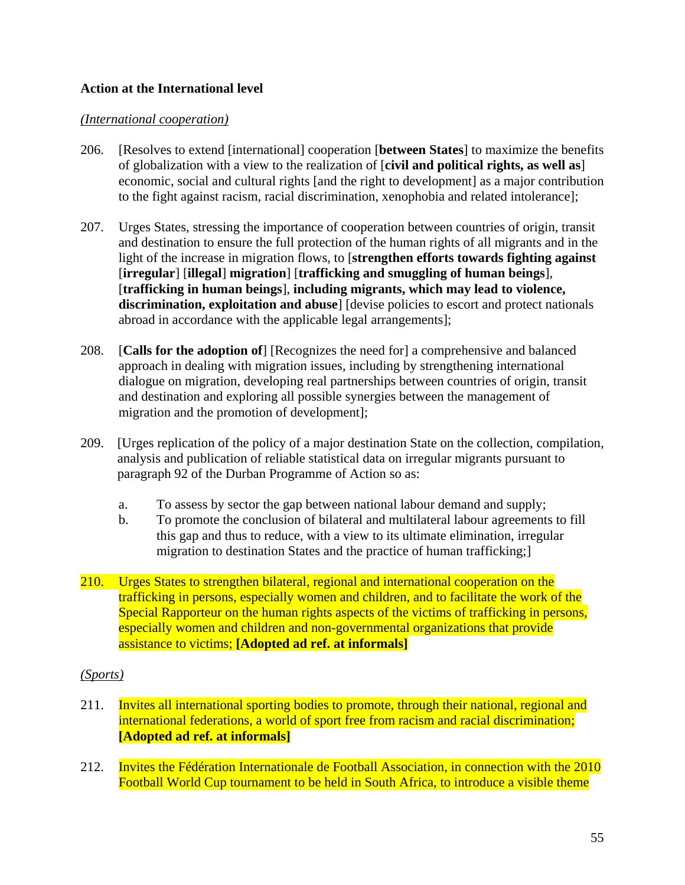## **Action at the International level**

#### *(International cooperation)*

- 206. [Resolves to extend [international] cooperation [**between States**] to maximize the benefits of globalization with a view to the realization of [**civil and political rights, as well as**] economic, social and cultural rights [and the right to development] as a major contribution to the fight against racism, racial discrimination, xenophobia and related intolerance];
- 207. Urges States, stressing the importance of cooperation between countries of origin, transit and destination to ensure the full protection of the human rights of all migrants and in the light of the increase in migration flows, to [**strengthen efforts towards fighting against**  [**irregular**] [**illegal**] **migration**] [**trafficking and smuggling of human beings**], [**trafficking in human beings**], **including migrants, which may lead to violence, discrimination, exploitation and abuse**] [devise policies to escort and protect nationals abroad in accordance with the applicable legal arrangements];
- 208. [**Calls for the adoption of**] [Recognizes the need for] a comprehensive and balanced approach in dealing with migration issues, including by strengthening international dialogue on migration, developing real partnerships between countries of origin, transit and destination and exploring all possible synergies between the management of migration and the promotion of development];
- 209. [Urges replication of the policy of a major destination State on the collection, compilation, analysis and publication of reliable statistical data on irregular migrants pursuant to paragraph 92 of the Durban Programme of Action so as:
	- a. To assess by sector the gap between national labour demand and supply;
	- b. To promote the conclusion of bilateral and multilateral labour agreements to fill this gap and thus to reduce, with a view to its ultimate elimination, irregular migration to destination States and the practice of human trafficking;]
- 210. Urges States to strengthen bilateral, regional and international cooperation on the trafficking in persons, especially women and children, and to facilitate the work of the Special Rapporteur on the human rights aspects of the victims of trafficking in persons, especially women and children and non-governmental organizations that provide assistance to victims; **[Adopted ad ref. at informals]**

#### *(Sports)*

- 211. Invites all international sporting bodies to promote, through their national, regional and international federations, a world of sport free from racism and racial discrimination; **[Adopted ad ref. at informals]**
- 212. Invites the Fédération Internationale de Football Association, in connection with the 2010 Football World Cup tournament to be held in South Africa, to introduce a visible theme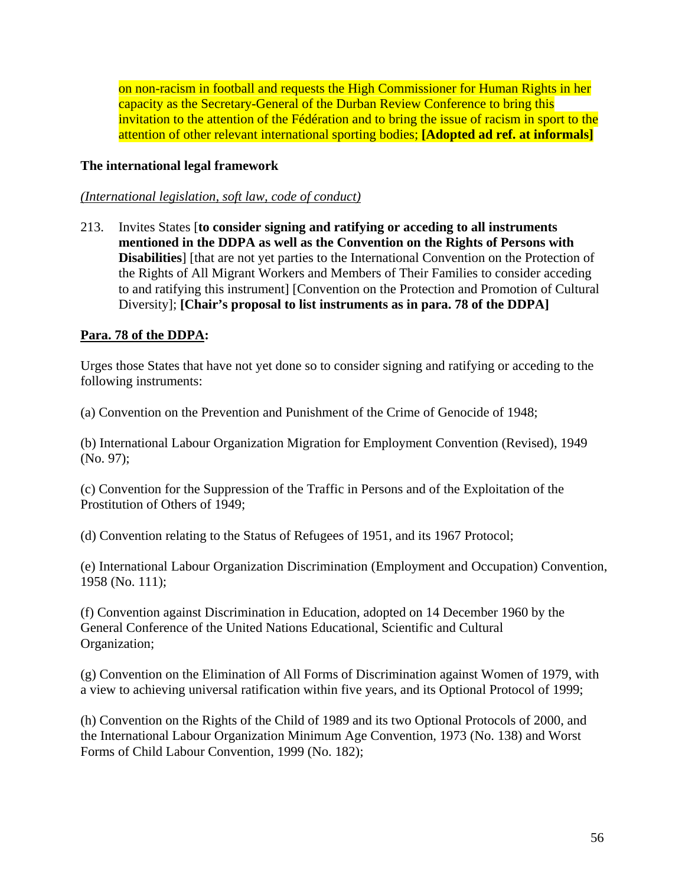on non-racism in football and requests the High Commissioner for Human Rights in her capacity as the Secretary-General of the Durban Review Conference to bring this invitation to the attention of the Fédération and to bring the issue of racism in sport to the attention of other relevant international sporting bodies; **[Adopted ad ref. at informals]** 

## **The international legal framework**

#### *(International legislation, soft law, code of conduct)*

213. Invites States [**to consider signing and ratifying or acceding to all instruments mentioned in the DDPA as well as the Convention on the Rights of Persons with Disabilities**] [that are not yet parties to the International Convention on the Protection of the Rights of All Migrant Workers and Members of Their Families to consider acceding to and ratifying this instrument] [Convention on the Protection and Promotion of Cultural Diversity]; **[Chair's proposal to list instruments as in para. 78 of the DDPA]** 

## **Para. 78 of the DDPA:**

Urges those States that have not yet done so to consider signing and ratifying or acceding to the following instruments:

(a) Convention on the Prevention and Punishment of the Crime of Genocide of 1948;

(b) International Labour Organization Migration for Employment Convention (Revised), 1949 (No. 97);

(c) Convention for the Suppression of the Traffic in Persons and of the Exploitation of the Prostitution of Others of 1949;

(d) Convention relating to the Status of Refugees of 1951, and its 1967 Protocol;

(e) International Labour Organization Discrimination (Employment and Occupation) Convention, 1958 (No. 111);

(f) Convention against Discrimination in Education, adopted on 14 December 1960 by the General Conference of the United Nations Educational, Scientific and Cultural Organization;

(g) Convention on the Elimination of All Forms of Discrimination against Women of 1979, with a view to achieving universal ratification within five years, and its Optional Protocol of 1999;

(h) Convention on the Rights of the Child of 1989 and its two Optional Protocols of 2000, and the International Labour Organization Minimum Age Convention, 1973 (No. 138) and Worst Forms of Child Labour Convention, 1999 (No. 182);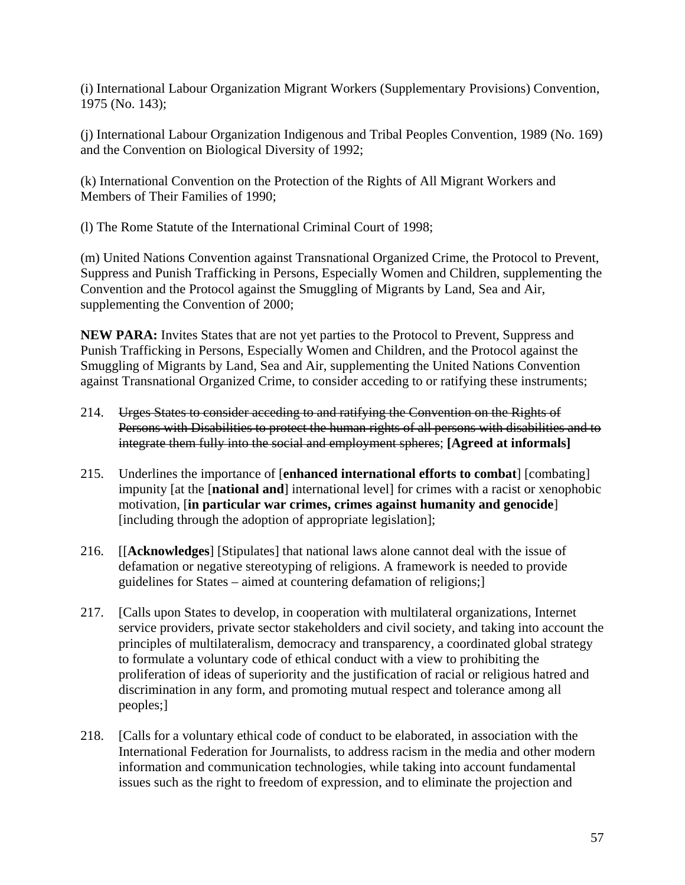(i) International Labour Organization Migrant Workers (Supplementary Provisions) Convention, 1975 (No. 143);

(j) International Labour Organization Indigenous and Tribal Peoples Convention, 1989 (No. 169) and the Convention on Biological Diversity of 1992;

(k) International Convention on the Protection of the Rights of All Migrant Workers and Members of Their Families of 1990;

(l) The Rome Statute of the International Criminal Court of 1998;

(m) United Nations Convention against Transnational Organized Crime, the Protocol to Prevent, Suppress and Punish Trafficking in Persons, Especially Women and Children, supplementing the Convention and the Protocol against the Smuggling of Migrants by Land, Sea and Air, supplementing the Convention of 2000;

**NEW PARA:** Invites States that are not yet parties to the Protocol to Prevent, Suppress and Punish Trafficking in Persons, Especially Women and Children, and the Protocol against the Smuggling of Migrants by Land, Sea and Air, supplementing the United Nations Convention against Transnational Organized Crime, to consider acceding to or ratifying these instruments;

- 214. Urges States to consider acceding to and ratifying the Convention on the Rights of Persons with Disabilities to protect the human rights of all persons with disabilities and to integrate them fully into the social and employment spheres; **[Agreed at informals]**
- 215. Underlines the importance of [**enhanced international efforts to combat**] [combating] impunity [at the [**national and**] international level] for crimes with a racist or xenophobic motivation, [**in particular war crimes, crimes against humanity and genocide**] [including through the adoption of appropriate legislation];
- 216. [[**Acknowledges**] [Stipulates] that national laws alone cannot deal with the issue of defamation or negative stereotyping of religions. A framework is needed to provide guidelines for States – aimed at countering defamation of religions;]
- 217. [Calls upon States to develop, in cooperation with multilateral organizations, Internet service providers, private sector stakeholders and civil society, and taking into account the principles of multilateralism, democracy and transparency, a coordinated global strategy to formulate a voluntary code of ethical conduct with a view to prohibiting the proliferation of ideas of superiority and the justification of racial or religious hatred and discrimination in any form, and promoting mutual respect and tolerance among all peoples;]
- 218. [Calls for a voluntary ethical code of conduct to be elaborated, in association with the International Federation for Journalists, to address racism in the media and other modern information and communication technologies, while taking into account fundamental issues such as the right to freedom of expression, and to eliminate the projection and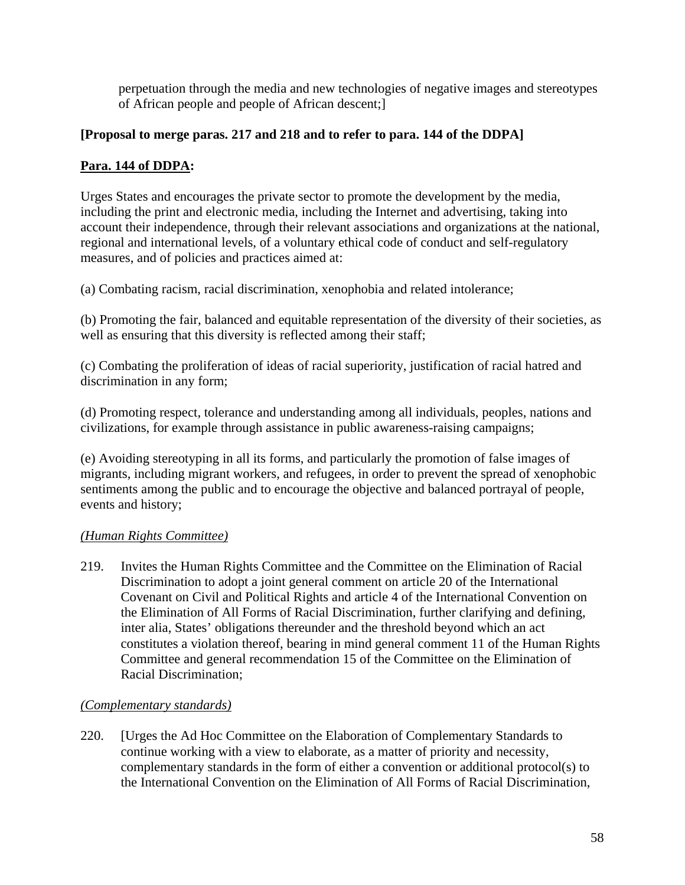perpetuation through the media and new technologies of negative images and stereotypes of African people and people of African descent;]

# **[Proposal to merge paras. 217 and 218 and to refer to para. 144 of the DDPA]**

# **Para. 144 of DDPA:**

Urges States and encourages the private sector to promote the development by the media, including the print and electronic media, including the Internet and advertising, taking into account their independence, through their relevant associations and organizations at the national, regional and international levels, of a voluntary ethical code of conduct and self-regulatory measures, and of policies and practices aimed at:

(a) Combating racism, racial discrimination, xenophobia and related intolerance;

(b) Promoting the fair, balanced and equitable representation of the diversity of their societies, as well as ensuring that this diversity is reflected among their staff;

(c) Combating the proliferation of ideas of racial superiority, justification of racial hatred and discrimination in any form;

(d) Promoting respect, tolerance and understanding among all individuals, peoples, nations and civilizations, for example through assistance in public awareness-raising campaigns;

(e) Avoiding stereotyping in all its forms, and particularly the promotion of false images of migrants, including migrant workers, and refugees, in order to prevent the spread of xenophobic sentiments among the public and to encourage the objective and balanced portrayal of people, events and history;

## *(Human Rights Committee)*

219. Invites the Human Rights Committee and the Committee on the Elimination of Racial Discrimination to adopt a joint general comment on article 20 of the International Covenant on Civil and Political Rights and article 4 of the International Convention on the Elimination of All Forms of Racial Discrimination, further clarifying and defining, inter alia, States' obligations thereunder and the threshold beyond which an act constitutes a violation thereof, bearing in mind general comment 11 of the Human Rights Committee and general recommendation 15 of the Committee on the Elimination of Racial Discrimination;

## *(Complementary standards)*

220. [Urges the Ad Hoc Committee on the Elaboration of Complementary Standards to continue working with a view to elaborate, as a matter of priority and necessity, complementary standards in the form of either a convention or additional protocol(s) to the International Convention on the Elimination of All Forms of Racial Discrimination,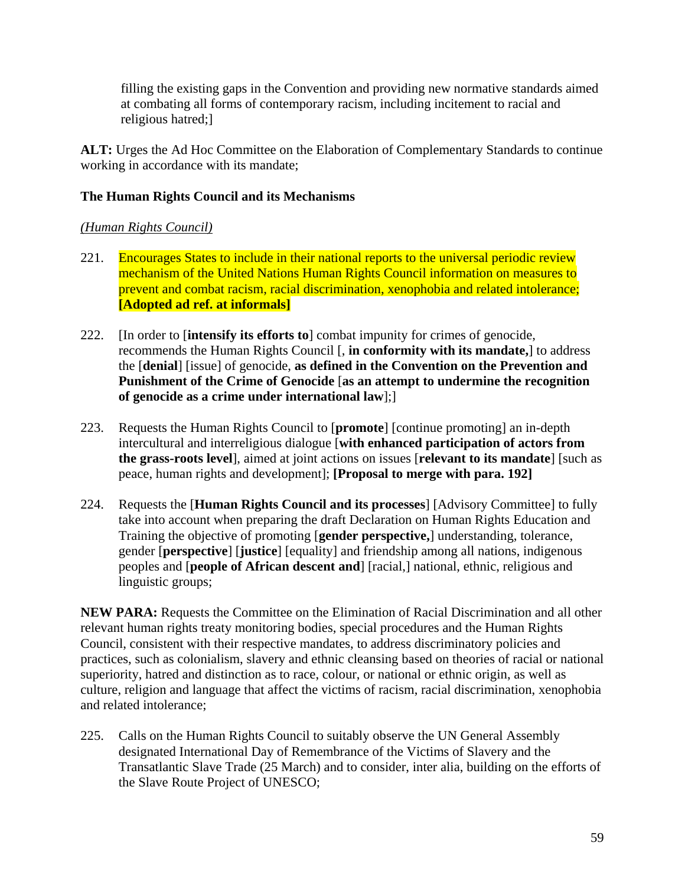filling the existing gaps in the Convention and providing new normative standards aimed at combating all forms of contemporary racism, including incitement to racial and religious hatred;]

**ALT:** Urges the Ad Hoc Committee on the Elaboration of Complementary Standards to continue working in accordance with its mandate;

# **The Human Rights Council and its Mechanisms**

# *(Human Rights Council)*

- 221. Encourages States to include in their national reports to the universal periodic review mechanism of the United Nations Human Rights Council information on measures to prevent and combat racism, racial discrimination, xenophobia and related intolerance; **[Adopted ad ref. at informals]**
- 222. [In order to [**intensify its efforts to**] combat impunity for crimes of genocide, recommends the Human Rights Council [, **in conformity with its mandate,**] to address the [**denial**] [issue] of genocide, **as defined in the Convention on the Prevention and Punishment of the Crime of Genocide** [**as an attempt to undermine the recognition of genocide as a crime under international law**];]
- 223. Requests the Human Rights Council to [**promote**] [continue promoting] an in-depth intercultural and interreligious dialogue [**with enhanced participation of actors from the grass-roots level**], aimed at joint actions on issues [**relevant to its mandate**] [such as peace, human rights and development]; **[Proposal to merge with para. 192]**
- 224. Requests the [**Human Rights Council and its processes**] [Advisory Committee] to fully take into account when preparing the draft Declaration on Human Rights Education and Training the objective of promoting [**gender perspective,**] understanding, tolerance, gender [**perspective**] [**justice**] [equality] and friendship among all nations, indigenous peoples and [**people of African descent and**] [racial,] national, ethnic, religious and linguistic groups;

**NEW PARA:** Requests the Committee on the Elimination of Racial Discrimination and all other relevant human rights treaty monitoring bodies, special procedures and the Human Rights Council, consistent with their respective mandates, to address discriminatory policies and practices, such as colonialism, slavery and ethnic cleansing based on theories of racial or national superiority, hatred and distinction as to race, colour, or national or ethnic origin, as well as culture, religion and language that affect the victims of racism, racial discrimination, xenophobia and related intolerance;

225. Calls on the Human Rights Council to suitably observe the UN General Assembly designated International Day of Remembrance of the Victims of Slavery and the Transatlantic Slave Trade (25 March) and to consider, inter alia, building on the efforts of the Slave Route Project of UNESCO;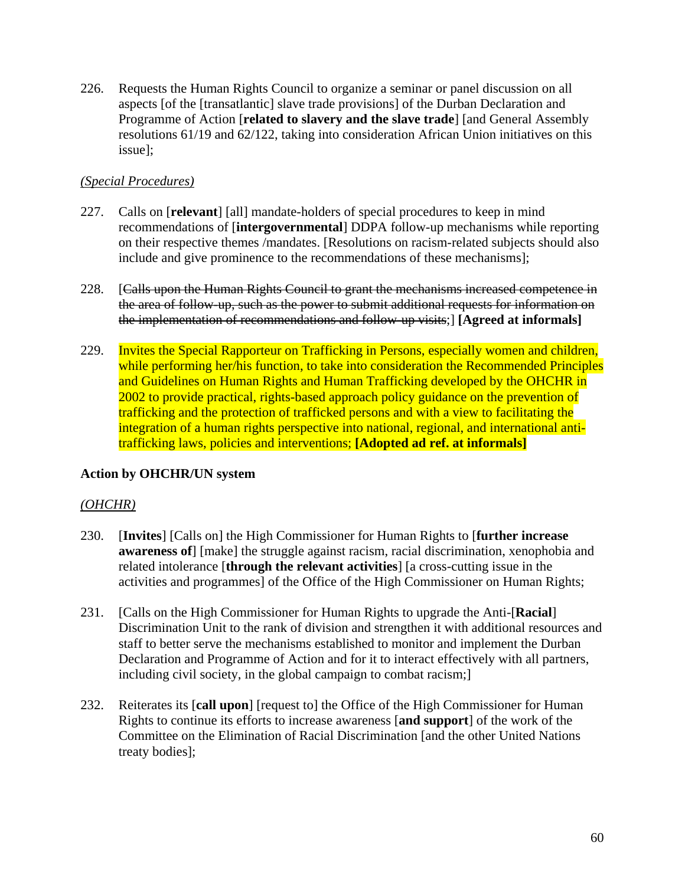226. Requests the Human Rights Council to organize a seminar or panel discussion on all aspects [of the [transatlantic] slave trade provisions] of the Durban Declaration and Programme of Action [**related to slavery and the slave trade**] [and General Assembly resolutions 61/19 and 62/122, taking into consideration African Union initiatives on this issue];

#### *(Special Procedures)*

- 227. Calls on [**relevant**] [all] mandate-holders of special procedures to keep in mind recommendations of [**intergovernmental**] DDPA follow-up mechanisms while reporting on their respective themes /mandates. [Resolutions on racism-related subjects should also include and give prominence to the recommendations of these mechanisms];
- 228. [Calls upon the Human Rights Council to grant the mechanisms increased competence in the area of follow-up, such as the power to submit additional requests for information on the implementation of recommendations and follow-up visits;] **[Agreed at informals]**
- 229. Invites the Special Rapporteur on Trafficking in Persons, especially women and children, while performing her/his function, to take into consideration the Recommended Principles and Guidelines on Human Rights and Human Trafficking developed by the OHCHR in 2002 to provide practical, rights-based approach policy guidance on the prevention of trafficking and the protection of trafficked persons and with a view to facilitating the integration of a human rights perspective into national, regional, and international antitrafficking laws, policies and interventions; **[Adopted ad ref. at informals]**

#### **Action by OHCHR/UN system**

#### *(OHCHR)*

- 230. [**Invites**] [Calls on] the High Commissioner for Human Rights to [**further increase awareness of**] [make] the struggle against racism, racial discrimination, xenophobia and related intolerance [**through the relevant activities**] [a cross-cutting issue in the activities and programmes] of the Office of the High Commissioner on Human Rights;
- 231. [Calls on the High Commissioner for Human Rights to upgrade the Anti-[**Racial**] Discrimination Unit to the rank of division and strengthen it with additional resources and staff to better serve the mechanisms established to monitor and implement the Durban Declaration and Programme of Action and for it to interact effectively with all partners, including civil society, in the global campaign to combat racism;]
- 232. Reiterates its [**call upon**] [request to] the Office of the High Commissioner for Human Rights to continue its efforts to increase awareness [**and support**] of the work of the Committee on the Elimination of Racial Discrimination [and the other United Nations treaty bodies];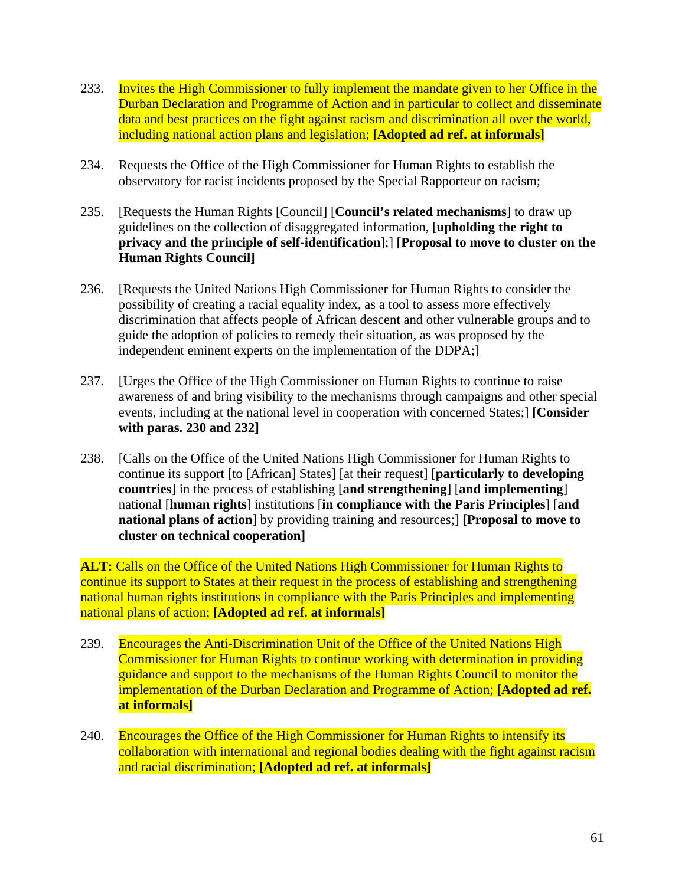- 233. Invites the High Commissioner to fully implement the mandate given to her Office in the Durban Declaration and Programme of Action and in particular to collect and disseminate data and best practices on the fight against racism and discrimination all over the world, including national action plans and legislation; **[Adopted ad ref. at informals]**
- 234. Requests the Office of the High Commissioner for Human Rights to establish the observatory for racist incidents proposed by the Special Rapporteur on racism;
- 235. [Requests the Human Rights [Council] [**Council's related mechanisms**] to draw up guidelines on the collection of disaggregated information, [**upholding the right to privacy and the principle of self-identification**];] **[Proposal to move to cluster on the Human Rights Council]**
- 236. [Requests the United Nations High Commissioner for Human Rights to consider the possibility of creating a racial equality index, as a tool to assess more effectively discrimination that affects people of African descent and other vulnerable groups and to guide the adoption of policies to remedy their situation, as was proposed by the independent eminent experts on the implementation of the DDPA;]
- 237. [Urges the Office of the High Commissioner on Human Rights to continue to raise awareness of and bring visibility to the mechanisms through campaigns and other special events, including at the national level in cooperation with concerned States;] **[Consider with paras. 230 and 232]**
- 238. [Calls on the Office of the United Nations High Commissioner for Human Rights to continue its support [to [African] States] [at their request] [**particularly to developing countries**] in the process of establishing [**and strengthening**] [**and implementing**] national [**human rights**] institutions [**in compliance with the Paris Principles**] [**and national plans of action**] by providing training and resources;] **[Proposal to move to cluster on technical cooperation]**

**ALT:** Calls on the Office of the United Nations High Commissioner for Human Rights to continue its support to States at their request in the process of establishing and strengthening national human rights institutions in compliance with the Paris Principles and implementing national plans of action; **[Adopted ad ref. at informals]** 

- 239. Encourages the Anti-Discrimination Unit of the Office of the United Nations High Commissioner for Human Rights to continue working with determination in providing guidance and support to the mechanisms of the Human Rights Council to monitor the implementation of the Durban Declaration and Programme of Action; **[Adopted ad ref. at informals]**
- 240. Encourages the Office of the High Commissioner for Human Rights to intensify its collaboration with international and regional bodies dealing with the fight against racism and racial discrimination; **[Adopted ad ref. at informals]**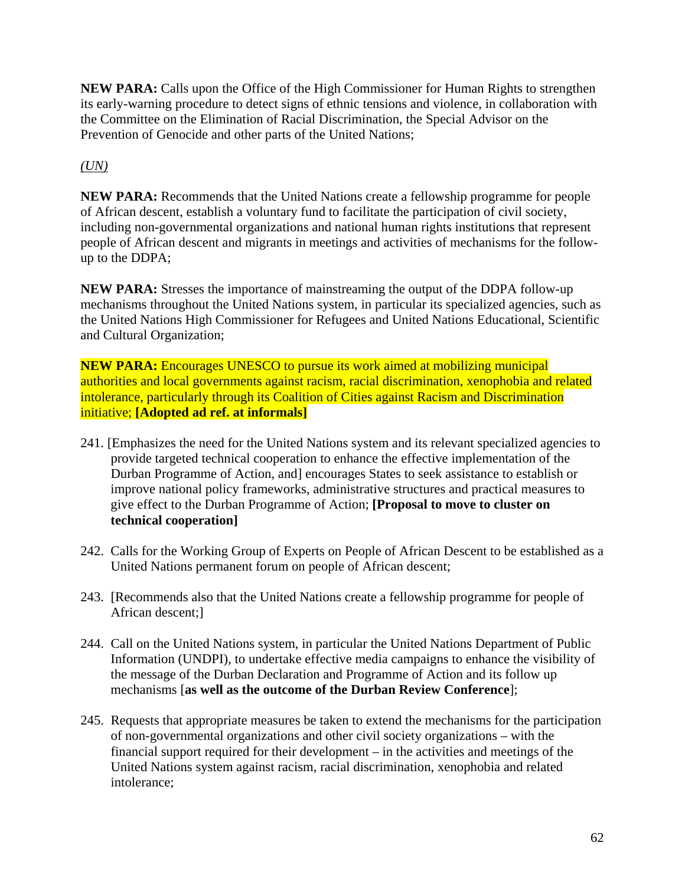**NEW PARA:** Calls upon the Office of the High Commissioner for Human Rights to strengthen its early-warning procedure to detect signs of ethnic tensions and violence, in collaboration with the Committee on the Elimination of Racial Discrimination, the Special Advisor on the Prevention of Genocide and other parts of the United Nations;

# *(UN)*

**NEW PARA:** Recommends that the United Nations create a fellowship programme for people of African descent, establish a voluntary fund to facilitate the participation of civil society, including non-governmental organizations and national human rights institutions that represent people of African descent and migrants in meetings and activities of mechanisms for the followup to the DDPA;

**NEW PARA:** Stresses the importance of mainstreaming the output of the DDPA follow-up mechanisms throughout the United Nations system, in particular its specialized agencies, such as the United Nations High Commissioner for Refugees and United Nations Educational, Scientific and Cultural Organization;

**NEW PARA:** Encourages UNESCO to pursue its work aimed at mobilizing municipal authorities and local governments against racism, racial discrimination, xenophobia and related intolerance, particularly through its Coalition of Cities against Racism and Discrimination initiative; **[Adopted ad ref. at informals]** 

- 241. [Emphasizes the need for the United Nations system and its relevant specialized agencies to provide targeted technical cooperation to enhance the effective implementation of the Durban Programme of Action, and] encourages States to seek assistance to establish or improve national policy frameworks, administrative structures and practical measures to give effect to the Durban Programme of Action; **[Proposal to move to cluster on technical cooperation]**
- 242. Calls for the Working Group of Experts on People of African Descent to be established as a United Nations permanent forum on people of African descent;
- 243. [Recommends also that the United Nations create a fellowship programme for people of African descent;]
- 244. Call on the United Nations system, in particular the United Nations Department of Public Information (UNDPI), to undertake effective media campaigns to enhance the visibility of the message of the Durban Declaration and Programme of Action and its follow up mechanisms [**as well as the outcome of the Durban Review Conference**];
- 245. Requests that appropriate measures be taken to extend the mechanisms for the participation of non-governmental organizations and other civil society organizations – with the financial support required for their development – in the activities and meetings of the United Nations system against racism, racial discrimination, xenophobia and related intolerance;